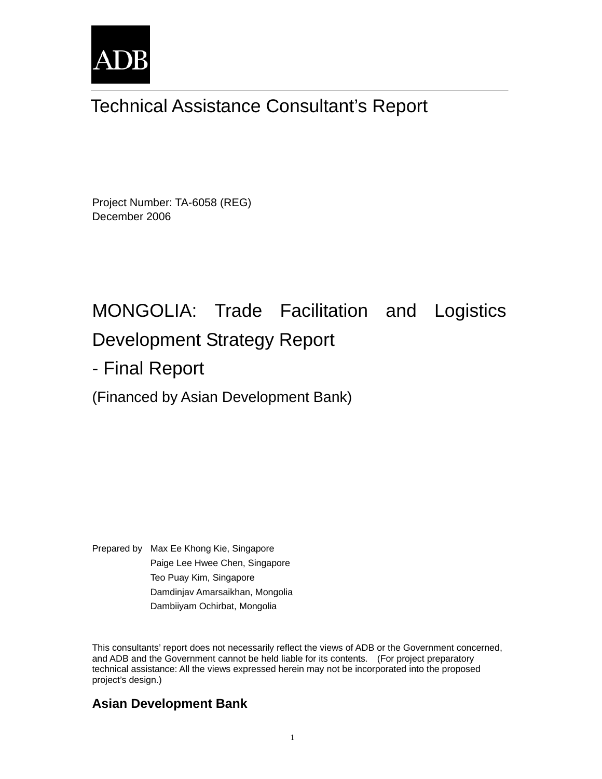

# Technical Assistance Consultant's Report

Project Number: TA-6058 (REG) December 2006

# MONGOLIA: Trade Facilitation and Logistics Development Strategy Report

- Final Report

(Financed by Asian Development Bank)

Prepared by Max Ee Khong Kie, Singapore Paige Lee Hwee Chen, Singapore Teo Puay Kim, Singapore Damdinjav Amarsaikhan, Mongolia Dambiiyam Ochirbat, Mongolia

This consultants' report does not necessarily reflect the views of ADB or the Government concerned, and ADB and the Government cannot be held liable for its contents. (For project preparatory technical assistance: All the views expressed herein may not be incorporated into the proposed project's design.)

# **Asian Development Bank**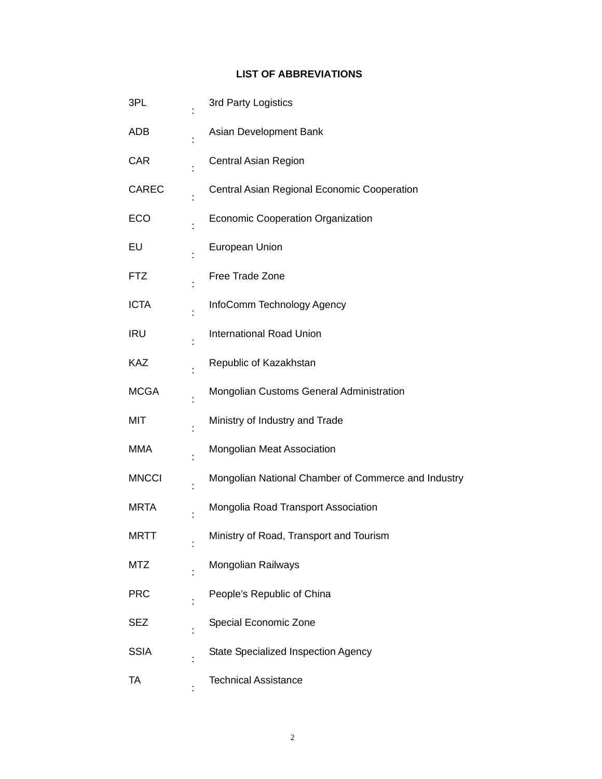#### **LIST OF ABBREVIATIONS**

| 3PL          | 3rd Party Logistics                                 |
|--------------|-----------------------------------------------------|
| ADB          | Asian Development Bank                              |
| <b>CAR</b>   | <b>Central Asian Region</b>                         |
| <b>CAREC</b> | Central Asian Regional Economic Cooperation         |
| ECO          | <b>Economic Cooperation Organization</b>            |
| EU           | European Union                                      |
| <b>FTZ</b>   | Free Trade Zone                                     |
| <b>ICTA</b>  | InfoComm Technology Agency                          |
| <b>IRU</b>   | <b>International Road Union</b>                     |
| <b>KAZ</b>   | Republic of Kazakhstan                              |
| <b>MCGA</b>  | Mongolian Customs General Administration            |
| MIT          | Ministry of Industry and Trade                      |
| <b>MMA</b>   | <b>Mongolian Meat Association</b>                   |
| <b>MNCCI</b> | Mongolian National Chamber of Commerce and Industry |
| <b>MRTA</b>  | Mongolia Road Transport Association                 |
| <b>MRTT</b>  | Ministry of Road, Transport and Tourism             |
| <b>MTZ</b>   | Mongolian Railways                                  |
| <b>PRC</b>   | People's Republic of China                          |
| <b>SEZ</b>   | Special Economic Zone                               |
| <b>SSIA</b>  | State Specialized Inspection Agency                 |
| TA           | <b>Technical Assistance</b>                         |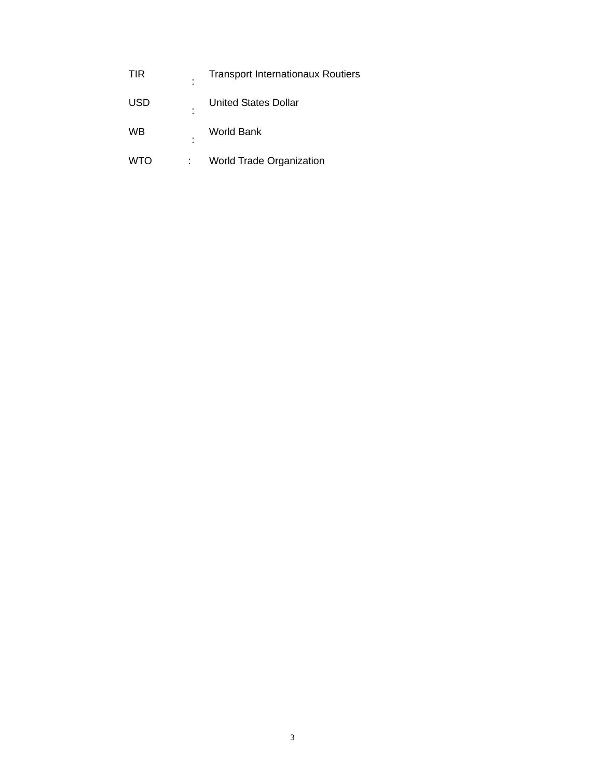| <b>TIR</b> | ٠<br>٠ | <b>Transport Internationaux Routiers</b> |
|------------|--------|------------------------------------------|
| <b>USD</b> | ٠<br>٠ | <b>United States Dollar</b>              |
| WB         | ٠<br>٠ | <b>World Bank</b>                        |
| <b>WTO</b> | İ.     | <b>World Trade Organization</b>          |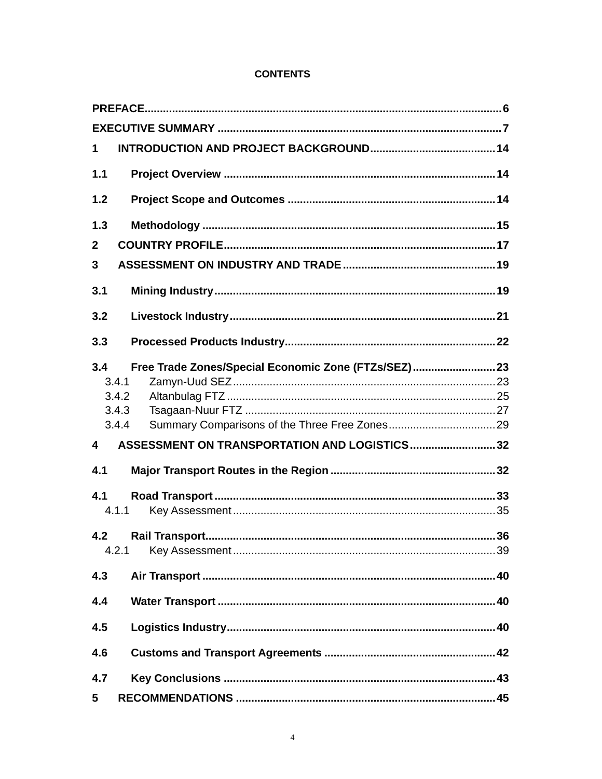#### **CONTENTS**

| 1                                                          |  |
|------------------------------------------------------------|--|
| 1.1                                                        |  |
| 1.2                                                        |  |
| 1.3                                                        |  |
| $\mathbf{2}$                                               |  |
| $\overline{3}$                                             |  |
| 3.1                                                        |  |
| 3.2                                                        |  |
| 3.3                                                        |  |
| 3.4<br>Free Trade Zones/Special Economic Zone (FTZs/SEZ)23 |  |
| 3.4.1                                                      |  |
| 3.4.2                                                      |  |
| 3.4.3                                                      |  |
| 3.4.4                                                      |  |
| ASSESSMENT ON TRANSPORTATION AND LOGISTICS32<br>4          |  |
| 4.1                                                        |  |
| 4.1                                                        |  |
| 4.1.1                                                      |  |
| 4.2                                                        |  |
| 4.2.1                                                      |  |
| 4.3                                                        |  |
| 4.4                                                        |  |
| 4.5                                                        |  |
| 4.6                                                        |  |
| 4.7                                                        |  |
| $5\phantom{.0}$                                            |  |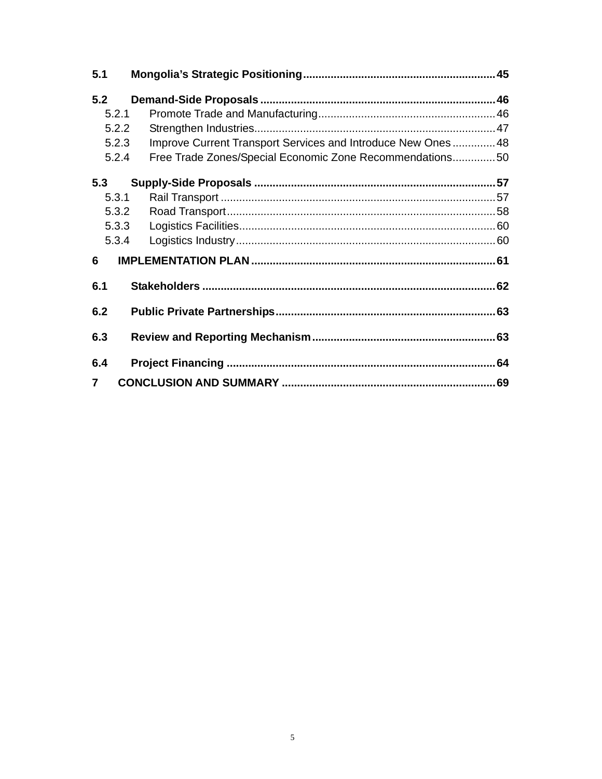| 5.1 |       |                                                              |  |
|-----|-------|--------------------------------------------------------------|--|
| 5.2 |       |                                                              |  |
|     | 5.2.1 |                                                              |  |
|     | 5.2.2 |                                                              |  |
|     | 5.2.3 | Improve Current Transport Services and Introduce New Ones 48 |  |
|     | 5.2.4 | Free Trade Zones/Special Economic Zone Recommendations50     |  |
| 5.3 |       |                                                              |  |
|     | 5.3.1 |                                                              |  |
|     | 5.3.2 |                                                              |  |
|     | 5.3.3 |                                                              |  |
|     | 5.3.4 |                                                              |  |
| 6   |       |                                                              |  |
| 6.1 |       |                                                              |  |
| 6.2 |       |                                                              |  |
| 6.3 |       |                                                              |  |
| 6.4 |       |                                                              |  |
| 7   |       |                                                              |  |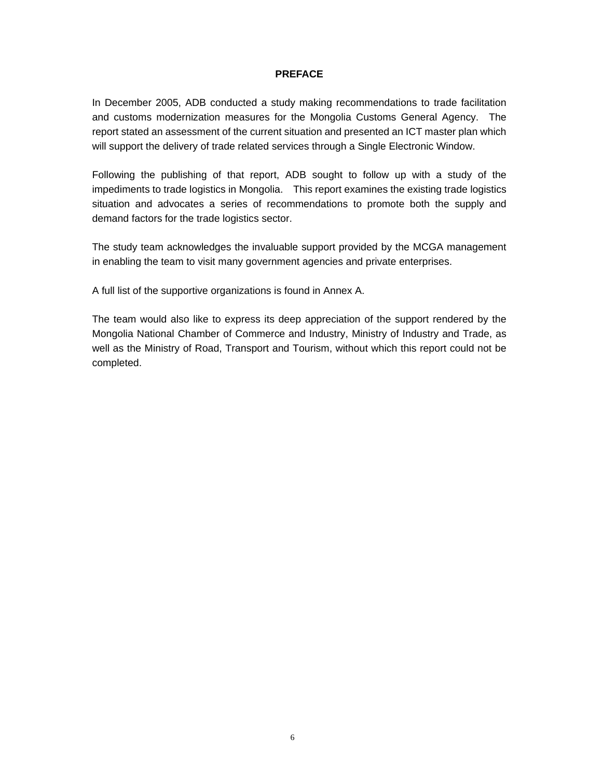#### **PREFACE**

In December 2005, ADB conducted a study making recommendations to trade facilitation and customs modernization measures for the Mongolia Customs General Agency. The report stated an assessment of the current situation and presented an ICT master plan which will support the delivery of trade related services through a Single Electronic Window.

Following the publishing of that report, ADB sought to follow up with a study of the impediments to trade logistics in Mongolia. This report examines the existing trade logistics situation and advocates a series of recommendations to promote both the supply and demand factors for the trade logistics sector.

The study team acknowledges the invaluable support provided by the MCGA management in enabling the team to visit many government agencies and private enterprises.

A full list of the supportive organizations is found in Annex A.

The team would also like to express its deep appreciation of the support rendered by the Mongolia National Chamber of Commerce and Industry, Ministry of Industry and Trade, as well as the Ministry of Road, Transport and Tourism, without which this report could not be completed.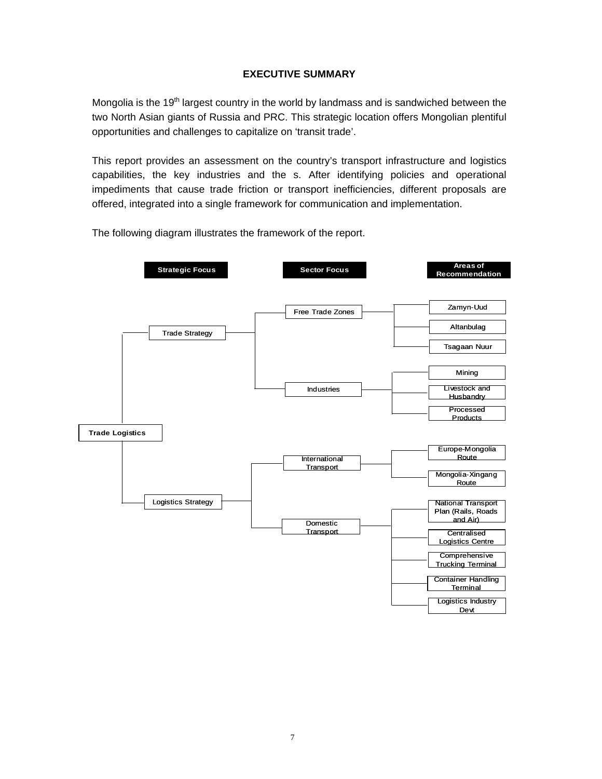#### **EXECUTIVE SUMMARY**

Mongolia is the  $19<sup>th</sup>$  largest country in the world by landmass and is sandwiched between the two North Asian giants of Russia and PRC. This strategic location offers Mongolian plentiful opportunities and challenges to capitalize on 'transit trade'.

This report provides an assessment on the country's transport infrastructure and logistics capabilities, the key industries and the s. After identifying policies and operational impediments that cause trade friction or transport inefficiencies, different proposals are offered, integrated into a single framework for communication and implementation.

The following diagram illustrates the framework of the report.

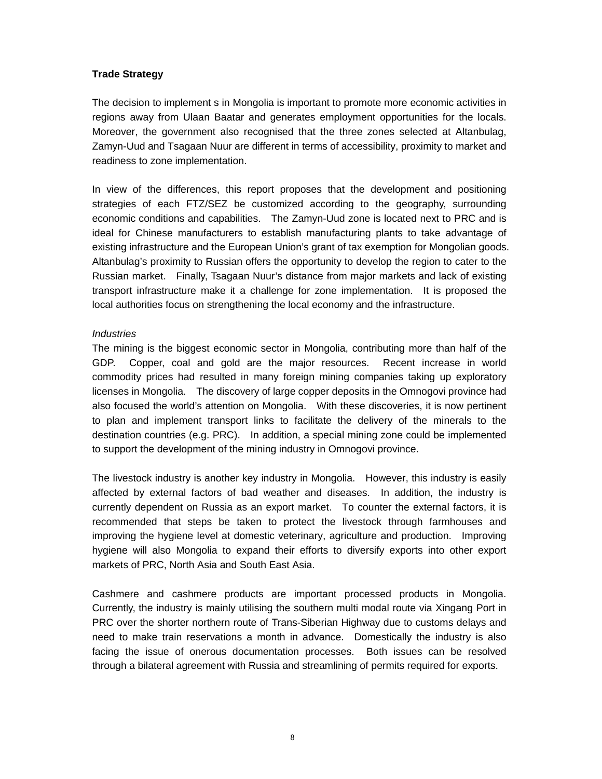#### **Trade Strategy**

The decision to implement s in Mongolia is important to promote more economic activities in regions away from Ulaan Baatar and generates employment opportunities for the locals. Moreover, the government also recognised that the three zones selected at Altanbulag, Zamyn-Uud and Tsagaan Nuur are different in terms of accessibility, proximity to market and readiness to zone implementation.

In view of the differences, this report proposes that the development and positioning strategies of each FTZ/SEZ be customized according to the geography, surrounding economic conditions and capabilities. The Zamyn-Uud zone is located next to PRC and is ideal for Chinese manufacturers to establish manufacturing plants to take advantage of existing infrastructure and the European Union's grant of tax exemption for Mongolian goods. Altanbulag's proximity to Russian offers the opportunity to develop the region to cater to the Russian market. Finally, Tsagaan Nuur's distance from major markets and lack of existing transport infrastructure make it a challenge for zone implementation. It is proposed the local authorities focus on strengthening the local economy and the infrastructure.

#### *Industries*

The mining is the biggest economic sector in Mongolia, contributing more than half of the GDP. Copper, coal and gold are the major resources. Recent increase in world commodity prices had resulted in many foreign mining companies taking up exploratory licenses in Mongolia. The discovery of large copper deposits in the Omnogovi province had also focused the world's attention on Mongolia. With these discoveries, it is now pertinent to plan and implement transport links to facilitate the delivery of the minerals to the destination countries (e.g. PRC). In addition, a special mining zone could be implemented to support the development of the mining industry in Omnogovi province.

The livestock industry is another key industry in Mongolia. However, this industry is easily affected by external factors of bad weather and diseases. In addition, the industry is currently dependent on Russia as an export market. To counter the external factors, it is recommended that steps be taken to protect the livestock through farmhouses and improving the hygiene level at domestic veterinary, agriculture and production. Improving hygiene will also Mongolia to expand their efforts to diversify exports into other export markets of PRC, North Asia and South East Asia.

Cashmere and cashmere products are important processed products in Mongolia. Currently, the industry is mainly utilising the southern multi modal route via Xingang Port in PRC over the shorter northern route of Trans-Siberian Highway due to customs delays and need to make train reservations a month in advance. Domestically the industry is also facing the issue of onerous documentation processes. Both issues can be resolved through a bilateral agreement with Russia and streamlining of permits required for exports.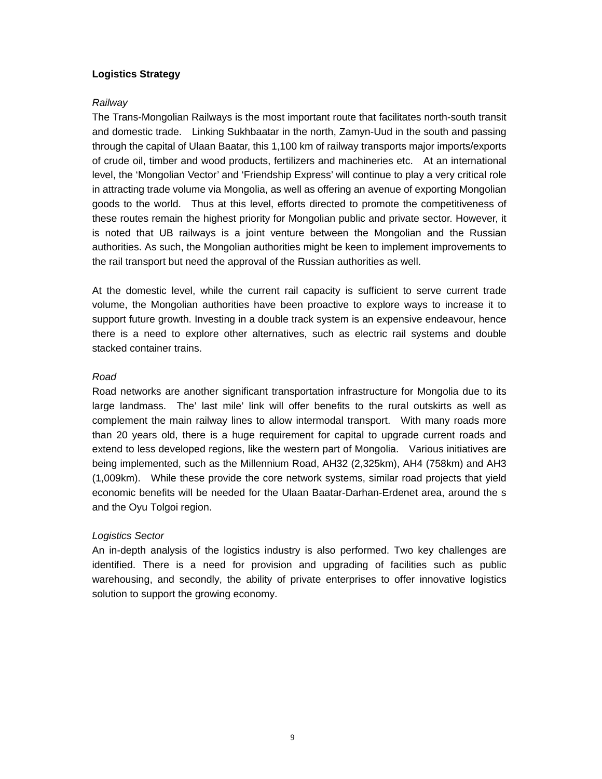#### **Logistics Strategy**

#### *Railway*

The Trans-Mongolian Railways is the most important route that facilitates north-south transit and domestic trade. Linking Sukhbaatar in the north, Zamyn-Uud in the south and passing through the capital of Ulaan Baatar, this 1,100 km of railway transports major imports/exports of crude oil, timber and wood products, fertilizers and machineries etc. At an international level, the 'Mongolian Vector' and 'Friendship Express' will continue to play a very critical role in attracting trade volume via Mongolia, as well as offering an avenue of exporting Mongolian goods to the world. Thus at this level, efforts directed to promote the competitiveness of these routes remain the highest priority for Mongolian public and private sector. However, it is noted that UB railways is a joint venture between the Mongolian and the Russian authorities. As such, the Mongolian authorities might be keen to implement improvements to the rail transport but need the approval of the Russian authorities as well.

At the domestic level, while the current rail capacity is sufficient to serve current trade volume, the Mongolian authorities have been proactive to explore ways to increase it to support future growth. Investing in a double track system is an expensive endeavour, hence there is a need to explore other alternatives, such as electric rail systems and double stacked container trains.

#### *Road*

Road networks are another significant transportation infrastructure for Mongolia due to its large landmass. The' last mile' link will offer benefits to the rural outskirts as well as complement the main railway lines to allow intermodal transport. With many roads more than 20 years old, there is a huge requirement for capital to upgrade current roads and extend to less developed regions, like the western part of Mongolia. Various initiatives are being implemented, such as the Millennium Road, AH32 (2,325km), AH4 (758km) and AH3 (1,009km). While these provide the core network systems, similar road projects that yield economic benefits will be needed for the Ulaan Baatar-Darhan-Erdenet area, around the s and the Oyu Tolgoi region.

#### *Logistics Sector*

An in-depth analysis of the logistics industry is also performed. Two key challenges are identified. There is a need for provision and upgrading of facilities such as public warehousing, and secondly, the ability of private enterprises to offer innovative logistics solution to support the growing economy.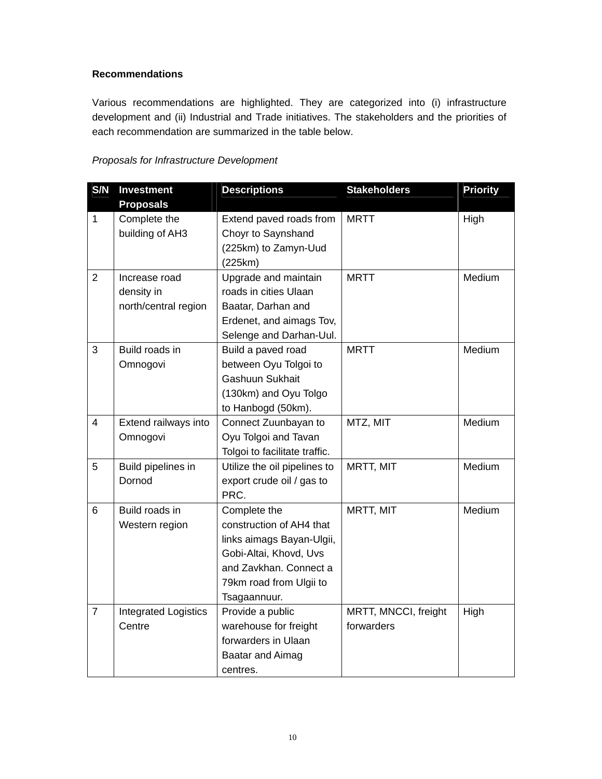#### **Recommendations**

Various recommendations are highlighted. They are categorized into (i) infrastructure development and (ii) Industrial and Trade initiatives. The stakeholders and the priorities of each recommendation are summarized in the table below.

#### *Proposals for Infrastructure Development*

| S/N            | <b>Investment</b>           | <b>Descriptions</b>           | <b>Stakeholders</b>  | <b>Priority</b> |
|----------------|-----------------------------|-------------------------------|----------------------|-----------------|
|                | <b>Proposals</b>            |                               |                      |                 |
| $\mathbf{1}$   | Complete the                | Extend paved roads from       | <b>MRTT</b>          | High            |
|                | building of AH3             | Choyr to Saynshand            |                      |                 |
|                |                             | (225km) to Zamyn-Uud          |                      |                 |
|                |                             | (225km)                       |                      |                 |
| $\overline{2}$ | Increase road               | Upgrade and maintain          | <b>MRTT</b>          | Medium          |
|                | density in                  | roads in cities Ulaan         |                      |                 |
|                | north/central region        | Baatar, Darhan and            |                      |                 |
|                |                             | Erdenet, and aimags Tov,      |                      |                 |
|                |                             | Selenge and Darhan-Uul.       |                      |                 |
| 3              | Build roads in              | Build a paved road            | <b>MRTT</b>          | Medium          |
|                | Omnogovi                    | between Oyu Tolgoi to         |                      |                 |
|                |                             | Gashuun Sukhait               |                      |                 |
|                |                             | (130km) and Oyu Tolgo         |                      |                 |
|                |                             | to Hanbogd (50km).            |                      |                 |
| 4              | Extend railways into        | Connect Zuunbayan to          | MTZ, MIT             | Medium          |
|                | Omnogovi                    | Oyu Tolgoi and Tavan          |                      |                 |
|                |                             | Tolgoi to facilitate traffic. |                      |                 |
| 5              | Build pipelines in          | Utilize the oil pipelines to  | MRTT, MIT            | Medium          |
|                | Dornod                      | export crude oil / gas to     |                      |                 |
|                |                             | PRC.                          |                      |                 |
| 6              | Build roads in              | Complete the                  | MRTT, MIT            | Medium          |
|                | Western region              | construction of AH4 that      |                      |                 |
|                |                             | links aimags Bayan-Ulgii,     |                      |                 |
|                |                             | Gobi-Altai, Khovd, Uvs        |                      |                 |
|                |                             | and Zavkhan. Connect a        |                      |                 |
|                |                             | 79km road from Ulgii to       |                      |                 |
|                |                             | Tsagaannuur.                  |                      |                 |
| $\overline{7}$ | <b>Integrated Logistics</b> | Provide a public              | MRTT, MNCCI, freight | High            |
|                | Centre                      | warehouse for freight         | forwarders           |                 |
|                |                             | forwarders in Ulaan           |                      |                 |
|                |                             | Baatar and Aimag              |                      |                 |
|                |                             | centres.                      |                      |                 |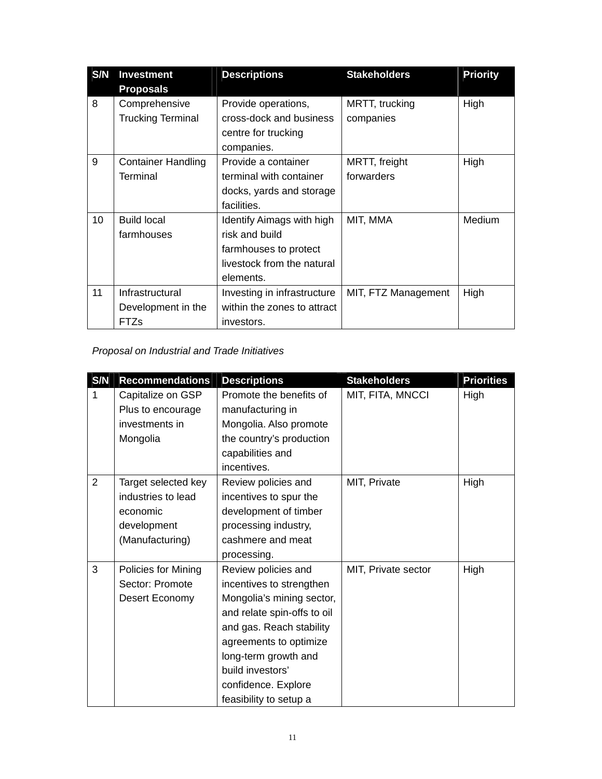| S/N | <b>Investment</b>         | <b>Descriptions</b>              | <b>Stakeholders</b> | <b>Priority</b> |
|-----|---------------------------|----------------------------------|---------------------|-----------------|
|     | <b>Proposals</b>          |                                  |                     |                 |
| 8   | Comprehensive             | Provide operations,              | MRTT, trucking      | High            |
|     | <b>Trucking Terminal</b>  | cross-dock and business          | companies           |                 |
|     |                           | centre for trucking              |                     |                 |
|     |                           | companies.                       |                     |                 |
| 9   | <b>Container Handling</b> | Provide a container              | MRTT, freight       | High            |
|     | Terminal                  | terminal with container          | forwarders          |                 |
|     |                           | docks, yards and storage         |                     |                 |
|     |                           | facilities.                      |                     |                 |
| 10  | <b>Build local</b>        | <b>Identify Aimags with high</b> | MIT, MMA            | <b>Medium</b>   |
|     | farmhouses                | risk and build                   |                     |                 |
|     |                           | farmhouses to protect            |                     |                 |
|     |                           | livestock from the natural       |                     |                 |
|     |                           | elements.                        |                     |                 |
| 11  | Infrastructural           | Investing in infrastructure      | MIT, FTZ Management | High            |
|     | Development in the        | within the zones to attract      |                     |                 |
|     | <b>FTZs</b>               | investors.                       |                     |                 |

## *Proposal on Industrial and Trade Initiatives*

| S/N            | <b>Recommendations</b> | <b>Descriptions</b>         | <b>Stakeholders</b> | <b>Priorities</b> |
|----------------|------------------------|-----------------------------|---------------------|-------------------|
| 1              | Capitalize on GSP      | Promote the benefits of     | MIT, FITA, MNCCI    | High              |
|                | Plus to encourage      | manufacturing in            |                     |                   |
|                | investments in         | Mongolia. Also promote      |                     |                   |
|                | Mongolia               | the country's production    |                     |                   |
|                |                        | capabilities and            |                     |                   |
|                |                        | incentives.                 |                     |                   |
| $\overline{2}$ | Target selected key    | Review policies and         | MIT, Private        | High              |
|                | industries to lead     | incentives to spur the      |                     |                   |
|                | economic               | development of timber       |                     |                   |
|                | development            | processing industry,        |                     |                   |
|                | (Manufacturing)        | cashmere and meat           |                     |                   |
|                |                        | processing.                 |                     |                   |
| 3              | Policies for Mining    | Review policies and         | MIT, Private sector | High              |
|                | Sector: Promote        | incentives to strengthen    |                     |                   |
|                | Desert Economy         | Mongolia's mining sector,   |                     |                   |
|                |                        | and relate spin-offs to oil |                     |                   |
|                |                        | and gas. Reach stability    |                     |                   |
|                |                        | agreements to optimize      |                     |                   |
|                |                        | long-term growth and        |                     |                   |
|                |                        | build investors'            |                     |                   |
|                |                        | confidence. Explore         |                     |                   |
|                |                        | feasibility to setup a      |                     |                   |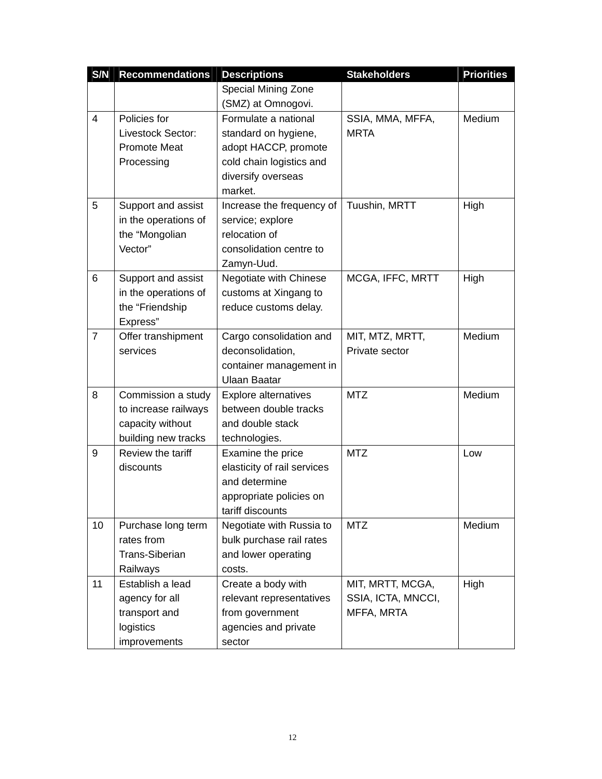| S/N            | <b>Recommendations</b> | <b>Descriptions</b>         | <b>Stakeholders</b> | <b>Priorities</b> |
|----------------|------------------------|-----------------------------|---------------------|-------------------|
|                |                        | Special Mining Zone         |                     |                   |
|                |                        | (SMZ) at Omnogovi.          |                     |                   |
| 4              | Policies for           | Formulate a national        | SSIA, MMA, MFFA,    | Medium            |
|                | Livestock Sector:      | standard on hygiene,        | <b>MRTA</b>         |                   |
|                | <b>Promote Meat</b>    | adopt HACCP, promote        |                     |                   |
|                | Processing             | cold chain logistics and    |                     |                   |
|                |                        | diversify overseas          |                     |                   |
|                |                        | market.                     |                     |                   |
| 5              | Support and assist     | Increase the frequency of   | Tuushin, MRTT       | High              |
|                | in the operations of   | service; explore            |                     |                   |
|                | the "Mongolian         | relocation of               |                     |                   |
|                | Vector"                | consolidation centre to     |                     |                   |
|                |                        | Zamyn-Uud.                  |                     |                   |
| 6              | Support and assist     | Negotiate with Chinese      | MCGA, IFFC, MRTT    | High              |
|                | in the operations of   | customs at Xingang to       |                     |                   |
|                | the "Friendship        | reduce customs delay.       |                     |                   |
|                | Express"               |                             |                     |                   |
| $\overline{7}$ | Offer transhipment     | Cargo consolidation and     | MIT, MTZ, MRTT,     | Medium            |
|                | services               | deconsolidation,            | Private sector      |                   |
|                |                        | container management in     |                     |                   |
|                |                        | <b>Ulaan Baatar</b>         |                     |                   |
| 8              | Commission a study     | Explore alternatives        | <b>MTZ</b>          | Medium            |
|                | to increase railways   | between double tracks       |                     |                   |
|                | capacity without       | and double stack            |                     |                   |
|                | building new tracks    | technologies.               |                     |                   |
| 9              | Review the tariff      | Examine the price           | <b>MTZ</b>          | Low               |
|                | discounts              | elasticity of rail services |                     |                   |
|                |                        | and determine               |                     |                   |
|                |                        | appropriate policies on     |                     |                   |
|                |                        | tariff discounts            |                     |                   |
| 10             | Purchase long term     | Negotiate with Russia to    | <b>MTZ</b>          | Medium            |
|                | rates from             | bulk purchase rail rates    |                     |                   |
|                | <b>Trans-Siberian</b>  | and lower operating         |                     |                   |
|                | Railways               | costs.                      |                     |                   |
| 11             | Establish a lead       | Create a body with          | MIT, MRTT, MCGA,    | High              |
|                | agency for all         | relevant representatives    | SSIA, ICTA, MNCCI,  |                   |
|                | transport and          | from government             | MFFA, MRTA          |                   |
|                | logistics              | agencies and private        |                     |                   |
|                | improvements           | sector                      |                     |                   |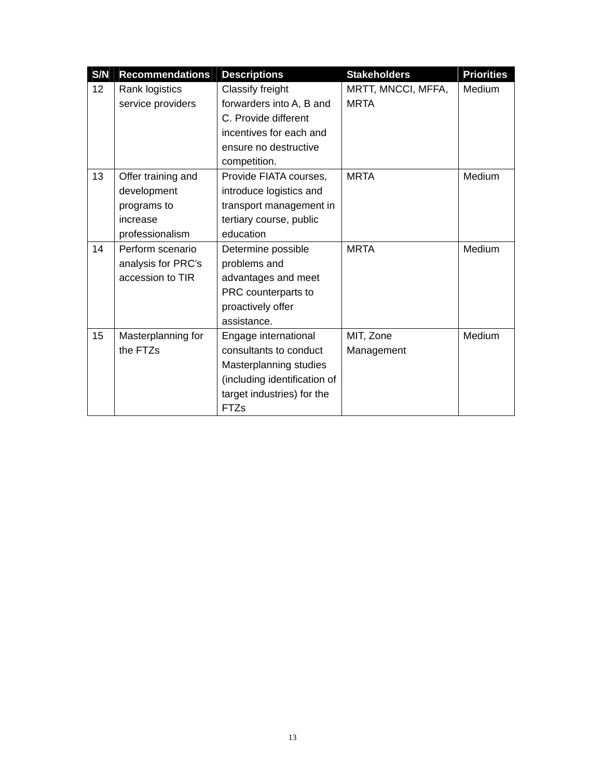| S/N | <b>Recommendations</b> | <b>Descriptions</b>          | <b>Stakeholders</b> | <b>Priorities</b> |
|-----|------------------------|------------------------------|---------------------|-------------------|
| 12  | Rank logistics         | Classify freight             | MRTT, MNCCI, MFFA,  | Medium            |
|     | service providers      | forwarders into A, B and     | <b>MRTA</b>         |                   |
|     |                        | C. Provide different         |                     |                   |
|     |                        | incentives for each and      |                     |                   |
|     |                        | ensure no destructive        |                     |                   |
|     |                        | competition.                 |                     |                   |
| 13  | Offer training and     | Provide FIATA courses,       | <b>MRTA</b>         | Medium            |
|     | development            | introduce logistics and      |                     |                   |
|     | programs to            | transport management in      |                     |                   |
|     | increase               | tertiary course, public      |                     |                   |
|     | professionalism        | education                    |                     |                   |
| 14  | Perform scenario       | Determine possible           | <b>MRTA</b>         | Medium            |
|     | analysis for PRC's     | problems and                 |                     |                   |
|     | accession to TIR       | advantages and meet          |                     |                   |
|     |                        | PRC counterparts to          |                     |                   |
|     |                        | proactively offer            |                     |                   |
|     |                        | assistance.                  |                     |                   |
| 15  | Masterplanning for     | Engage international         | MIT, Zone           | <b>Medium</b>     |
|     | the FTZs               | consultants to conduct       | Management          |                   |
|     |                        | Masterplanning studies       |                     |                   |
|     |                        | (including identification of |                     |                   |
|     |                        | target industries) for the   |                     |                   |
|     |                        | <b>FTZs</b>                  |                     |                   |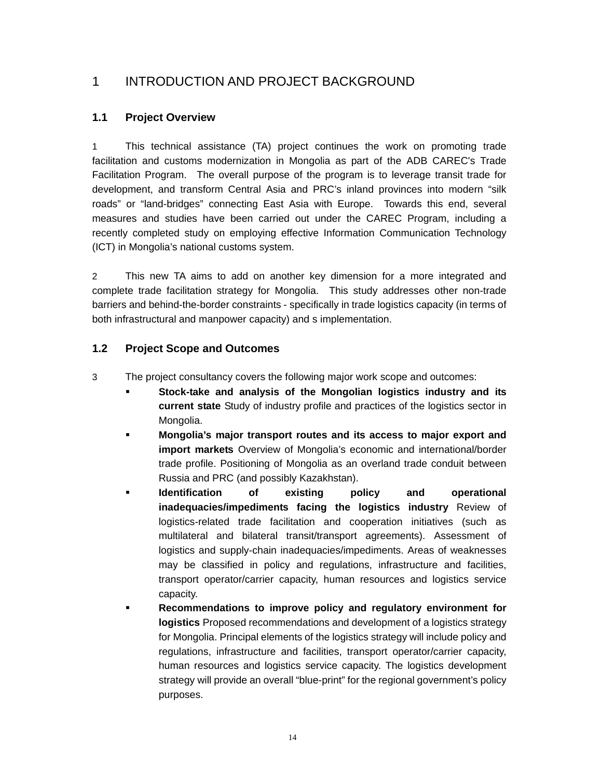# 1 INTRODUCTION AND PROJECT BACKGROUND

#### **1.1 Project Overview**

1 This technical assistance (TA) project continues the work on promoting trade facilitation and customs modernization in Mongolia as part of the ADB CAREC's Trade Facilitation Program. The overall purpose of the program is to leverage transit trade for development, and transform Central Asia and PRC's inland provinces into modern "silk roads" or "land-bridges" connecting East Asia with Europe. Towards this end, several measures and studies have been carried out under the CAREC Program, including a recently completed study on employing effective Information Communication Technology (ICT) in Mongolia's national customs system.

2 This new TA aims to add on another key dimension for a more integrated and complete trade facilitation strategy for Mongolia. This study addresses other non-trade barriers and behind-the-border constraints - specifically in trade logistics capacity (in terms of both infrastructural and manpower capacity) and s implementation.

#### **1.2 Project Scope and Outcomes**

- 3 The project consultancy covers the following major work scope and outcomes:
	- **Stock-take and analysis of the Mongolian logistics industry and its current state** Study of industry profile and practices of the logistics sector in Mongolia.
	- **Mongolia's major transport routes and its access to major export and import markets** Overview of Mongolia's economic and international/border trade profile. Positioning of Mongolia as an overland trade conduit between Russia and PRC (and possibly Kazakhstan).
	- **Identification of existing policy and operational inadequacies/impediments facing the logistics industry** Review of logistics-related trade facilitation and cooperation initiatives (such as multilateral and bilateral transit/transport agreements). Assessment of logistics and supply-chain inadequacies/impediments. Areas of weaknesses may be classified in policy and regulations, infrastructure and facilities, transport operator/carrier capacity, human resources and logistics service capacity.
	- **Recommendations to improve policy and regulatory environment for logistics** Proposed recommendations and development of a logistics strategy for Mongolia. Principal elements of the logistics strategy will include policy and regulations, infrastructure and facilities, transport operator/carrier capacity, human resources and logistics service capacity. The logistics development strategy will provide an overall "blue-print" for the regional government's policy purposes.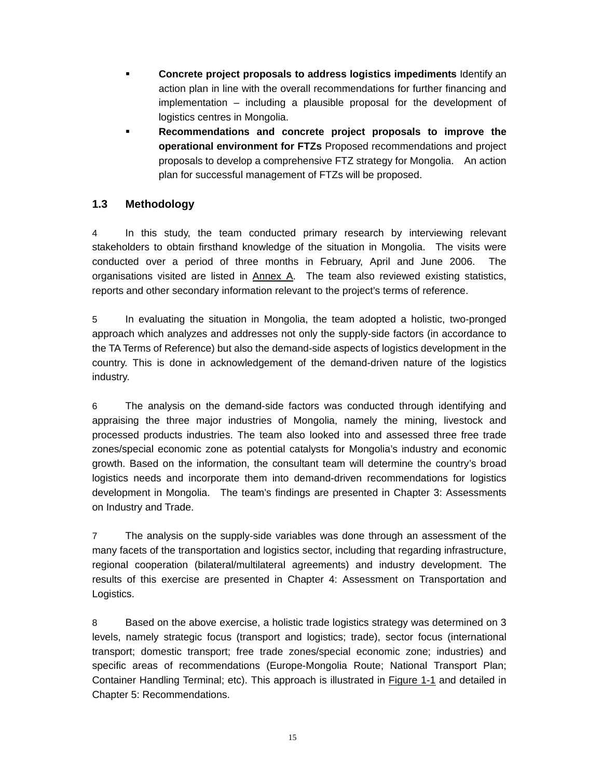- **Concrete project proposals to address logistics impediments** Identify an action plan in line with the overall recommendations for further financing and implementation – including a plausible proposal for the development of logistics centres in Mongolia.
- **Recommendations and concrete project proposals to improve the operational environment for FTZs** Proposed recommendations and project proposals to develop a comprehensive FTZ strategy for Mongolia. An action plan for successful management of FTZs will be proposed.

#### **1.3 Methodology**

4 In this study, the team conducted primary research by interviewing relevant stakeholders to obtain firsthand knowledge of the situation in Mongolia. The visits were conducted over a period of three months in February, April and June 2006. The organisations visited are listed in Annex A. The team also reviewed existing statistics, reports and other secondary information relevant to the project's terms of reference.

5 In evaluating the situation in Mongolia, the team adopted a holistic, two-pronged approach which analyzes and addresses not only the supply-side factors (in accordance to the TA Terms of Reference) but also the demand-side aspects of logistics development in the country. This is done in acknowledgement of the demand-driven nature of the logistics industry.

6 The analysis on the demand-side factors was conducted through identifying and appraising the three major industries of Mongolia, namely the mining, livestock and processed products industries. The team also looked into and assessed three free trade zones/special economic zone as potential catalysts for Mongolia's industry and economic growth. Based on the information, the consultant team will determine the country's broad logistics needs and incorporate them into demand-driven recommendations for logistics development in Mongolia. The team's findings are presented in Chapter 3: Assessments on Industry and Trade.

7 The analysis on the supply-side variables was done through an assessment of the many facets of the transportation and logistics sector, including that regarding infrastructure, regional cooperation (bilateral/multilateral agreements) and industry development. The results of this exercise are presented in Chapter 4: Assessment on Transportation and Logistics.

8 Based on the above exercise, a holistic trade logistics strategy was determined on 3 levels, namely strategic focus (transport and logistics; trade), sector focus (international transport; domestic transport; free trade zones/special economic zone; industries) and specific areas of recommendations (Europe-Mongolia Route; National Transport Plan; Container Handling Terminal; etc). This approach is illustrated in Figure 1-1 and detailed in Chapter 5: Recommendations.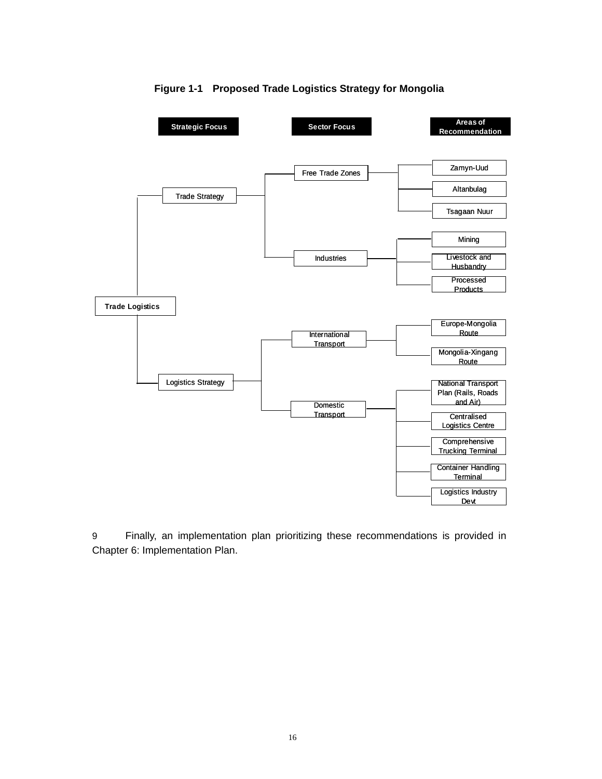

#### **Figure 1-1 Proposed Trade Logistics Strategy for Mongolia**

9 Finally, an implementation plan prioritizing these recommendations is provided in Chapter 6: Implementation Plan.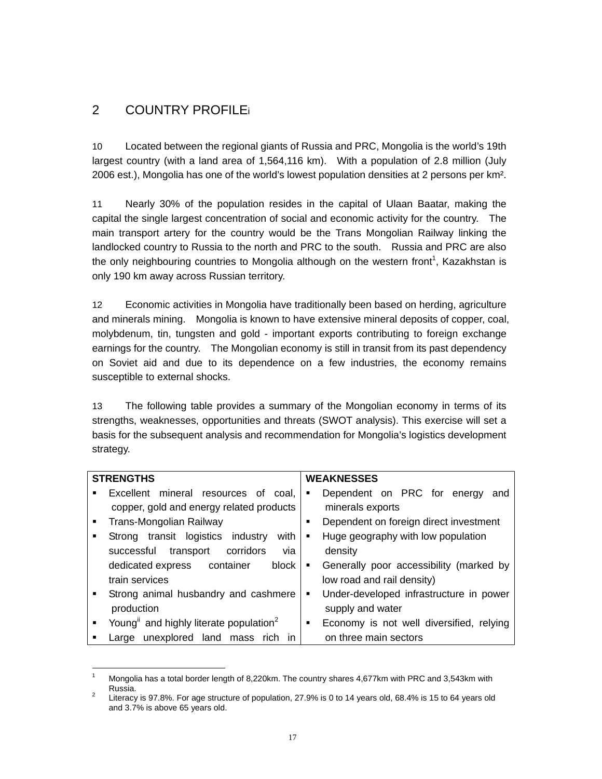# 2 COUNTRY PROFILEi

10 Located between the regional giants of Russia and PRC, Mongolia is the world's 19th largest country (with a land area of 1,564,116 km). With a population of 2.8 million (July 2006 est.), Mongolia has one of the world's lowest population densities at 2 persons per km².

11 Nearly 30% of the population resides in the capital of Ulaan Baatar, making the capital the single largest concentration of social and economic activity for the country. The main transport artery for the country would be the Trans Mongolian Railway linking the landlocked country to Russia to the north and PRC to the south. Russia and PRC are also the only neighbouring countries to Mongolia although on the western front<sup>1</sup>, Kazakhstan is only 190 km away across Russian territory.

12 Economic activities in Mongolia have traditionally been based on herding, agriculture and minerals mining. Mongolia is known to have extensive mineral deposits of copper, coal, molybdenum, tin, tungsten and gold - important exports contributing to foreign exchange earnings for the country. The Mongolian economy is still in transit from its past dependency on Soviet aid and due to its dependence on a few industries, the economy remains susceptible to external shocks.

13 The following table provides a summary of the Mongolian economy in terms of its strengths, weaknesses, opportunities and threats (SWOT analysis). This exercise will set a basis for the subsequent analysis and recommendation for Mongolia's logistics development strategy.

|                  | <b>STRENGTHS</b>                                   |                | <b>WEAKNESSES</b>                        |
|------------------|----------------------------------------------------|----------------|------------------------------------------|
|                  | Excellent mineral resources<br>of<br>coal.         | п              | Dependent on PRC for energy<br>and       |
|                  | copper, gold and energy related products           |                | minerals exports                         |
| $\blacksquare$   | Trans-Mongolian Railway                            | ٠              | Dependent on foreign direct investment   |
| $\blacksquare$   | Strong transit logistics industry<br>with          | $\blacksquare$ | Huge geography with low population       |
|                  | corridors<br>successful<br>transport<br>via        |                | density                                  |
|                  | dedicated express<br>container<br>block            | п              | Generally poor accessibility (marked by  |
|                  | train services                                     |                | low road and rail density)               |
| $\blacksquare$ . | Strong animal husbandry and cashmere               | ٠              | Under-developed infrastructure in power  |
|                  | production                                         |                | supply and water                         |
|                  | Young" and highly literate population <sup>2</sup> | ٠              | Economy is not well diversified, relying |
|                  | unexplored land mass<br>rich<br>Large<br>ın        |                | on three main sectors                    |

 $\frac{1}{1}$  Mongolia has a total border length of 8,220km. The country shares 4,677km with PRC and 3,543km with Russia.

Literacy is 97.8%. For age structure of population, 27.9% is 0 to 14 years old, 68.4% is 15 to 64 years old and 3.7% is above 65 years old.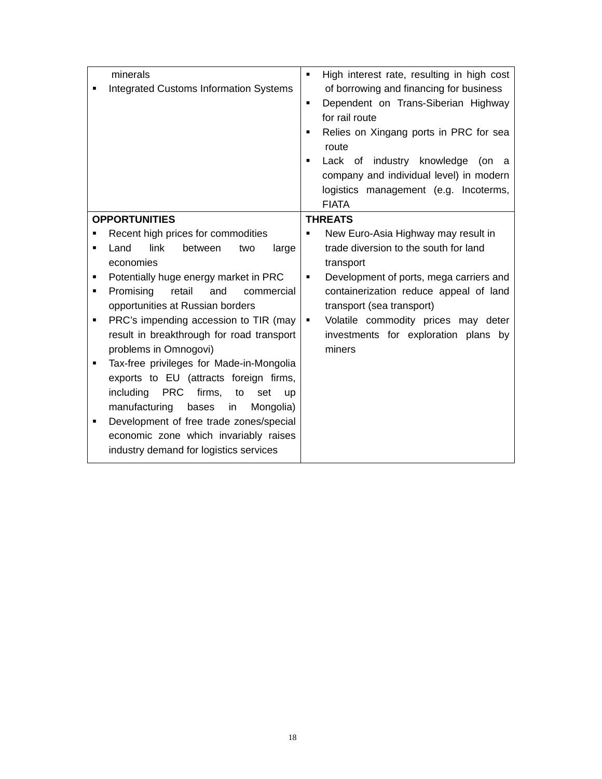|                | minerals                                                    | $\blacksquare$ | High interest rate, resulting in high cost |
|----------------|-------------------------------------------------------------|----------------|--------------------------------------------|
|                | <b>Integrated Customs Information Systems</b>               |                | of borrowing and financing for business    |
|                |                                                             | $\blacksquare$ | Dependent on Trans-Siberian Highway        |
|                |                                                             |                | for rail route                             |
|                |                                                             | $\blacksquare$ | Relies on Xingang ports in PRC for sea     |
|                |                                                             |                | route                                      |
|                |                                                             | $\blacksquare$ | Lack of industry knowledge<br>(on<br>a     |
|                |                                                             |                | company and individual level) in modern    |
|                |                                                             |                | logistics management (e.g. Incoterms,      |
|                |                                                             |                | <b>FIATA</b>                               |
|                | <b>OPPORTUNITIES</b>                                        |                | <b>THREATS</b>                             |
|                | Recent high prices for commodities                          | п              | New Euro-Asia Highway may result in        |
| $\blacksquare$ | link<br>Land<br>between<br>large<br>two                     |                | trade diversion to the south for land      |
|                | economies                                                   |                | transport                                  |
| п              | Potentially huge energy market in PRC                       | п              | Development of ports, mega carriers and    |
| ٠              | Promising<br>retail<br>and<br>commercial                    |                | containerization reduce appeal of land     |
|                | opportunities at Russian borders                            |                | transport (sea transport)                  |
| ٠              | PRC's impending accession to TIR (may                       | $\blacksquare$ | Volatile commodity prices may deter        |
|                | result in breakthrough for road transport                   |                | investments for exploration plans by       |
|                | problems in Omnogovi)                                       |                | miners                                     |
| $\blacksquare$ | Tax-free privileges for Made-in-Mongolia                    |                |                                            |
|                | exports to EU (attracts foreign firms,                      |                |                                            |
|                | <b>PRC</b><br>firms,<br>including<br>to<br>set<br><b>up</b> |                |                                            |
|                | manufacturing<br>bases<br>in<br>Mongolia)                   |                |                                            |
| п              | Development of free trade zones/special                     |                |                                            |
|                | economic zone which invariably raises                       |                |                                            |
|                | industry demand for logistics services                      |                |                                            |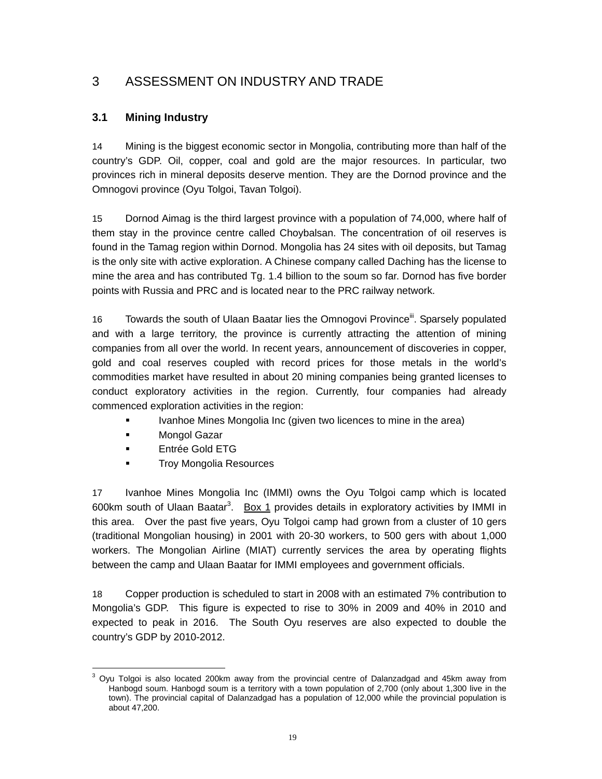# 3 ASSESSMENT ON INDUSTRY AND TRADE

#### **3.1 Mining Industry**

14 Mining is the biggest economic sector in Mongolia, contributing more than half of the country's GDP. Oil, copper, coal and gold are the major resources. In particular, two provinces rich in mineral deposits deserve mention. They are the Dornod province and the Omnogovi province (Oyu Tolgoi, Tavan Tolgoi).

15 Dornod Aimag is the third largest province with a population of 74,000, where half of them stay in the province centre called Choybalsan. The concentration of oil reserves is found in the Tamag region within Dornod. Mongolia has 24 sites with oil deposits, but Tamag is the only site with active exploration. A Chinese company called Daching has the license to mine the area and has contributed Tg. 1.4 billion to the soum so far. Dornod has five border points with Russia and PRC and is located near to the PRC railway network.

16 Towards the south of Ulaan Baatar lies the Omnogovi Province<sup>ii</sup>. Sparsely populated and with a large territory, the province is currently attracting the attention of mining companies from all over the world. In recent years, announcement of discoveries in copper, gold and coal reserves coupled with record prices for those metals in the world's commodities market have resulted in about 20 mining companies being granted licenses to conduct exploratory activities in the region. Currently, four companies had already commenced exploration activities in the region:

- Ivanhoe Mines Mongolia Inc (given two licences to mine in the area)
- **Mongol Gazar**
- **Entrée Gold ETG**
- **Troy Mongolia Resources**

17 Ivanhoe Mines Mongolia Inc (IMMI) owns the Oyu Tolgoi camp which is located 600km south of Ulaan Baatar<sup>3</sup>. <u>Box 1</u> provides details in exploratory activities by IMMI in this area. Over the past five years, Oyu Tolgoi camp had grown from a cluster of 10 gers (traditional Mongolian housing) in 2001 with 20-30 workers, to 500 gers with about 1,000 workers. The Mongolian Airline (MIAT) currently services the area by operating flights between the camp and Ulaan Baatar for IMMI employees and government officials.

18 Copper production is scheduled to start in 2008 with an estimated 7% contribution to Mongolia's GDP. This figure is expected to rise to 30% in 2009 and 40% in 2010 and expected to peak in 2016. The South Oyu reserves are also expected to double the country's GDP by 2010-2012.

 3 Oyu Tolgoi is also located 200km away from the provincial centre of Dalanzadgad and 45km away from Hanbogd soum. Hanbogd soum is a territory with a town population of 2,700 (only about 1,300 live in the town). The provincial capital of Dalanzadgad has a population of 12,000 while the provincial population is about 47,200.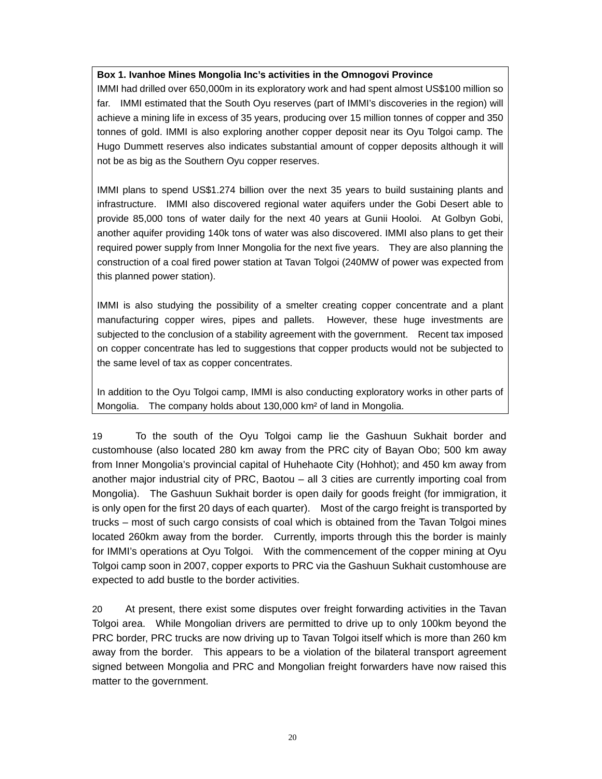#### **Box 1. Ivanhoe Mines Mongolia Inc's activities in the Omnogovi Province**

IMMI had drilled over 650,000m in its exploratory work and had spent almost US\$100 million so far. IMMI estimated that the South Oyu reserves (part of IMMI's discoveries in the region) will achieve a mining life in excess of 35 years, producing over 15 million tonnes of copper and 350 tonnes of gold. IMMI is also exploring another copper deposit near its Oyu Tolgoi camp. The Hugo Dummett reserves also indicates substantial amount of copper deposits although it will not be as big as the Southern Oyu copper reserves.

IMMI plans to spend US\$1.274 billion over the next 35 years to build sustaining plants and infrastructure. IMMI also discovered regional water aquifers under the Gobi Desert able to provide 85,000 tons of water daily for the next 40 years at Gunii Hooloi. At Golbyn Gobi, another aquifer providing 140k tons of water was also discovered. IMMI also plans to get their required power supply from Inner Mongolia for the next five years. They are also planning the construction of a coal fired power station at Tavan Tolgoi (240MW of power was expected from this planned power station).

IMMI is also studying the possibility of a smelter creating copper concentrate and a plant manufacturing copper wires, pipes and pallets. However, these huge investments are subjected to the conclusion of a stability agreement with the government. Recent tax imposed on copper concentrate has led to suggestions that copper products would not be subjected to the same level of tax as copper concentrates.

In addition to the Oyu Tolgoi camp, IMMI is also conducting exploratory works in other parts of Mongolia. The company holds about 130,000 km² of land in Mongolia.

19 To the south of the Oyu Tolgoi camp lie the Gashuun Sukhait border and customhouse (also located 280 km away from the PRC city of Bayan Obo; 500 km away from Inner Mongolia's provincial capital of Huhehaote City (Hohhot); and 450 km away from another major industrial city of PRC, Baotou – all 3 cities are currently importing coal from Mongolia). The Gashuun Sukhait border is open daily for goods freight (for immigration, it is only open for the first 20 days of each quarter). Most of the cargo freight is transported by trucks – most of such cargo consists of coal which is obtained from the Tavan Tolgoi mines located 260km away from the border. Currently, imports through this the border is mainly for IMMI's operations at Oyu Tolgoi. With the commencement of the copper mining at Oyu Tolgoi camp soon in 2007, copper exports to PRC via the Gashuun Sukhait customhouse are expected to add bustle to the border activities.

20 At present, there exist some disputes over freight forwarding activities in the Tavan Tolgoi area. While Mongolian drivers are permitted to drive up to only 100km beyond the PRC border, PRC trucks are now driving up to Tavan Tolgoi itself which is more than 260 km away from the border. This appears to be a violation of the bilateral transport agreement signed between Mongolia and PRC and Mongolian freight forwarders have now raised this matter to the government.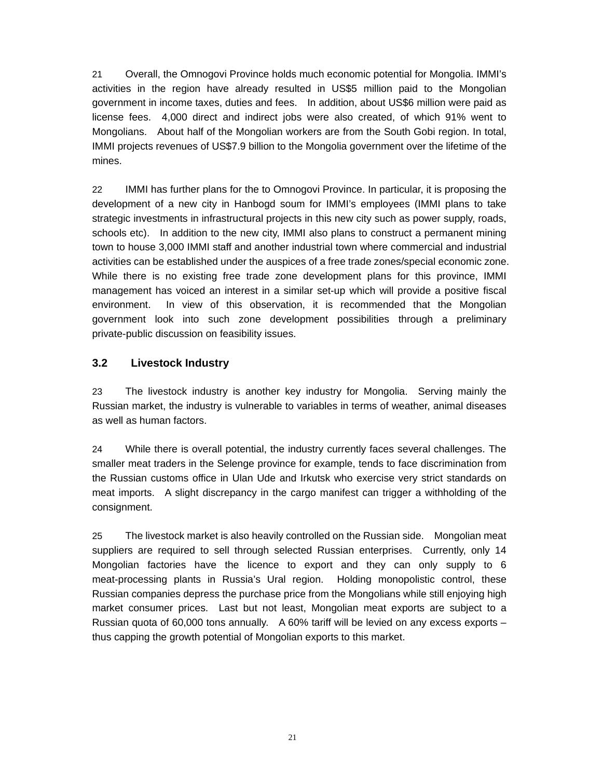21 Overall, the Omnogovi Province holds much economic potential for Mongolia. IMMI's activities in the region have already resulted in US\$5 million paid to the Mongolian government in income taxes, duties and fees. In addition, about US\$6 million were paid as license fees. 4,000 direct and indirect jobs were also created, of which 91% went to Mongolians. About half of the Mongolian workers are from the South Gobi region. In total, IMMI projects revenues of US\$7.9 billion to the Mongolia government over the lifetime of the mines.

22 IMMI has further plans for the to Omnogovi Province. In particular, it is proposing the development of a new city in Hanbogd soum for IMMI's employees (IMMI plans to take strategic investments in infrastructural projects in this new city such as power supply, roads, schools etc). In addition to the new city, IMMI also plans to construct a permanent mining town to house 3,000 IMMI staff and another industrial town where commercial and industrial activities can be established under the auspices of a free trade zones/special economic zone. While there is no existing free trade zone development plans for this province, IMMI management has voiced an interest in a similar set-up which will provide a positive fiscal environment. In view of this observation, it is recommended that the Mongolian government look into such zone development possibilities through a preliminary private-public discussion on feasibility issues.

#### **3.2 Livestock Industry**

23 The livestock industry is another key industry for Mongolia. Serving mainly the Russian market, the industry is vulnerable to variables in terms of weather, animal diseases as well as human factors.

24 While there is overall potential, the industry currently faces several challenges. The smaller meat traders in the Selenge province for example, tends to face discrimination from the Russian customs office in Ulan Ude and Irkutsk who exercise very strict standards on meat imports. A slight discrepancy in the cargo manifest can trigger a withholding of the consignment.

25 The livestock market is also heavily controlled on the Russian side. Mongolian meat suppliers are required to sell through selected Russian enterprises. Currently, only 14 Mongolian factories have the licence to export and they can only supply to 6 meat-processing plants in Russia's Ural region. Holding monopolistic control, these Russian companies depress the purchase price from the Mongolians while still enjoying high market consumer prices. Last but not least, Mongolian meat exports are subject to a Russian quota of 60,000 tons annually. A 60% tariff will be levied on any excess exports – thus capping the growth potential of Mongolian exports to this market.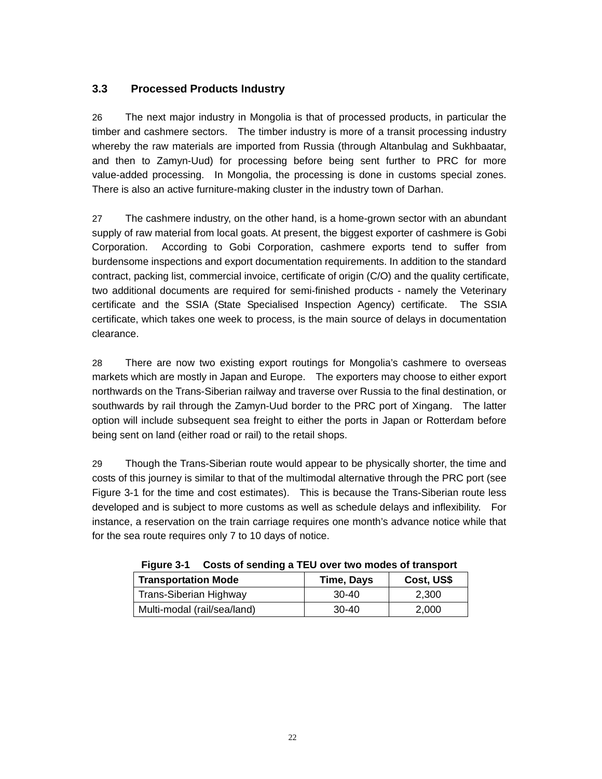#### **3.3 Processed Products Industry**

26 The next major industry in Mongolia is that of processed products, in particular the timber and cashmere sectors. The timber industry is more of a transit processing industry whereby the raw materials are imported from Russia (through Altanbulag and Sukhbaatar, and then to Zamyn-Uud) for processing before being sent further to PRC for more value-added processing. In Mongolia, the processing is done in customs special zones. There is also an active furniture-making cluster in the industry town of Darhan.

27 The cashmere industry, on the other hand, is a home-grown sector with an abundant supply of raw material from local goats. At present, the biggest exporter of cashmere is Gobi Corporation. According to Gobi Corporation, cashmere exports tend to suffer from burdensome inspections and export documentation requirements. In addition to the standard contract, packing list, commercial invoice, certificate of origin (C/O) and the quality certificate, two additional documents are required for semi-finished products - namely the Veterinary certificate and the SSIA (State Specialised Inspection Agency) certificate. The SSIA certificate, which takes one week to process, is the main source of delays in documentation clearance.

28 There are now two existing export routings for Mongolia's cashmere to overseas markets which are mostly in Japan and Europe. The exporters may choose to either export northwards on the Trans-Siberian railway and traverse over Russia to the final destination, or southwards by rail through the Zamyn-Uud border to the PRC port of Xingang. The latter option will include subsequent sea freight to either the ports in Japan or Rotterdam before being sent on land (either road or rail) to the retail shops.

29 Though the Trans-Siberian route would appear to be physically shorter, the time and costs of this journey is similar to that of the multimodal alternative through the PRC port (see Figure 3-1 for the time and cost estimates). This is because the Trans-Siberian route less developed and is subject to more customs as well as schedule delays and inflexibility. For instance, a reservation on the train carriage requires one month's advance notice while that for the sea route requires only 7 to 10 days of notice.

| <b>Transportation Mode</b>    | Time, Days | Cost, US\$ |  |  |
|-------------------------------|------------|------------|--|--|
| <b>Trans-Siberian Highway</b> | $30-40$    | 2.300      |  |  |
| Multi-modal (rail/sea/land)   | $30-40$    | 2,000      |  |  |

**Figure 3-1 Costs of sending a TEU over two modes of transport**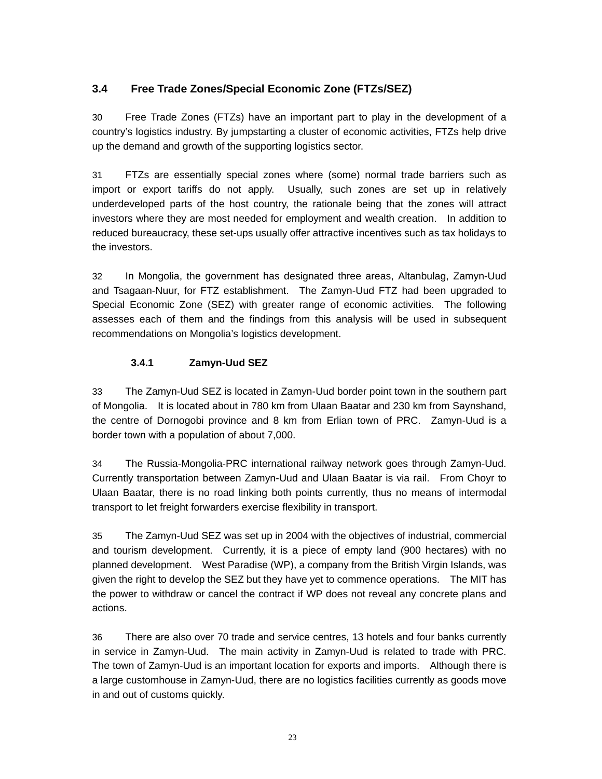### **3.4 Free Trade Zones/Special Economic Zone (FTZs/SEZ)**

30 Free Trade Zones (FTZs) have an important part to play in the development of a country's logistics industry. By jumpstarting a cluster of economic activities, FTZs help drive up the demand and growth of the supporting logistics sector.

31 FTZs are essentially special zones where (some) normal trade barriers such as import or export tariffs do not apply. Usually, such zones are set up in relatively underdeveloped parts of the host country, the rationale being that the zones will attract investors where they are most needed for employment and wealth creation. In addition to reduced bureaucracy, these set-ups usually offer attractive incentives such as tax holidays to the investors.

32 In Mongolia, the government has designated three areas, Altanbulag, Zamyn-Uud and Tsagaan-Nuur, for FTZ establishment. The Zamyn-Uud FTZ had been upgraded to Special Economic Zone (SEZ) with greater range of economic activities. The following assesses each of them and the findings from this analysis will be used in subsequent recommendations on Mongolia's logistics development.

#### **3.4.1 Zamyn-Uud SEZ**

33 The Zamyn-Uud SEZ is located in Zamyn-Uud border point town in the southern part of Mongolia. It is located about in 780 km from Ulaan Baatar and 230 km from Saynshand, the centre of Dornogobi province and 8 km from Erlian town of PRC. Zamyn-Uud is a border town with a population of about 7,000.

34 The Russia-Mongolia-PRC international railway network goes through Zamyn-Uud. Currently transportation between Zamyn-Uud and Ulaan Baatar is via rail. From Choyr to Ulaan Baatar, there is no road linking both points currently, thus no means of intermodal transport to let freight forwarders exercise flexibility in transport.

35 The Zamyn-Uud SEZ was set up in 2004 with the objectives of industrial, commercial and tourism development. Currently, it is a piece of empty land (900 hectares) with no planned development. West Paradise (WP), a company from the British Virgin Islands, was given the right to develop the SEZ but they have yet to commence operations. The MIT has the power to withdraw or cancel the contract if WP does not reveal any concrete plans and actions.

36 There are also over 70 trade and service centres, 13 hotels and four banks currently in service in Zamyn-Uud. The main activity in Zamyn-Uud is related to trade with PRC. The town of Zamyn-Uud is an important location for exports and imports. Although there is a large customhouse in Zamyn-Uud, there are no logistics facilities currently as goods move in and out of customs quickly.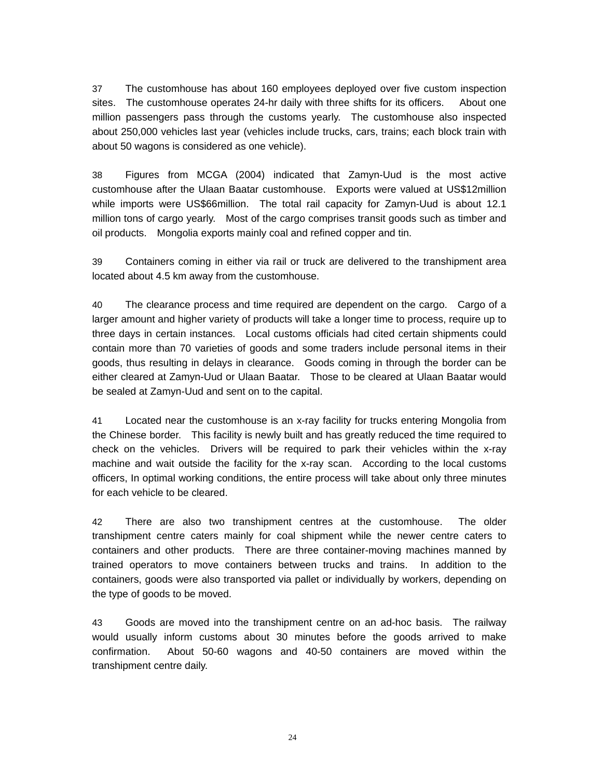37 The customhouse has about 160 employees deployed over five custom inspection sites. The customhouse operates 24-hr daily with three shifts for its officers. About one million passengers pass through the customs yearly. The customhouse also inspected about 250,000 vehicles last year (vehicles include trucks, cars, trains; each block train with about 50 wagons is considered as one vehicle).

38 Figures from MCGA (2004) indicated that Zamyn-Uud is the most active customhouse after the Ulaan Baatar customhouse. Exports were valued at US\$12million while imports were US\$66million. The total rail capacity for Zamyn-Uud is about 12.1 million tons of cargo yearly. Most of the cargo comprises transit goods such as timber and oil products. Mongolia exports mainly coal and refined copper and tin.

39 Containers coming in either via rail or truck are delivered to the transhipment area located about 4.5 km away from the customhouse.

40 The clearance process and time required are dependent on the cargo. Cargo of a larger amount and higher variety of products will take a longer time to process, require up to three days in certain instances. Local customs officials had cited certain shipments could contain more than 70 varieties of goods and some traders include personal items in their goods, thus resulting in delays in clearance. Goods coming in through the border can be either cleared at Zamyn-Uud or Ulaan Baatar. Those to be cleared at Ulaan Baatar would be sealed at Zamyn-Uud and sent on to the capital.

41 Located near the customhouse is an x-ray facility for trucks entering Mongolia from the Chinese border. This facility is newly built and has greatly reduced the time required to check on the vehicles. Drivers will be required to park their vehicles within the x-ray machine and wait outside the facility for the x-ray scan. According to the local customs officers, In optimal working conditions, the entire process will take about only three minutes for each vehicle to be cleared.

42 There are also two transhipment centres at the customhouse. The older transhipment centre caters mainly for coal shipment while the newer centre caters to containers and other products. There are three container-moving machines manned by trained operators to move containers between trucks and trains. In addition to the containers, goods were also transported via pallet or individually by workers, depending on the type of goods to be moved.

43 Goods are moved into the transhipment centre on an ad-hoc basis. The railway would usually inform customs about 30 minutes before the goods arrived to make confirmation. About 50-60 wagons and 40-50 containers are moved within the transhipment centre daily.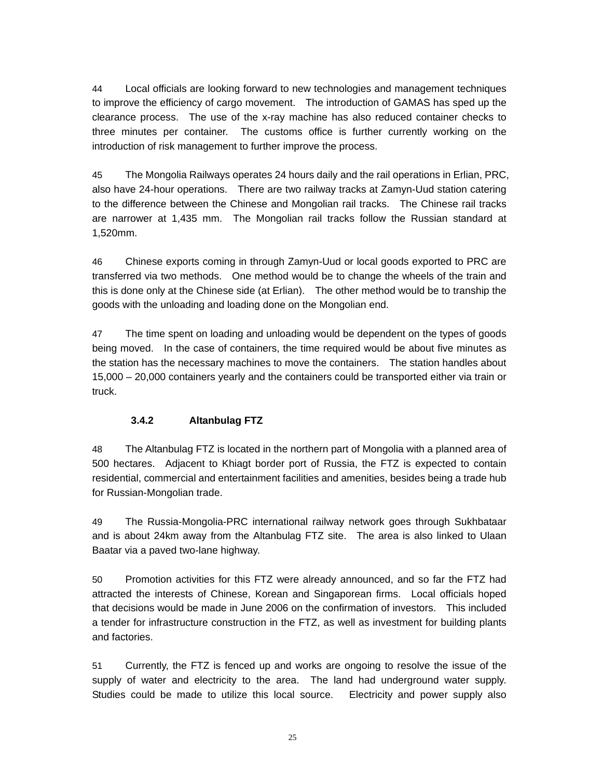44 Local officials are looking forward to new technologies and management techniques to improve the efficiency of cargo movement. The introduction of GAMAS has sped up the clearance process. The use of the x-ray machine has also reduced container checks to three minutes per container. The customs office is further currently working on the introduction of risk management to further improve the process.

45 The Mongolia Railways operates 24 hours daily and the rail operations in Erlian, PRC, also have 24-hour operations. There are two railway tracks at Zamyn-Uud station catering to the difference between the Chinese and Mongolian rail tracks. The Chinese rail tracks are narrower at 1,435 mm. The Mongolian rail tracks follow the Russian standard at 1,520mm.

46 Chinese exports coming in through Zamyn-Uud or local goods exported to PRC are transferred via two methods. One method would be to change the wheels of the train and this is done only at the Chinese side (at Erlian). The other method would be to tranship the goods with the unloading and loading done on the Mongolian end.

47 The time spent on loading and unloading would be dependent on the types of goods being moved. In the case of containers, the time required would be about five minutes as the station has the necessary machines to move the containers. The station handles about 15,000 – 20,000 containers yearly and the containers could be transported either via train or truck.

#### **3.4.2 Altanbulag FTZ**

48 The Altanbulag FTZ is located in the northern part of Mongolia with a planned area of 500 hectares. Adjacent to Khiagt border port of Russia, the FTZ is expected to contain residential, commercial and entertainment facilities and amenities, besides being a trade hub for Russian-Mongolian trade.

49 The Russia-Mongolia-PRC international railway network goes through Sukhbataar and is about 24km away from the Altanbulag FTZ site. The area is also linked to Ulaan Baatar via a paved two-lane highway.

50 Promotion activities for this FTZ were already announced, and so far the FTZ had attracted the interests of Chinese, Korean and Singaporean firms. Local officials hoped that decisions would be made in June 2006 on the confirmation of investors. This included a tender for infrastructure construction in the FTZ, as well as investment for building plants and factories.

51 Currently, the FTZ is fenced up and works are ongoing to resolve the issue of the supply of water and electricity to the area. The land had underground water supply. Studies could be made to utilize this local source. Electricity and power supply also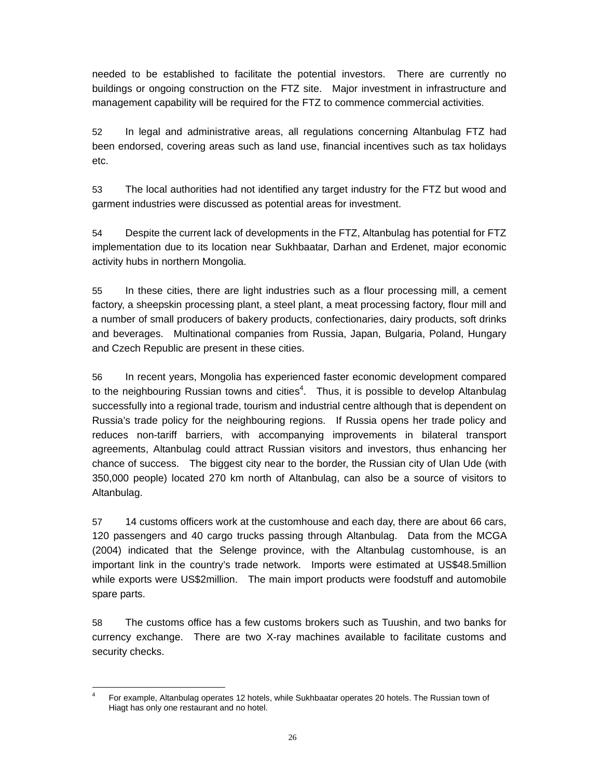needed to be established to facilitate the potential investors. There are currently no buildings or ongoing construction on the FTZ site. Major investment in infrastructure and management capability will be required for the FTZ to commence commercial activities.

52 In legal and administrative areas, all regulations concerning Altanbulag FTZ had been endorsed, covering areas such as land use, financial incentives such as tax holidays etc.

53 The local authorities had not identified any target industry for the FTZ but wood and garment industries were discussed as potential areas for investment.

54 Despite the current lack of developments in the FTZ, Altanbulag has potential for FTZ implementation due to its location near Sukhbaatar, Darhan and Erdenet, major economic activity hubs in northern Mongolia.

55 In these cities, there are light industries such as a flour processing mill, a cement factory, a sheepskin processing plant, a steel plant, a meat processing factory, flour mill and a number of small producers of bakery products, confectionaries, dairy products, soft drinks and beverages. Multinational companies from Russia, Japan, Bulgaria, Poland, Hungary and Czech Republic are present in these cities.

56 In recent years, Mongolia has experienced faster economic development compared to the neighbouring Russian towns and cities $4$ . Thus, it is possible to develop Altanbulag successfully into a regional trade, tourism and industrial centre although that is dependent on Russia's trade policy for the neighbouring regions. If Russia opens her trade policy and reduces non-tariff barriers, with accompanying improvements in bilateral transport agreements, Altanbulag could attract Russian visitors and investors, thus enhancing her chance of success. The biggest city near to the border, the Russian city of Ulan Ude (with 350,000 people) located 270 km north of Altanbulag, can also be a source of visitors to Altanbulag.

57 14 customs officers work at the customhouse and each day, there are about 66 cars, 120 passengers and 40 cargo trucks passing through Altanbulag. Data from the MCGA (2004) indicated that the Selenge province, with the Altanbulag customhouse, is an important link in the country's trade network. Imports were estimated at US\$48.5million while exports were US\$2million. The main import products were foodstuff and automobile spare parts.

58 The customs office has a few customs brokers such as Tuushin, and two banks for currency exchange. There are two X-ray machines available to facilitate customs and security checks.

 $\frac{1}{4}$  For example, Altanbulag operates 12 hotels, while Sukhbaatar operates 20 hotels. The Russian town of Hiagt has only one restaurant and no hotel.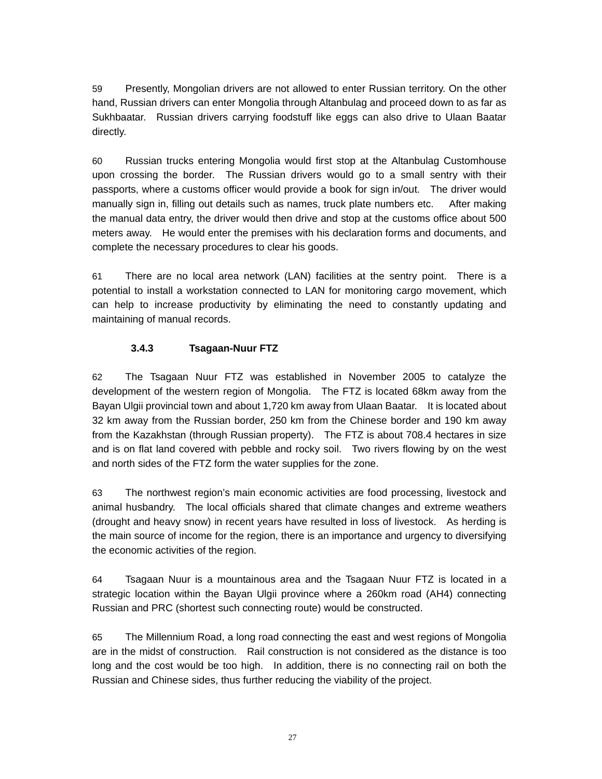59 Presently, Mongolian drivers are not allowed to enter Russian territory. On the other hand, Russian drivers can enter Mongolia through Altanbulag and proceed down to as far as Sukhbaatar. Russian drivers carrying foodstuff like eggs can also drive to Ulaan Baatar directly.

60 Russian trucks entering Mongolia would first stop at the Altanbulag Customhouse upon crossing the border. The Russian drivers would go to a small sentry with their passports, where a customs officer would provide a book for sign in/out. The driver would manually sign in, filling out details such as names, truck plate numbers etc. After making the manual data entry, the driver would then drive and stop at the customs office about 500 meters away. He would enter the premises with his declaration forms and documents, and complete the necessary procedures to clear his goods.

61 There are no local area network (LAN) facilities at the sentry point. There is a potential to install a workstation connected to LAN for monitoring cargo movement, which can help to increase productivity by eliminating the need to constantly updating and maintaining of manual records.

#### **3.4.3 Tsagaan-Nuur FTZ**

62 The Tsagaan Nuur FTZ was established in November 2005 to catalyze the development of the western region of Mongolia. The FTZ is located 68km away from the Bayan Ulgii provincial town and about 1,720 km away from Ulaan Baatar. It is located about 32 km away from the Russian border, 250 km from the Chinese border and 190 km away from the Kazakhstan (through Russian property). The FTZ is about 708.4 hectares in size and is on flat land covered with pebble and rocky soil. Two rivers flowing by on the west and north sides of the FTZ form the water supplies for the zone.

63 The northwest region's main economic activities are food processing, livestock and animal husbandry. The local officials shared that climate changes and extreme weathers (drought and heavy snow) in recent years have resulted in loss of livestock. As herding is the main source of income for the region, there is an importance and urgency to diversifying the economic activities of the region.

64 Tsagaan Nuur is a mountainous area and the Tsagaan Nuur FTZ is located in a strategic location within the Bayan Ulgii province where a 260km road (AH4) connecting Russian and PRC (shortest such connecting route) would be constructed.

65 The Millennium Road, a long road connecting the east and west regions of Mongolia are in the midst of construction. Rail construction is not considered as the distance is too long and the cost would be too high. In addition, there is no connecting rail on both the Russian and Chinese sides, thus further reducing the viability of the project.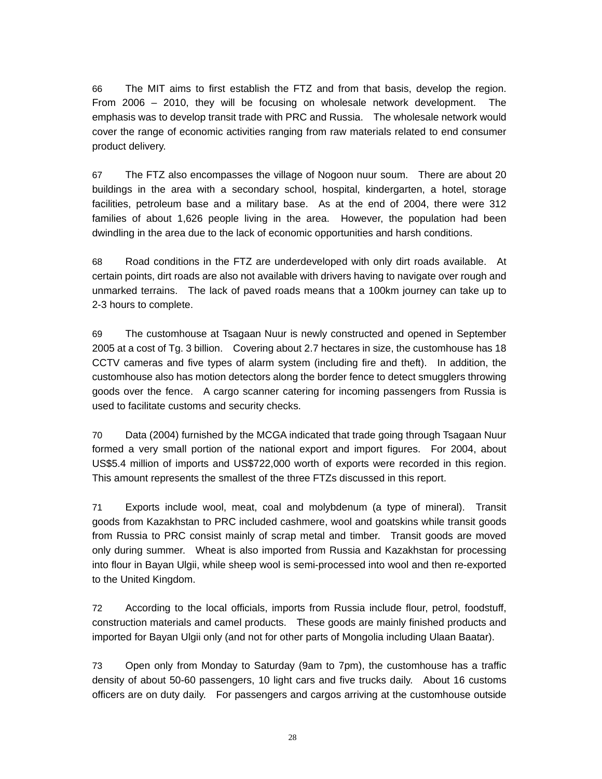66 The MIT aims to first establish the FTZ and from that basis, develop the region. From 2006 – 2010, they will be focusing on wholesale network development. The emphasis was to develop transit trade with PRC and Russia. The wholesale network would cover the range of economic activities ranging from raw materials related to end consumer product delivery.

67 The FTZ also encompasses the village of Nogoon nuur soum. There are about 20 buildings in the area with a secondary school, hospital, kindergarten, a hotel, storage facilities, petroleum base and a military base. As at the end of 2004, there were 312 families of about 1,626 people living in the area. However, the population had been dwindling in the area due to the lack of economic opportunities and harsh conditions.

68 Road conditions in the FTZ are underdeveloped with only dirt roads available. At certain points, dirt roads are also not available with drivers having to navigate over rough and unmarked terrains. The lack of paved roads means that a 100km journey can take up to 2-3 hours to complete.

69 The customhouse at Tsagaan Nuur is newly constructed and opened in September 2005 at a cost of Tg. 3 billion. Covering about 2.7 hectares in size, the customhouse has 18 CCTV cameras and five types of alarm system (including fire and theft). In addition, the customhouse also has motion detectors along the border fence to detect smugglers throwing goods over the fence. A cargo scanner catering for incoming passengers from Russia is used to facilitate customs and security checks.

70 Data (2004) furnished by the MCGA indicated that trade going through Tsagaan Nuur formed a very small portion of the national export and import figures. For 2004, about US\$5.4 million of imports and US\$722,000 worth of exports were recorded in this region. This amount represents the smallest of the three FTZs discussed in this report.

71 Exports include wool, meat, coal and molybdenum (a type of mineral). Transit goods from Kazakhstan to PRC included cashmere, wool and goatskins while transit goods from Russia to PRC consist mainly of scrap metal and timber. Transit goods are moved only during summer. Wheat is also imported from Russia and Kazakhstan for processing into flour in Bayan Ulgii, while sheep wool is semi-processed into wool and then re-exported to the United Kingdom.

72 According to the local officials, imports from Russia include flour, petrol, foodstuff, construction materials and camel products. These goods are mainly finished products and imported for Bayan Ulgii only (and not for other parts of Mongolia including Ulaan Baatar).

73 Open only from Monday to Saturday (9am to 7pm), the customhouse has a traffic density of about 50-60 passengers, 10 light cars and five trucks daily. About 16 customs officers are on duty daily. For passengers and cargos arriving at the customhouse outside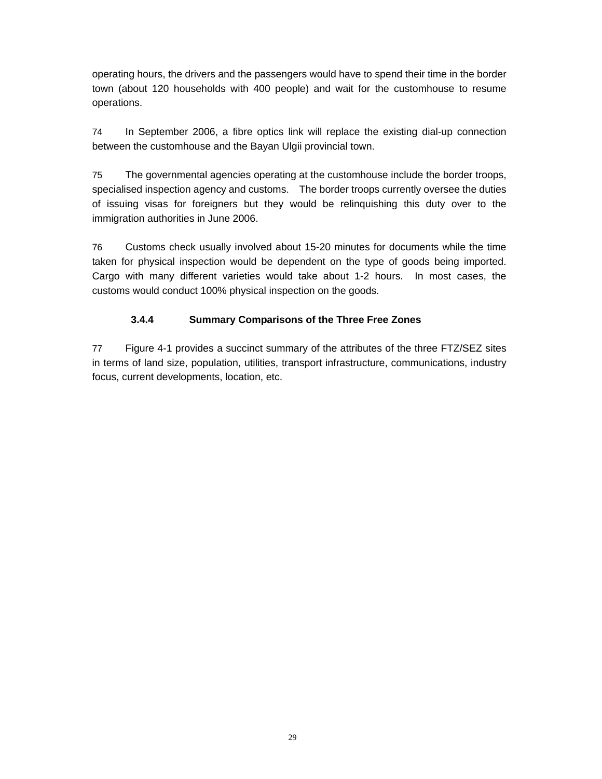operating hours, the drivers and the passengers would have to spend their time in the border town (about 120 households with 400 people) and wait for the customhouse to resume operations.

74 In September 2006, a fibre optics link will replace the existing dial-up connection between the customhouse and the Bayan Ulgii provincial town.

75 The governmental agencies operating at the customhouse include the border troops, specialised inspection agency and customs. The border troops currently oversee the duties of issuing visas for foreigners but they would be relinquishing this duty over to the immigration authorities in June 2006.

76 Customs check usually involved about 15-20 minutes for documents while the time taken for physical inspection would be dependent on the type of goods being imported. Cargo with many different varieties would take about 1-2 hours. In most cases, the customs would conduct 100% physical inspection on the goods.

#### **3.4.4 Summary Comparisons of the Three Free Zones**

77 Figure 4-1 provides a succinct summary of the attributes of the three FTZ/SEZ sites in terms of land size, population, utilities, transport infrastructure, communications, industry focus, current developments, location, etc.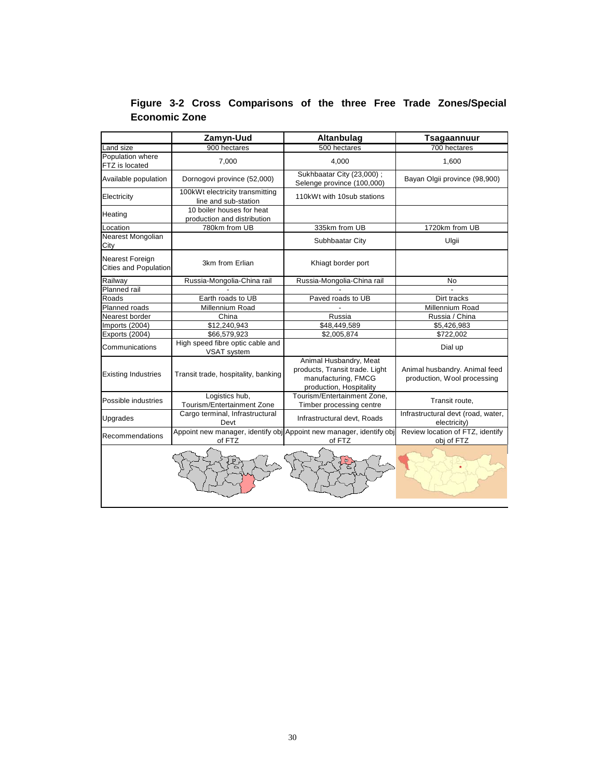|                                                        | Zamyn-Uud                                                | Altanbulag                                                                                                 | <b>Tsagaannuur</b>                                           |
|--------------------------------------------------------|----------------------------------------------------------|------------------------------------------------------------------------------------------------------------|--------------------------------------------------------------|
| Land size                                              | 900 hectares                                             | 500 hectares                                                                                               | 700 hectares                                                 |
| Population where<br>FTZ is located                     | 7,000                                                    | 4,000                                                                                                      | 1,600                                                        |
| Available population                                   | Dornogovi province (52,000)                              | Sukhbaatar City (23,000);<br>Selenge province (100,000)                                                    | Bayan Olgii province (98,900)                                |
| Electricity                                            | 100kWt electricity transmitting<br>line and sub-station  | 110kWt with 10sub stations                                                                                 |                                                              |
| Heating                                                | 10 boiler houses for heat<br>production and distribution |                                                                                                            |                                                              |
| Location                                               | 780km from UB                                            | 335km from UB                                                                                              | 1720km from UB                                               |
| Nearest Mongolian<br>City                              |                                                          | Subhbaatar City                                                                                            | Ulgii                                                        |
| <b>Nearest Foreign</b><br><b>Cities and Population</b> | 3km from Erlian                                          | Khiagt border port                                                                                         |                                                              |
| Railway                                                | Russia-Mongolia-China rail                               | Russia-Mongolia-China rail                                                                                 | No                                                           |
| <b>Planned rail</b>                                    |                                                          |                                                                                                            |                                                              |
| Roads                                                  | Earth roads to UB                                        | Paved roads to UB                                                                                          | Dirt tracks                                                  |
| Planned roads                                          | Millennium Road                                          |                                                                                                            | Millennium Road                                              |
| Nearest border                                         | China                                                    | Russia                                                                                                     | Russia / China                                               |
| Imports (2004)                                         | \$12,240,943                                             | \$48,449,589                                                                                               | \$5,426,983                                                  |
| Exports (2004)                                         | \$66,579,923                                             | \$2,005,874                                                                                                | \$722,002                                                    |
| Communications                                         | High speed fibre optic cable and<br>VSAT system          |                                                                                                            | Dial up                                                      |
| <b>Existing Industries</b>                             | Transit trade, hospitality, banking                      | Animal Husbandry, Meat<br>products, Transit trade. Light<br>manufacturing, FMCG<br>production, Hospitality | Animal husbandry. Animal feed<br>production, Wool processing |
| Possible industries                                    | Logistics hub,<br>Tourism/Entertainment Zone             | Tourism/Entertainment Zone,<br>Timber processing centre                                                    | Transit route,                                               |
| Upgrades                                               | Cargo terminal, Infrastructural<br>Devt                  | Infrastructural devt, Roads                                                                                | Infrastructural devt (road, water,<br>electricity)           |
| Recommendations                                        | of FTZ                                                   | Appoint new manager, identify obj Appoint new manager, identify obj<br>of FTZ                              | Review location of FTZ, identify<br>obj of FTZ               |
|                                                        |                                                          |                                                                                                            |                                                              |

**Figure 3-2 Cross Comparisons of the three Free Trade Zones/Special Economic Zone**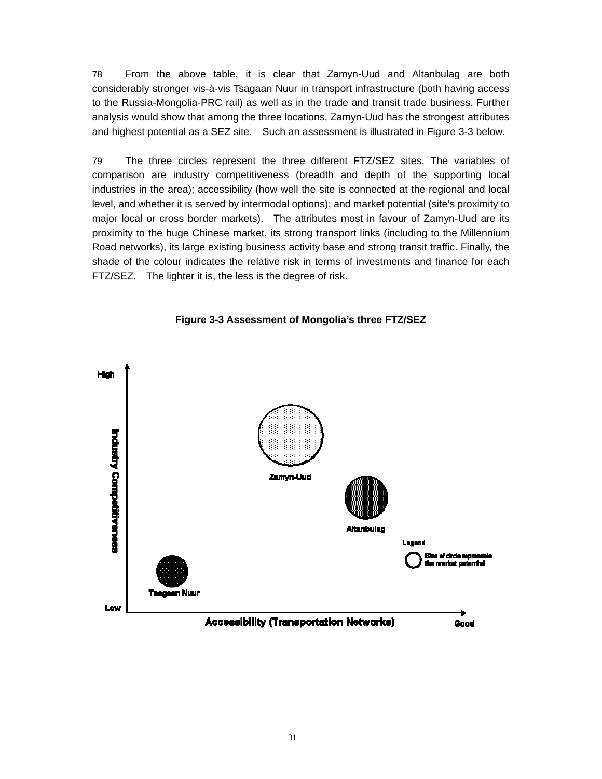78 From the above table, it is clear that Zamyn-Uud and Altanbulag are both considerably stronger vis-à-vis Tsagaan Nuur in transport infrastructure (both having access to the Russia-Mongolia-PRC rail) as well as in the trade and transit trade business. Further analysis would show that among the three locations, Zamyn-Uud has the strongest attributes and highest potential as a SEZ site. Such an assessment is illustrated in Figure 3-3 below.

79 The three circles represent the three different FTZ/SEZ sites. The variables of comparison are industry competitiveness (breadth and depth of the supporting local industries in the area); accessibility (how well the site is connected at the regional and local level, and whether it is served by intermodal options); and market potential (site's proximity to major local or cross border markets). The attributes most in favour of Zamyn-Uud are its proximity to the huge Chinese market, its strong transport links (including to the Millennium Road networks), its large existing business activity base and strong transit traffic. Finally, the shade of the colour indicates the relative risk in terms of investments and finance for each FTZ/SEZ. The lighter it is, the less is the degree of risk.



**Figure 3-3 Assessment of Mongolia's three FTZ/SEZ**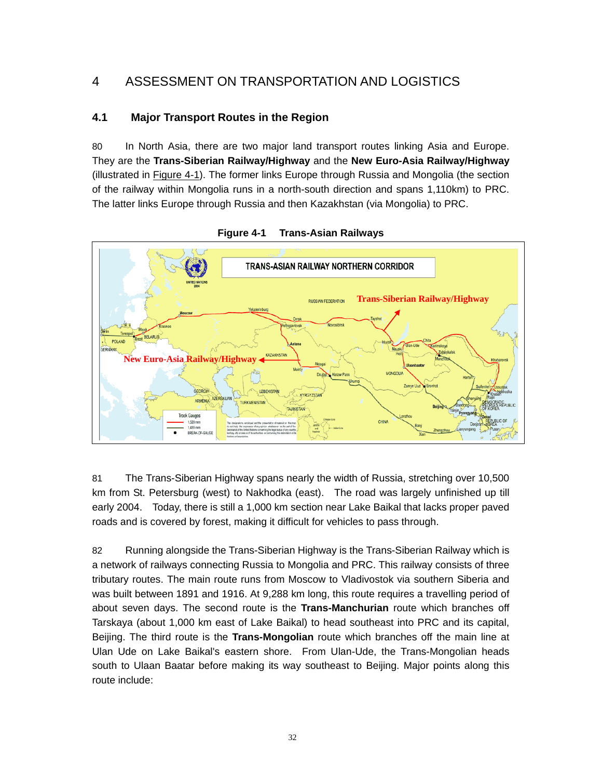# 4 ASSESSMENT ON TRANSPORTATION AND LOGISTICS

#### **4.1 Major Transport Routes in the Region**

80 In North Asia, there are two major land transport routes linking Asia and Europe. They are the **Trans-Siberian Railway/Highway** and the **New Euro-Asia Railway/Highway** (illustrated in Figure 4-1). The former links Europe through Russia and Mongolia (the section of the railway within Mongolia runs in a north-south direction and spans 1,110km) to PRC. The latter links Europe through Russia and then Kazakhstan (via Mongolia) to PRC.



**Figure 4-1 Trans-Asian Railways**

81 The Trans-Siberian Highway spans nearly the width of Russia, stretching over 10,500 km from St. Petersburg (west) to Nakhodka (east). The road was largely unfinished up till early 2004. Today, there is still a 1,000 km section near Lake Baikal that lacks proper paved roads and is covered by forest, making it difficult for vehicles to pass through.

82 Running alongside the Trans-Siberian Highway is the Trans-Siberian Railway which is a network of railways connecting Russia to Mongolia and PRC. This railway consists of three tributary routes. The main route runs from Moscow to Vladivostok via southern Siberia and was built between 1891 and 1916. At 9,288 km long, this route requires a travelling period of about seven days. The second route is the **Trans-Manchurian** route which branches off Tarskaya (about 1,000 km east of Lake Baikal) to head southeast into PRC and its capital, Beijing. The third route is the **Trans-Mongolian** route which branches off the main line at Ulan Ude on Lake Baikal's eastern shore. From Ulan-Ude, the Trans-Mongolian heads south to Ulaan Baatar before making its way southeast to Beijing. Major points along this route include: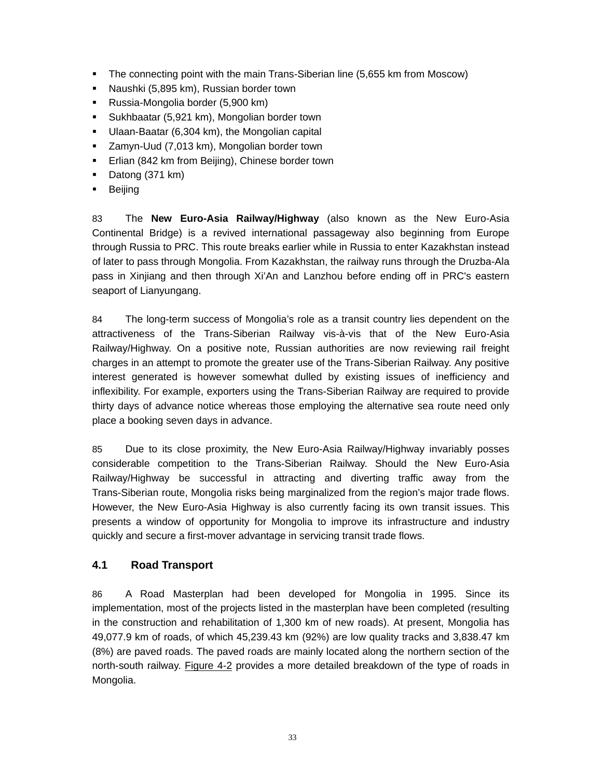- The connecting point with the main Trans-Siberian line (5,655 km from Moscow)
- **Naushki (5,895 km), Russian border town**
- Russia-Mongolia border (5,900 km)
- **Sukhbaatar (5,921 km), Mongolian border town**
- Ulaan-Baatar (6,304 km), the Mongolian capital
- **EXEC** Zamyn-Uud (7,013 km), Mongolian border town
- **Erlian (842 km from Beijing), Chinese border town**
- Datong (371 km)
- Beijing

83 The **New Euro-Asia Railway/Highway** (also known as the New Euro-Asia Continental Bridge) is a revived international passageway also beginning from Europe through Russia to PRC. This route breaks earlier while in Russia to enter Kazakhstan instead of later to pass through Mongolia. From Kazakhstan, the railway runs through the Druzba-Ala pass in Xinjiang and then through Xi'An and Lanzhou before ending off in PRC's eastern seaport of Lianyungang.

84 The long-term success of Mongolia's role as a transit country lies dependent on the attractiveness of the Trans-Siberian Railway vis-à-vis that of the New Euro-Asia Railway/Highway. On a positive note, Russian authorities are now reviewing rail freight charges in an attempt to promote the greater use of the Trans-Siberian Railway. Any positive interest generated is however somewhat dulled by existing issues of inefficiency and inflexibility. For example, exporters using the Trans-Siberian Railway are required to provide thirty days of advance notice whereas those employing the alternative sea route need only place a booking seven days in advance.

85 Due to its close proximity, the New Euro-Asia Railway/Highway invariably posses considerable competition to the Trans-Siberian Railway. Should the New Euro-Asia Railway/Highway be successful in attracting and diverting traffic away from the Trans-Siberian route, Mongolia risks being marginalized from the region's major trade flows. However, the New Euro-Asia Highway is also currently facing its own transit issues. This presents a window of opportunity for Mongolia to improve its infrastructure and industry quickly and secure a first-mover advantage in servicing transit trade flows.

#### **4.1 Road Transport**

86 A Road Masterplan had been developed for Mongolia in 1995. Since its implementation, most of the projects listed in the masterplan have been completed (resulting in the construction and rehabilitation of 1,300 km of new roads). At present, Mongolia has 49,077.9 km of roads, of which 45,239.43 km (92%) are low quality tracks and 3,838.47 km (8%) are paved roads. The paved roads are mainly located along the northern section of the north-south railway. Figure 4-2 provides a more detailed breakdown of the type of roads in Mongolia.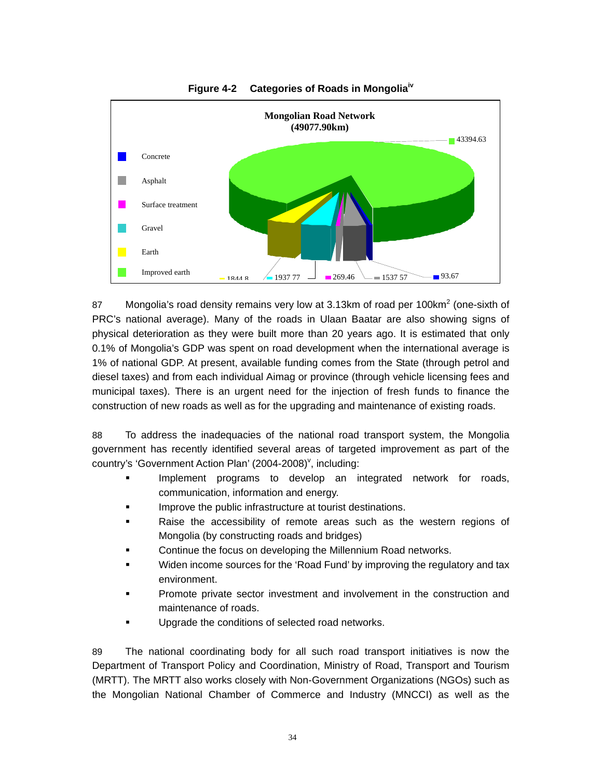



87 Mongolia's road density remains very low at 3.13km of road per 100km<sup>2</sup> (one-sixth of PRC's national average). Many of the roads in Ulaan Baatar are also showing signs of physical deterioration as they were built more than 20 years ago. It is estimated that only 0.1% of Mongolia's GDP was spent on road development when the international average is 1% of national GDP. At present, available funding comes from the State (through petrol and diesel taxes) and from each individual Aimag or province (through vehicle licensing fees and municipal taxes). There is an urgent need for the injection of fresh funds to finance the construction of new roads as well as for the upgrading and maintenance of existing roads.

88 To address the inadequacies of the national road transport system, the Mongolia government has recently identified several areas of targeted improvement as part of the country's 'Government Action Plan' (2004-2008)<sup>v</sup>, including:

- Implement programs to develop an integrated network for roads, communication, information and energy.
- Improve the public infrastructure at tourist destinations.
- Raise the accessibility of remote areas such as the western regions of Mongolia (by constructing roads and bridges)
- Continue the focus on developing the Millennium Road networks.
- Widen income sources for the 'Road Fund' by improving the regulatory and tax environment.
- Promote private sector investment and involvement in the construction and maintenance of roads.
- Upgrade the conditions of selected road networks.

89 The national coordinating body for all such road transport initiatives is now the Department of Transport Policy and Coordination, Ministry of Road, Transport and Tourism (MRTT). The MRTT also works closely with Non-Government Organizations (NGOs) such as the Mongolian National Chamber of Commerce and Industry (MNCCI) as well as the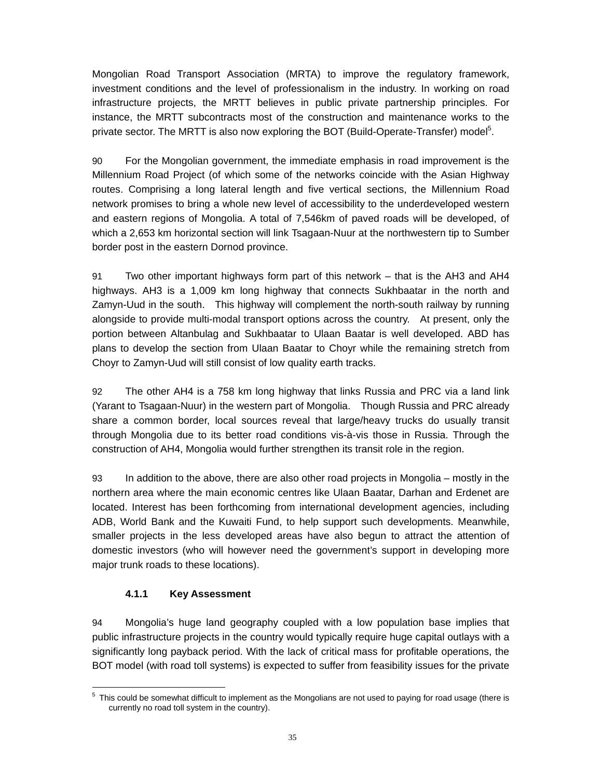Mongolian Road Transport Association (MRTA) to improve the regulatory framework, investment conditions and the level of professionalism in the industry. In working on road infrastructure projects, the MRTT believes in public private partnership principles. For instance, the MRTT subcontracts most of the construction and maintenance works to the private sector. The MRTT is also now exploring the BOT (Build-Operate-Transfer) model<sup>5</sup>.

90 For the Mongolian government, the immediate emphasis in road improvement is the Millennium Road Project (of which some of the networks coincide with the Asian Highway routes. Comprising a long lateral length and five vertical sections, the Millennium Road network promises to bring a whole new level of accessibility to the underdeveloped western and eastern regions of Mongolia. A total of 7,546km of paved roads will be developed, of which a 2,653 km horizontal section will link Tsagaan-Nuur at the northwestern tip to Sumber border post in the eastern Dornod province.

91 Two other important highways form part of this network – that is the AH3 and AH4 highways. AH3 is a 1,009 km long highway that connects Sukhbaatar in the north and Zamyn-Uud in the south. This highway will complement the north-south railway by running alongside to provide multi-modal transport options across the country. At present, only the portion between Altanbulag and Sukhbaatar to Ulaan Baatar is well developed. ABD has plans to develop the section from Ulaan Baatar to Choyr while the remaining stretch from Choyr to Zamyn-Uud will still consist of low quality earth tracks.

92 The other AH4 is a 758 km long highway that links Russia and PRC via a land link (Yarant to Tsagaan-Nuur) in the western part of Mongolia. Though Russia and PRC already share a common border, local sources reveal that large/heavy trucks do usually transit through Mongolia due to its better road conditions vis-à-vis those in Russia. Through the construction of AH4, Mongolia would further strengthen its transit role in the region.

93 In addition to the above, there are also other road projects in Mongolia – mostly in the northern area where the main economic centres like Ulaan Baatar, Darhan and Erdenet are located. Interest has been forthcoming from international development agencies, including ADB, World Bank and the Kuwaiti Fund, to help support such developments. Meanwhile, smaller projects in the less developed areas have also begun to attract the attention of domestic investors (who will however need the government's support in developing more major trunk roads to these locations).

#### **4.1.1 Key Assessment**

94 Mongolia's huge land geography coupled with a low population base implies that public infrastructure projects in the country would typically require huge capital outlays with a significantly long payback period. With the lack of critical mass for profitable operations, the BOT model (with road toll systems) is expected to suffer from feasibility issues for the private

 5 This could be somewhat difficult to implement as the Mongolians are not used to paying for road usage (there is currently no road toll system in the country).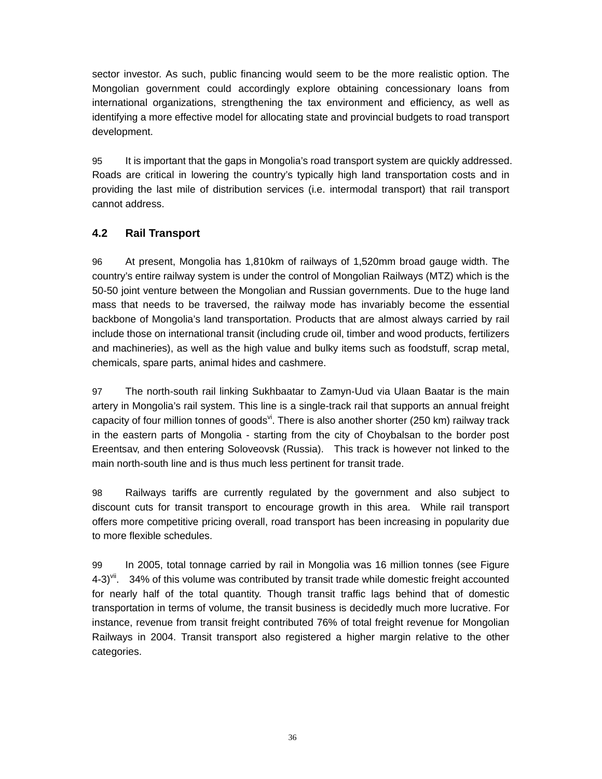sector investor. As such, public financing would seem to be the more realistic option. The Mongolian government could accordingly explore obtaining concessionary loans from international organizations, strengthening the tax environment and efficiency, as well as identifying a more effective model for allocating state and provincial budgets to road transport development.

95 It is important that the gaps in Mongolia's road transport system are quickly addressed. Roads are critical in lowering the country's typically high land transportation costs and in providing the last mile of distribution services (i.e. intermodal transport) that rail transport cannot address.

#### **4.2 Rail Transport**

96 At present, Mongolia has 1,810km of railways of 1,520mm broad gauge width. The country's entire railway system is under the control of Mongolian Railways (MTZ) which is the 50-50 joint venture between the Mongolian and Russian governments. Due to the huge land mass that needs to be traversed, the railway mode has invariably become the essential backbone of Mongolia's land transportation. Products that are almost always carried by rail include those on international transit (including crude oil, timber and wood products, fertilizers and machineries), as well as the high value and bulky items such as foodstuff, scrap metal, chemicals, spare parts, animal hides and cashmere.

97 The north-south rail linking Sukhbaatar to Zamyn-Uud via Ulaan Baatar is the main artery in Mongolia's rail system. This line is a single-track rail that supports an annual freight capacity of four million tonnes of goods $v^i$ . There is also another shorter (250 km) railway track in the eastern parts of Mongolia - starting from the city of Choybalsan to the border post Ereentsav, and then entering Soloveovsk (Russia). This track is however not linked to the main north-south line and is thus much less pertinent for transit trade.

98 Railways tariffs are currently regulated by the government and also subject to discount cuts for transit transport to encourage growth in this area. While rail transport offers more competitive pricing overall, road transport has been increasing in popularity due to more flexible schedules.

99 In 2005, total tonnage carried by rail in Mongolia was 16 million tonnes (see Figure  $4-3$ <sup>yii</sup>. 34% of this volume was contributed by transit trade while domestic freight accounted for nearly half of the total quantity. Though transit traffic lags behind that of domestic transportation in terms of volume, the transit business is decidedly much more lucrative. For instance, revenue from transit freight contributed 76% of total freight revenue for Mongolian Railways in 2004. Transit transport also registered a higher margin relative to the other categories.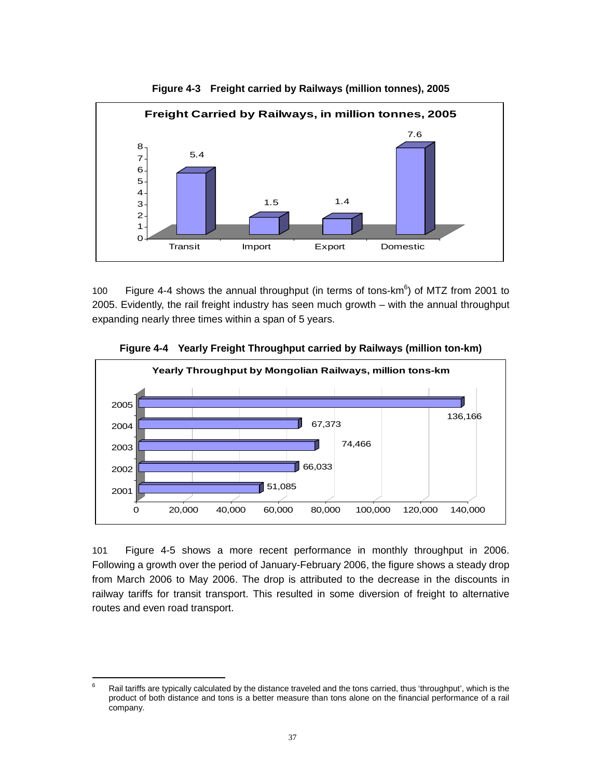

**Figure 4-3 Freight carried by Railways (million tonnes), 2005** 

100 Figure 4-4 shows the annual throughput (in terms of tons- $km^6$ ) of MTZ from 2001 to 2005. Evidently, the rail freight industry has seen much growth – with the annual throughput expanding nearly three times within a span of 5 years.



**Figure 4-4 Yearly Freight Throughput carried by Railways (million ton-km)**

101 Figure 4-5 shows a more recent performance in monthly throughput in 2006. Following a growth over the period of January-February 2006, the figure shows a steady drop from March 2006 to May 2006. The drop is attributed to the decrease in the discounts in railway tariffs for transit transport. This resulted in some diversion of freight to alternative routes and even road transport.

<sup>-&</sup>lt;br>6 Rail tariffs are typically calculated by the distance traveled and the tons carried, thus 'throughput', which is the product of both distance and tons is a better measure than tons alone on the financial performance of a rail company.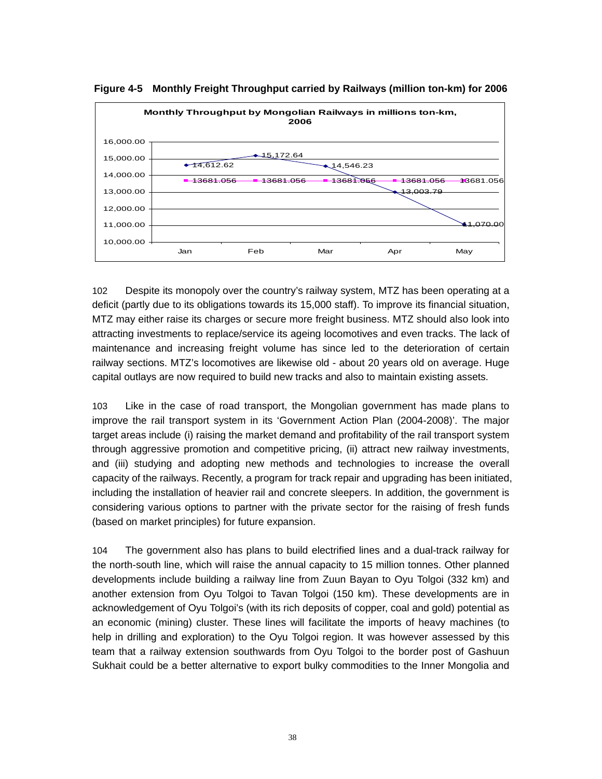

**Figure 4-5 Monthly Freight Throughput carried by Railways (million ton-km) for 2006** 

102 Despite its monopoly over the country's railway system, MTZ has been operating at a deficit (partly due to its obligations towards its 15,000 staff). To improve its financial situation, MTZ may either raise its charges or secure more freight business. MTZ should also look into attracting investments to replace/service its ageing locomotives and even tracks. The lack of maintenance and increasing freight volume has since led to the deterioration of certain railway sections. MTZ's locomotives are likewise old - about 20 years old on average. Huge capital outlays are now required to build new tracks and also to maintain existing assets.

103 Like in the case of road transport, the Mongolian government has made plans to improve the rail transport system in its 'Government Action Plan (2004-2008)'. The major target areas include (i) raising the market demand and profitability of the rail transport system through aggressive promotion and competitive pricing, (ii) attract new railway investments, and (iii) studying and adopting new methods and technologies to increase the overall capacity of the railways. Recently, a program for track repair and upgrading has been initiated, including the installation of heavier rail and concrete sleepers. In addition, the government is considering various options to partner with the private sector for the raising of fresh funds (based on market principles) for future expansion.

104 The government also has plans to build electrified lines and a dual-track railway for the north-south line, which will raise the annual capacity to 15 million tonnes. Other planned developments include building a railway line from Zuun Bayan to Oyu Tolgoi (332 km) and another extension from Oyu Tolgoi to Tavan Tolgoi (150 km). These developments are in acknowledgement of Oyu Tolgoi's (with its rich deposits of copper, coal and gold) potential as an economic (mining) cluster. These lines will facilitate the imports of heavy machines (to help in drilling and exploration) to the Oyu Tolgoi region. It was however assessed by this team that a railway extension southwards from Oyu Tolgoi to the border post of Gashuun Sukhait could be a better alternative to export bulky commodities to the Inner Mongolia and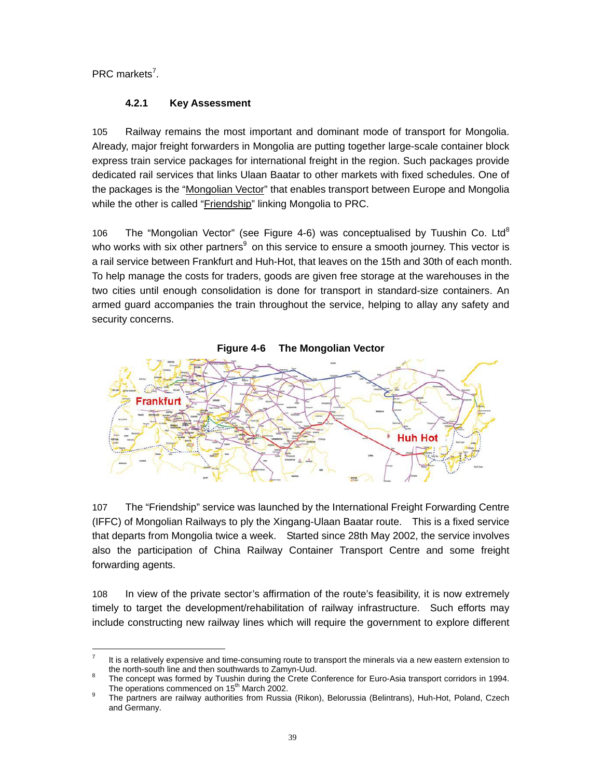PRC markets<sup>7</sup>.

# **4.2.1 Key Assessment**

105 Railway remains the most important and dominant mode of transport for Mongolia. Already, major freight forwarders in Mongolia are putting together large-scale container block express train service packages for international freight in the region. Such packages provide dedicated rail services that links Ulaan Baatar to other markets with fixed schedules. One of the packages is the "Mongolian Vector" that enables transport between Europe and Mongolia while the other is called "Friendship" linking Mongolia to PRC.

106 The "Mongolian Vector" (see Figure 4-6) was conceptualised by Tuushin Co. Ltd<sup>8</sup> who works with six other partners<sup>9</sup> on this service to ensure a smooth journey. This vector is a rail service between Frankfurt and Huh-Hot, that leaves on the 15th and 30th of each month. To help manage the costs for traders, goods are given free storage at the warehouses in the two cities until enough consolidation is done for transport in standard-size containers. An armed guard accompanies the train throughout the service, helping to allay any safety and security concerns.



107 The "Friendship" service was launched by the International Freight Forwarding Centre (IFFC) of Mongolian Railways to ply the Xingang-Ulaan Baatar route. This is a fixed service that departs from Mongolia twice a week. Started since 28th May 2002, the service involves also the participation of China Railway Container Transport Centre and some freight forwarding agents.

108 In view of the private sector's affirmation of the route's feasibility, it is now extremely timely to target the development/rehabilitation of railway infrastructure. Such efforts may include constructing new railway lines which will require the government to explore different

 $\frac{1}{7}$  It is a relatively expensive and time-consuming route to transport the minerals via a new eastern extension to the north-south line and then southwards to Zamyn-Uud.

The concept was formed by Tuushin during the Crete Conference for Euro-Asia transport corridors in 1994. The operations commenced on  $15^{th}$  March 2002.

The partners are railway authorities from Russia (Rikon), Belorussia (Belintrans), Huh-Hot, Poland, Czech and Germany.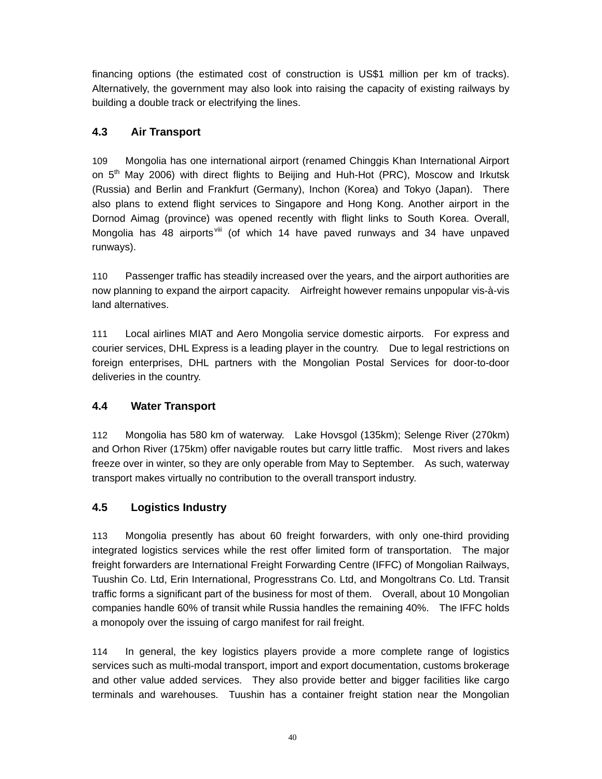financing options (the estimated cost of construction is US\$1 million per km of tracks). Alternatively, the government may also look into raising the capacity of existing railways by building a double track or electrifying the lines.

# **4.3 Air Transport**

109 Mongolia has one international airport (renamed Chinggis Khan International Airport on  $5<sup>th</sup>$  May 2006) with direct flights to Beijing and Huh-Hot (PRC), Moscow and Irkutsk (Russia) and Berlin and Frankfurt (Germany), Inchon (Korea) and Tokyo (Japan). There also plans to extend flight services to Singapore and Hong Kong. Another airport in the Dornod Aimag (province) was opened recently with flight links to South Korea. Overall, Mongolia has 48 airports viii (of which 14 have paved runways and 34 have unpaved runways).

110 Passenger traffic has steadily increased over the years, and the airport authorities are now planning to expand the airport capacity. Airfreight however remains unpopular vis-à-vis land alternatives.

111 Local airlines MIAT and Aero Mongolia service domestic airports. For express and courier services, DHL Express is a leading player in the country. Due to legal restrictions on foreign enterprises, DHL partners with the Mongolian Postal Services for door-to-door deliveries in the country.

# **4.4 Water Transport**

112 Mongolia has 580 km of waterway. Lake Hovsgol (135km); Selenge River (270km) and Orhon River (175km) offer navigable routes but carry little traffic. Most rivers and lakes freeze over in winter, so they are only operable from May to September. As such, waterway transport makes virtually no contribution to the overall transport industry.

# **4.5 Logistics Industry**

113 Mongolia presently has about 60 freight forwarders, with only one-third providing integrated logistics services while the rest offer limited form of transportation. The major freight forwarders are International Freight Forwarding Centre (IFFC) of Mongolian Railways, Tuushin Co. Ltd, Erin International, Progresstrans Co. Ltd, and Mongoltrans Co. Ltd. Transit traffic forms a significant part of the business for most of them. Overall, about 10 Mongolian companies handle 60% of transit while Russia handles the remaining 40%. The IFFC holds a monopoly over the issuing of cargo manifest for rail freight.

114 In general, the key logistics players provide a more complete range of logistics services such as multi-modal transport, import and export documentation, customs brokerage and other value added services. They also provide better and bigger facilities like cargo terminals and warehouses. Tuushin has a container freight station near the Mongolian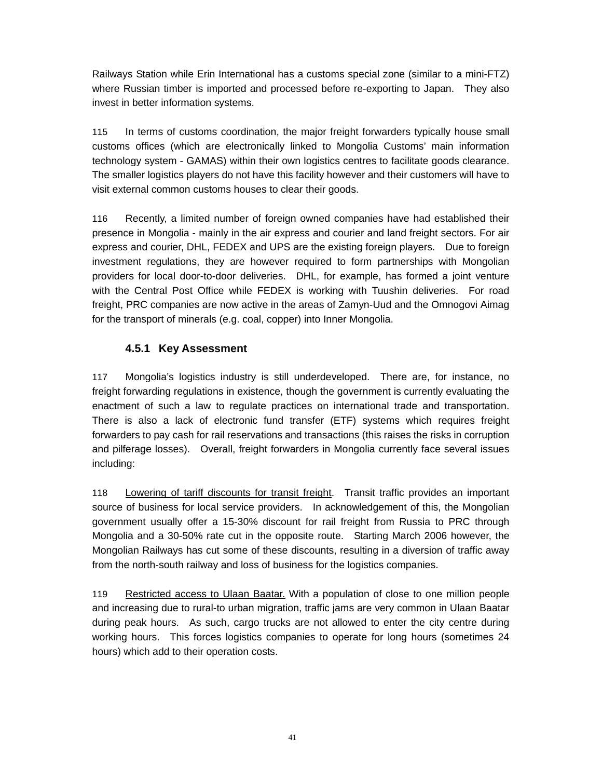Railways Station while Erin International has a customs special zone (similar to a mini-FTZ) where Russian timber is imported and processed before re-exporting to Japan. They also invest in better information systems.

115 In terms of customs coordination, the major freight forwarders typically house small customs offices (which are electronically linked to Mongolia Customs' main information technology system - GAMAS) within their own logistics centres to facilitate goods clearance. The smaller logistics players do not have this facility however and their customers will have to visit external common customs houses to clear their goods.

116 Recently, a limited number of foreign owned companies have had established their presence in Mongolia - mainly in the air express and courier and land freight sectors. For air express and courier, DHL, FEDEX and UPS are the existing foreign players. Due to foreign investment regulations, they are however required to form partnerships with Mongolian providers for local door-to-door deliveries. DHL, for example, has formed a joint venture with the Central Post Office while FEDEX is working with Tuushin deliveries. For road freight, PRC companies are now active in the areas of Zamyn-Uud and the Omnogovi Aimag for the transport of minerals (e.g. coal, copper) into Inner Mongolia.

# **4.5.1 Key Assessment**

117 Mongolia's logistics industry is still underdeveloped. There are, for instance, no freight forwarding regulations in existence, though the government is currently evaluating the enactment of such a law to regulate practices on international trade and transportation. There is also a lack of electronic fund transfer (ETF) systems which requires freight forwarders to pay cash for rail reservations and transactions (this raises the risks in corruption and pilferage losses). Overall, freight forwarders in Mongolia currently face several issues including:

118 Lowering of tariff discounts for transit freight. Transit traffic provides an important source of business for local service providers. In acknowledgement of this, the Mongolian government usually offer a 15-30% discount for rail freight from Russia to PRC through Mongolia and a 30-50% rate cut in the opposite route. Starting March 2006 however, the Mongolian Railways has cut some of these discounts, resulting in a diversion of traffic away from the north-south railway and loss of business for the logistics companies.

119 Restricted access to Ulaan Baatar. With a population of close to one million people and increasing due to rural-to urban migration, traffic jams are very common in Ulaan Baatar during peak hours. As such, cargo trucks are not allowed to enter the city centre during working hours. This forces logistics companies to operate for long hours (sometimes 24 hours) which add to their operation costs.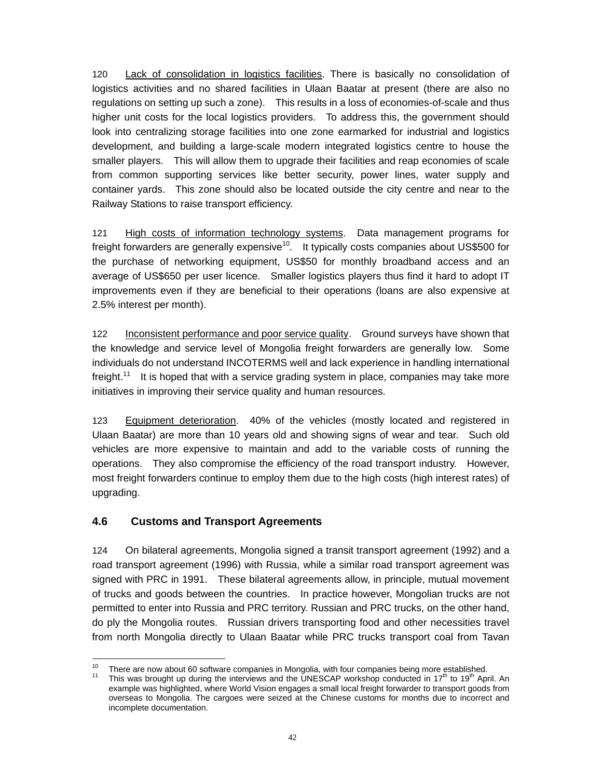120 Lack of consolidation in logistics facilities. There is basically no consolidation of logistics activities and no shared facilities in Ulaan Baatar at present (there are also no regulations on setting up such a zone). This results in a loss of economies-of-scale and thus higher unit costs for the local logistics providers. To address this, the government should look into centralizing storage facilities into one zone earmarked for industrial and logistics development, and building a large-scale modern integrated logistics centre to house the smaller players. This will allow them to upgrade their facilities and reap economies of scale from common supporting services like better security, power lines, water supply and container yards. This zone should also be located outside the city centre and near to the Railway Stations to raise transport efficiency.

121 High costs of information technology systems. Data management programs for freight forwarders are generally expensive $10$ . It typically costs companies about US\$500 for the purchase of networking equipment, US\$50 for monthly broadband access and an average of US\$650 per user licence. Smaller logistics players thus find it hard to adopt IT improvements even if they are beneficial to their operations (loans are also expensive at 2.5% interest per month).

122 Inconsistent performance and poor service quality. Ground surveys have shown that the knowledge and service level of Mongolia freight forwarders are generally low. Some individuals do not understand INCOTERMS well and lack experience in handling international freight.<sup>11</sup> It is hoped that with a service grading system in place, companies may take more initiatives in improving their service quality and human resources.

123 Equipment deterioration. 40% of the vehicles (mostly located and registered in Ulaan Baatar) are more than 10 years old and showing signs of wear and tear. Such old vehicles are more expensive to maintain and add to the variable costs of running the operations. They also compromise the efficiency of the road transport industry. However, most freight forwarders continue to employ them due to the high costs (high interest rates) of upgrading.

# **4.6 Customs and Transport Agreements**

124 On bilateral agreements, Mongolia signed a transit transport agreement (1992) and a road transport agreement (1996) with Russia, while a similar road transport agreement was signed with PRC in 1991. These bilateral agreements allow, in principle, mutual movement of trucks and goods between the countries. In practice however, Mongolian trucks are not permitted to enter into Russia and PRC territory. Russian and PRC trucks, on the other hand, do ply the Mongolia routes. Russian drivers transporting food and other necessities travel from north Mongolia directly to Ulaan Baatar while PRC trucks transport coal from Tavan

 $\overline{a}$ <sup>10</sup> There are now about 60 software companies in Mongolia, with four companies being more established.<br><sup>11</sup> This was brought up during the interviews and the UNESCAP workshop conducted in 17<sup>th</sup> to 19<sup>th</sup> April. An

example was highlighted, where World Vision engages a small local freight forwarder to transport goods from overseas to Mongolia. The cargoes were seized at the Chinese customs for months due to incorrect and incomplete documentation.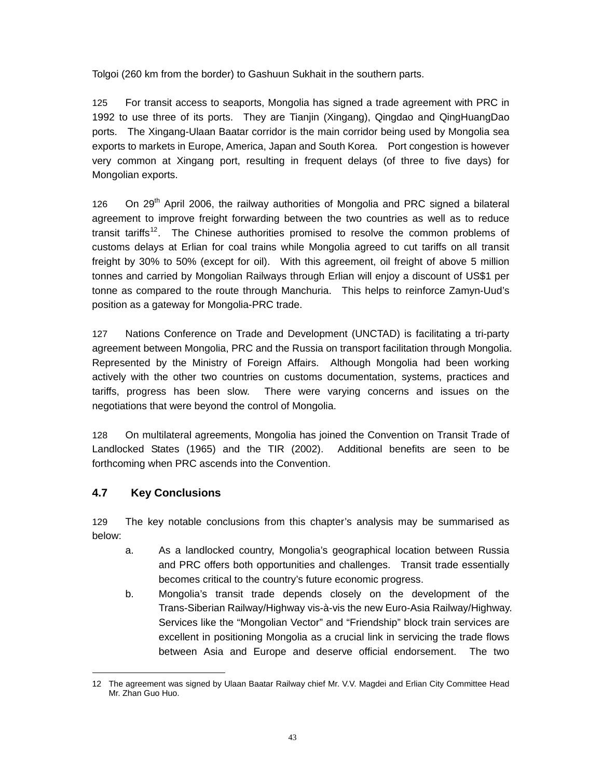Tolgoi (260 km from the border) to Gashuun Sukhait in the southern parts.

125 For transit access to seaports, Mongolia has signed a trade agreement with PRC in 1992 to use three of its ports. They are Tianjin (Xingang), Qingdao and QingHuangDao ports. The Xingang-Ulaan Baatar corridor is the main corridor being used by Mongolia sea exports to markets in Europe, America, Japan and South Korea. Port congestion is however very common at Xingang port, resulting in frequent delays (of three to five days) for Mongolian exports.

126 On 29<sup>th</sup> April 2006, the railway authorities of Mongolia and PRC signed a bilateral agreement to improve freight forwarding between the two countries as well as to reduce transit tariffs<sup>12</sup>. The Chinese authorities promised to resolve the common problems of customs delays at Erlian for coal trains while Mongolia agreed to cut tariffs on all transit freight by 30% to 50% (except for oil). With this agreement, oil freight of above 5 million tonnes and carried by Mongolian Railways through Erlian will enjoy a discount of US\$1 per tonne as compared to the route through Manchuria. This helps to reinforce Zamyn-Uud's position as a gateway for Mongolia-PRC trade.

127 Nations Conference on Trade and Development (UNCTAD) is facilitating a tri-party agreement between Mongolia, PRC and the Russia on transport facilitation through Mongolia. Represented by the Ministry of Foreign Affairs. Although Mongolia had been working actively with the other two countries on customs documentation, systems, practices and tariffs, progress has been slow. There were varying concerns and issues on the negotiations that were beyond the control of Mongolia.

128 On multilateral agreements, Mongolia has joined the Convention on Transit Trade of Landlocked States (1965) and the TIR (2002). Additional benefits are seen to be forthcoming when PRC ascends into the Convention.

# **4.7 Key Conclusions**

129 The key notable conclusions from this chapter's analysis may be summarised as below:

- a. As a landlocked country, Mongolia's geographical location between Russia and PRC offers both opportunities and challenges. Transit trade essentially becomes critical to the country's future economic progress.
- b. Mongolia's transit trade depends closely on the development of the Trans-Siberian Railway/Highway vis-à-vis the new Euro-Asia Railway/Highway. Services like the "Mongolian Vector" and "Friendship" block train services are excellent in positioning Mongolia as a crucial link in servicing the trade flows between Asia and Europe and deserve official endorsement. The two

 $\overline{a}$ 12 The agreement was signed by Ulaan Baatar Railway chief Mr. V.V. Magdei and Erlian City Committee Head Mr. Zhan Guo Huo.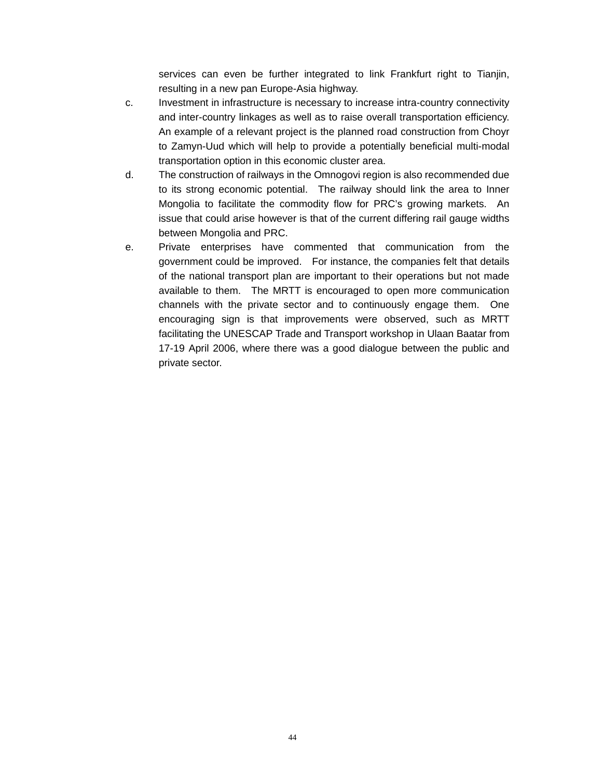services can even be further integrated to link Frankfurt right to Tianjin, resulting in a new pan Europe-Asia highway.

- c. Investment in infrastructure is necessary to increase intra-country connectivity and inter-country linkages as well as to raise overall transportation efficiency. An example of a relevant project is the planned road construction from Choyr to Zamyn-Uud which will help to provide a potentially beneficial multi-modal transportation option in this economic cluster area.
- d. The construction of railways in the Omnogovi region is also recommended due to its strong economic potential. The railway should link the area to Inner Mongolia to facilitate the commodity flow for PRC's growing markets. An issue that could arise however is that of the current differing rail gauge widths between Mongolia and PRC.
- e. Private enterprises have commented that communication from the government could be improved. For instance, the companies felt that details of the national transport plan are important to their operations but not made available to them. The MRTT is encouraged to open more communication channels with the private sector and to continuously engage them. One encouraging sign is that improvements were observed, such as MRTT facilitating the UNESCAP Trade and Transport workshop in Ulaan Baatar from 17-19 April 2006, where there was a good dialogue between the public and private sector.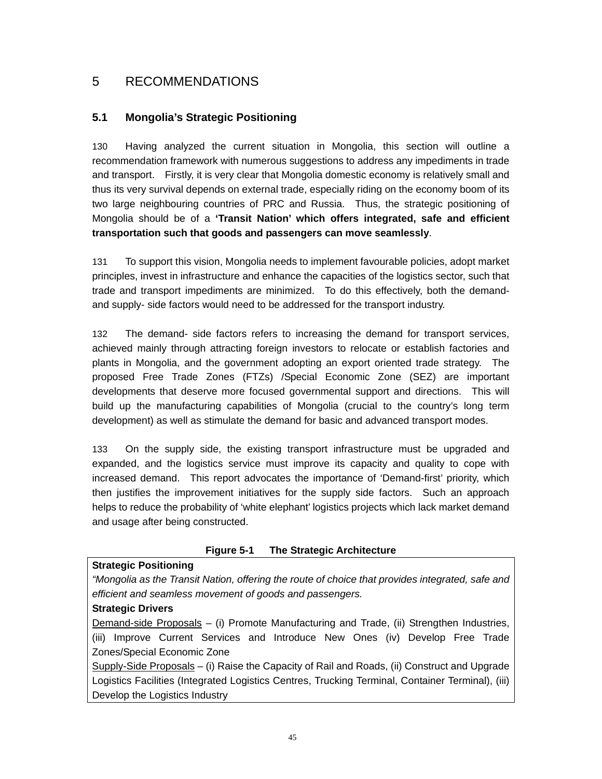# 5 RECOMMENDATIONS

# **5.1 Mongolia's Strategic Positioning**

130 Having analyzed the current situation in Mongolia, this section will outline a recommendation framework with numerous suggestions to address any impediments in trade and transport. Firstly, it is very clear that Mongolia domestic economy is relatively small and thus its very survival depends on external trade, especially riding on the economy boom of its two large neighbouring countries of PRC and Russia. Thus, the strategic positioning of Mongolia should be of a **'Transit Nation' which offers integrated, safe and efficient transportation such that goods and passengers can move seamlessly**.

131 To support this vision, Mongolia needs to implement favourable policies, adopt market principles, invest in infrastructure and enhance the capacities of the logistics sector, such that trade and transport impediments are minimized. To do this effectively, both the demandand supply- side factors would need to be addressed for the transport industry.

132 The demand- side factors refers to increasing the demand for transport services, achieved mainly through attracting foreign investors to relocate or establish factories and plants in Mongolia, and the government adopting an export oriented trade strategy. The proposed Free Trade Zones (FTZs) /Special Economic Zone (SEZ) are important developments that deserve more focused governmental support and directions. This will build up the manufacturing capabilities of Mongolia (crucial to the country's long term development) as well as stimulate the demand for basic and advanced transport modes.

133 On the supply side, the existing transport infrastructure must be upgraded and expanded, and the logistics service must improve its capacity and quality to cope with increased demand. This report advocates the importance of 'Demand-first' priority, which then justifies the improvement initiatives for the supply side factors. Such an approach helps to reduce the probability of 'white elephant' logistics projects which lack market demand and usage after being constructed.

# **Figure 5-1 The Strategic Architecture**

#### **Strategic Positioning**

*"Mongolia as the Transit Nation, offering the route of choice that provides integrated, safe and efficient and seamless movement of goods and passengers.* 

#### **Strategic Drivers**

Demand-side Proposals – (i) Promote Manufacturing and Trade, (ii) Strengthen Industries, (iii) Improve Current Services and Introduce New Ones (iv) Develop Free Trade Zones/Special Economic Zone

Supply-Side Proposals – (i) Raise the Capacity of Rail and Roads, (ii) Construct and Upgrade Logistics Facilities (Integrated Logistics Centres, Trucking Terminal, Container Terminal), (iii) Develop the Logistics Industry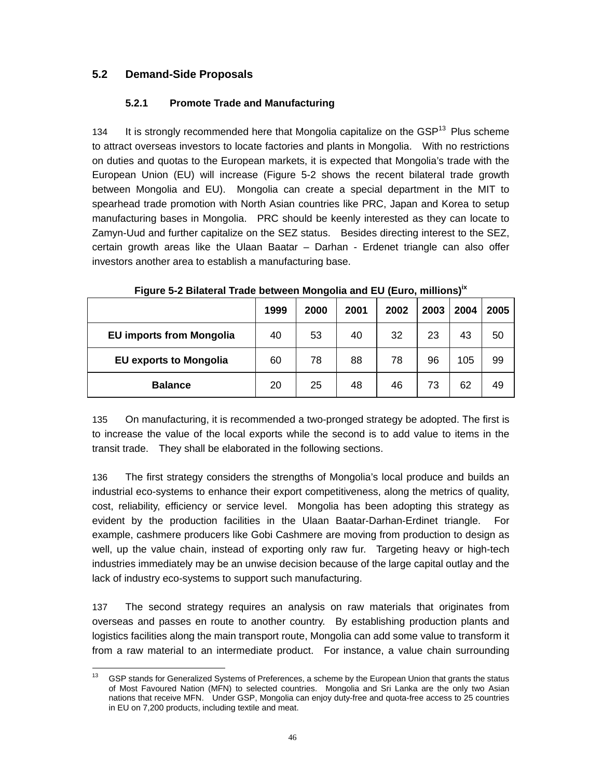# **5.2 Demand-Side Proposals**

# **5.2.1 Promote Trade and Manufacturing**

134 It is strongly recommended here that Mongolia capitalize on the  $GSP<sup>13</sup>$  Plus scheme to attract overseas investors to locate factories and plants in Mongolia. With no restrictions on duties and quotas to the European markets, it is expected that Mongolia's trade with the European Union (EU) will increase (Figure 5-2 shows the recent bilateral trade growth between Mongolia and EU). Mongolia can create a special department in the MIT to spearhead trade promotion with North Asian countries like PRC, Japan and Korea to setup manufacturing bases in Mongolia. PRC should be keenly interested as they can locate to Zamyn-Uud and further capitalize on the SEZ status. Besides directing interest to the SEZ, certain growth areas like the Ulaan Baatar – Darhan - Erdenet triangle can also offer investors another area to establish a manufacturing base.

|                                 | 1999 | 2000 | 2001 | 2002 | 2003 | 2004 | 2005 |
|---------------------------------|------|------|------|------|------|------|------|
| <b>EU imports from Mongolia</b> | 40   | 53   | 40   | 32   | 23   | 43   | 50   |
| <b>EU exports to Mongolia</b>   | 60   | 78   | 88   | 78   | 96   | 105  | 99   |
| <b>Balance</b>                  | 20   | 25   | 48   | 46   | 73   | 62   | 49   |

**Figure 5-2 Bilateral Trade between Mongolia and EU (Euro, millions)ix**

135 On manufacturing, it is recommended a two-pronged strategy be adopted. The first is to increase the value of the local exports while the second is to add value to items in the transit trade. They shall be elaborated in the following sections.

136 The first strategy considers the strengths of Mongolia's local produce and builds an industrial eco-systems to enhance their export competitiveness, along the metrics of quality, cost, reliability, efficiency or service level. Mongolia has been adopting this strategy as evident by the production facilities in the Ulaan Baatar-Darhan-Erdinet triangle. For example, cashmere producers like Gobi Cashmere are moving from production to design as well, up the value chain, instead of exporting only raw fur. Targeting heavy or high-tech industries immediately may be an unwise decision because of the large capital outlay and the lack of industry eco-systems to support such manufacturing.

137 The second strategy requires an analysis on raw materials that originates from overseas and passes en route to another country. By establishing production plants and logistics facilities along the main transport route, Mongolia can add some value to transform it from a raw material to an intermediate product. For instance, a value chain surrounding

<sup>13</sup> GSP stands for Generalized Systems of Preferences, a scheme by the European Union that grants the status of Most Favoured Nation (MFN) to selected countries. Mongolia and Sri Lanka are the only two Asian nations that receive MFN. Under GSP, Mongolia can enjoy duty-free and quota-free access to 25 countries in EU on 7,200 products, including textile and meat.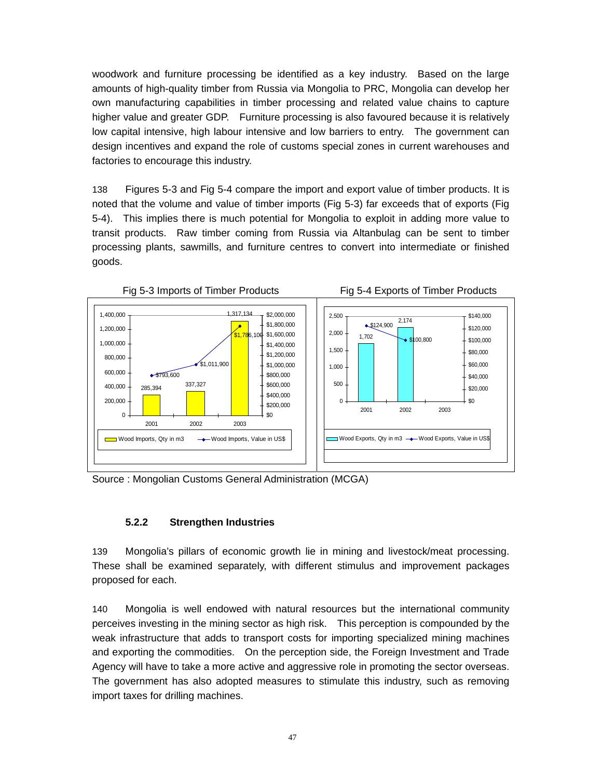woodwork and furniture processing be identified as a key industry. Based on the large amounts of high-quality timber from Russia via Mongolia to PRC, Mongolia can develop her own manufacturing capabilities in timber processing and related value chains to capture higher value and greater GDP. Furniture processing is also favoured because it is relatively low capital intensive, high labour intensive and low barriers to entry. The government can design incentives and expand the role of customs special zones in current warehouses and factories to encourage this industry.

138 Figures 5-3 and Fig 5-4 compare the import and export value of timber products. It is noted that the volume and value of timber imports (Fig 5-3) far exceeds that of exports (Fig 5-4). This implies there is much potential for Mongolia to exploit in adding more value to transit products. Raw timber coming from Russia via Altanbulag can be sent to timber processing plants, sawmills, and furniture centres to convert into intermediate or finished goods.



Source : Mongolian Customs General Administration (MCGA)

# **5.2.2 Strengthen Industries**

139 Mongolia's pillars of economic growth lie in mining and livestock/meat processing. These shall be examined separately, with different stimulus and improvement packages proposed for each.

140 Mongolia is well endowed with natural resources but the international community perceives investing in the mining sector as high risk. This perception is compounded by the weak infrastructure that adds to transport costs for importing specialized mining machines and exporting the commodities. On the perception side, the Foreign Investment and Trade Agency will have to take a more active and aggressive role in promoting the sector overseas. The government has also adopted measures to stimulate this industry, such as removing import taxes for drilling machines.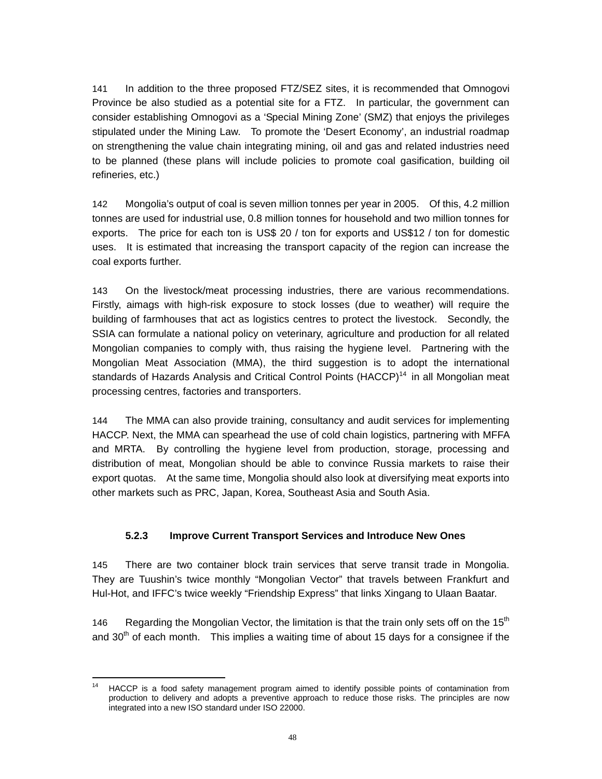141 In addition to the three proposed FTZ/SEZ sites, it is recommended that Omnogovi Province be also studied as a potential site for a FTZ. In particular, the government can consider establishing Omnogovi as a 'Special Mining Zone' (SMZ) that enjoys the privileges stipulated under the Mining Law. To promote the 'Desert Economy', an industrial roadmap on strengthening the value chain integrating mining, oil and gas and related industries need to be planned (these plans will include policies to promote coal gasification, building oil refineries, etc.)

142 Mongolia's output of coal is seven million tonnes per year in 2005. Of this, 4.2 million tonnes are used for industrial use, 0.8 million tonnes for household and two million tonnes for exports. The price for each ton is US\$ 20 / ton for exports and US\$12 / ton for domestic uses. It is estimated that increasing the transport capacity of the region can increase the coal exports further.

143 On the livestock/meat processing industries, there are various recommendations. Firstly, aimags with high-risk exposure to stock losses (due to weather) will require the building of farmhouses that act as logistics centres to protect the livestock. Secondly, the SSIA can formulate a national policy on veterinary, agriculture and production for all related Mongolian companies to comply with, thus raising the hygiene level. Partnering with the Mongolian Meat Association (MMA), the third suggestion is to adopt the international standards of Hazards Analysis and Critical Control Points (HACCP)<sup>14</sup> in all Mongolian meat processing centres, factories and transporters.

144 The MMA can also provide training, consultancy and audit services for implementing HACCP. Next, the MMA can spearhead the use of cold chain logistics, partnering with MFFA and MRTA. By controlling the hygiene level from production, storage, processing and distribution of meat, Mongolian should be able to convince Russia markets to raise their export quotas. At the same time, Mongolia should also look at diversifying meat exports into other markets such as PRC, Japan, Korea, Southeast Asia and South Asia.

# **5.2.3 Improve Current Transport Services and Introduce New Ones**

145 There are two container block train services that serve transit trade in Mongolia. They are Tuushin's twice monthly "Mongolian Vector" that travels between Frankfurt and Hul-Hot, and IFFC's twice weekly "Friendship Express" that links Xingang to Ulaan Baatar.

146 Regarding the Mongolian Vector, the limitation is that the train only sets off on the  $15<sup>th</sup>$ and 30<sup>th</sup> of each month. This implies a waiting time of about 15 days for a consignee if the

 $14$ 14 HACCP is a food safety management program aimed to identify possible points of contamination from production to delivery and adopts a preventive approach to reduce those risks. The principles are now integrated into a new ISO standard under ISO 22000.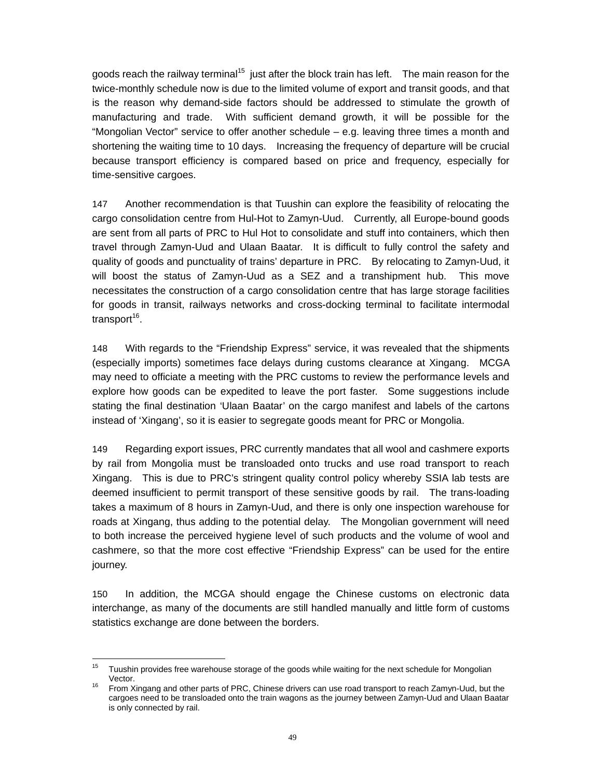goods reach the railway terminal<sup>15</sup> just after the block train has left. The main reason for the twice-monthly schedule now is due to the limited volume of export and transit goods, and that is the reason why demand-side factors should be addressed to stimulate the growth of manufacturing and trade. With sufficient demand growth, it will be possible for the "Mongolian Vector" service to offer another schedule – e.g. leaving three times a month and shortening the waiting time to 10 days. Increasing the frequency of departure will be crucial because transport efficiency is compared based on price and frequency, especially for time-sensitive cargoes.

147 Another recommendation is that Tuushin can explore the feasibility of relocating the cargo consolidation centre from Hul-Hot to Zamyn-Uud. Currently, all Europe-bound goods are sent from all parts of PRC to Hul Hot to consolidate and stuff into containers, which then travel through Zamyn-Uud and Ulaan Baatar. It is difficult to fully control the safety and quality of goods and punctuality of trains' departure in PRC. By relocating to Zamyn-Uud, it will boost the status of Zamyn-Uud as a SEZ and a transhipment hub. This move necessitates the construction of a cargo consolidation centre that has large storage facilities for goods in transit, railways networks and cross-docking terminal to facilitate intermodal transport<sup>16</sup>.

148 With regards to the "Friendship Express" service, it was revealed that the shipments (especially imports) sometimes face delays during customs clearance at Xingang. MCGA may need to officiate a meeting with the PRC customs to review the performance levels and explore how goods can be expedited to leave the port faster. Some suggestions include stating the final destination 'Ulaan Baatar' on the cargo manifest and labels of the cartons instead of 'Xingang', so it is easier to segregate goods meant for PRC or Mongolia.

149 Regarding export issues, PRC currently mandates that all wool and cashmere exports by rail from Mongolia must be transloaded onto trucks and use road transport to reach Xingang. This is due to PRC's stringent quality control policy whereby SSIA lab tests are deemed insufficient to permit transport of these sensitive goods by rail. The trans-loading takes a maximum of 8 hours in Zamyn-Uud, and there is only one inspection warehouse for roads at Xingang, thus adding to the potential delay. The Mongolian government will need to both increase the perceived hygiene level of such products and the volume of wool and cashmere, so that the more cost effective "Friendship Express" can be used for the entire journey.

150 In addition, the MCGA should engage the Chinese customs on electronic data interchange, as many of the documents are still handled manually and little form of customs statistics exchange are done between the borders.

<sup>15</sup> Tuushin provides free warehouse storage of the goods while waiting for the next schedule for Mongolian Vector.<br>16 From Xingang and other parts of PRC, Chinese drivers can use road transport to reach Zamyn-Uud, but the

cargoes need to be transloaded onto the train wagons as the journey between Zamyn-Uud and Ulaan Baatar is only connected by rail.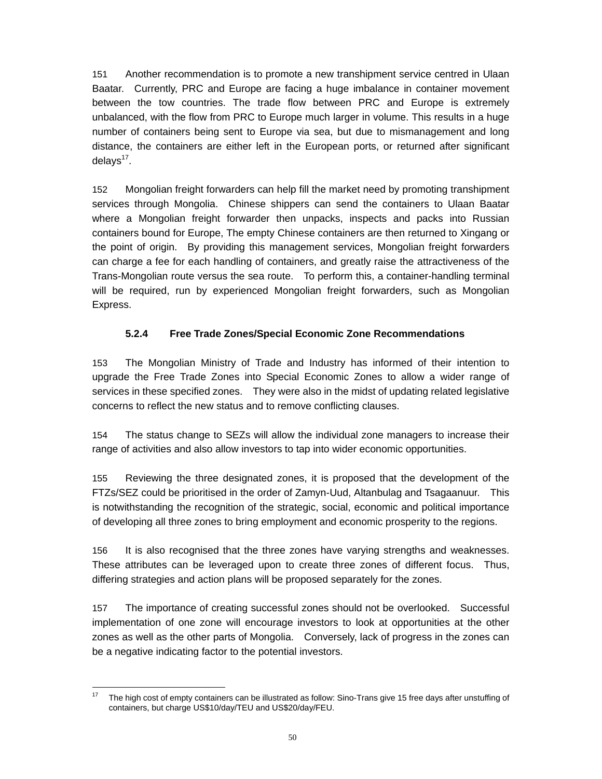151 Another recommendation is to promote a new transhipment service centred in Ulaan Baatar. Currently, PRC and Europe are facing a huge imbalance in container movement between the tow countries. The trade flow between PRC and Europe is extremely unbalanced, with the flow from PRC to Europe much larger in volume. This results in a huge number of containers being sent to Europe via sea, but due to mismanagement and long distance, the containers are either left in the European ports, or returned after significant delays $17$ .

152 Mongolian freight forwarders can help fill the market need by promoting transhipment services through Mongolia. Chinese shippers can send the containers to Ulaan Baatar where a Mongolian freight forwarder then unpacks, inspects and packs into Russian containers bound for Europe, The empty Chinese containers are then returned to Xingang or the point of origin. By providing this management services, Mongolian freight forwarders can charge a fee for each handling of containers, and greatly raise the attractiveness of the Trans-Mongolian route versus the sea route. To perform this, a container-handling terminal will be required, run by experienced Mongolian freight forwarders, such as Mongolian Express.

# **5.2.4 Free Trade Zones/Special Economic Zone Recommendations**

153 The Mongolian Ministry of Trade and Industry has informed of their intention to upgrade the Free Trade Zones into Special Economic Zones to allow a wider range of services in these specified zones. They were also in the midst of updating related legislative concerns to reflect the new status and to remove conflicting clauses.

154 The status change to SEZs will allow the individual zone managers to increase their range of activities and also allow investors to tap into wider economic opportunities.

155 Reviewing the three designated zones, it is proposed that the development of the FTZs/SEZ could be prioritised in the order of Zamyn-Uud, Altanbulag and Tsagaanuur. This is notwithstanding the recognition of the strategic, social, economic and political importance of developing all three zones to bring employment and economic prosperity to the regions.

156 It is also recognised that the three zones have varying strengths and weaknesses. These attributes can be leveraged upon to create three zones of different focus. Thus, differing strategies and action plans will be proposed separately for the zones.

157 The importance of creating successful zones should not be overlooked. Successful implementation of one zone will encourage investors to look at opportunities at the other zones as well as the other parts of Mongolia. Conversely, lack of progress in the zones can be a negative indicating factor to the potential investors.

 $17\,$ 17 The high cost of empty containers can be illustrated as follow: Sino-Trans give 15 free days after unstuffing of containers, but charge US\$10/day/TEU and US\$20/day/FEU.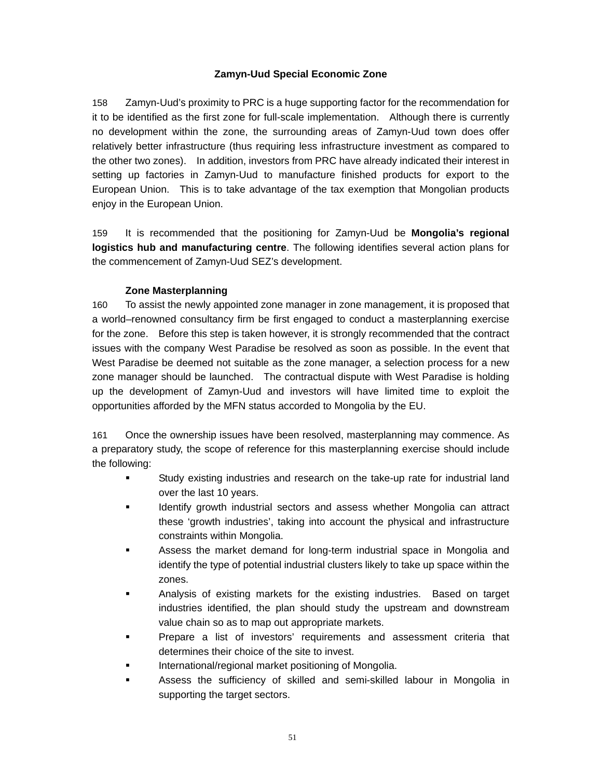# **Zamyn-Uud Special Economic Zone**

158 Zamyn-Uud's proximity to PRC is a huge supporting factor for the recommendation for it to be identified as the first zone for full-scale implementation. Although there is currently no development within the zone, the surrounding areas of Zamyn-Uud town does offer relatively better infrastructure (thus requiring less infrastructure investment as compared to the other two zones). In addition, investors from PRC have already indicated their interest in setting up factories in Zamyn-Uud to manufacture finished products for export to the European Union. This is to take advantage of the tax exemption that Mongolian products enjoy in the European Union.

159 It is recommended that the positioning for Zamyn-Uud be **Mongolia's regional logistics hub and manufacturing centre**. The following identifies several action plans for the commencement of Zamyn-Uud SEZ's development.

# **Zone Masterplanning**

160 To assist the newly appointed zone manager in zone management, it is proposed that a world–renowned consultancy firm be first engaged to conduct a masterplanning exercise for the zone. Before this step is taken however, it is strongly recommended that the contract issues with the company West Paradise be resolved as soon as possible. In the event that West Paradise be deemed not suitable as the zone manager, a selection process for a new zone manager should be launched. The contractual dispute with West Paradise is holding up the development of Zamyn-Uud and investors will have limited time to exploit the opportunities afforded by the MFN status accorded to Mongolia by the EU.

161 Once the ownership issues have been resolved, masterplanning may commence. As a preparatory study, the scope of reference for this masterplanning exercise should include the following:

- Study existing industries and research on the take-up rate for industrial land over the last 10 years.
- Identify growth industrial sectors and assess whether Mongolia can attract these 'growth industries', taking into account the physical and infrastructure constraints within Mongolia.
- Assess the market demand for long-term industrial space in Mongolia and identify the type of potential industrial clusters likely to take up space within the zones.
- Analysis of existing markets for the existing industries. Based on target industries identified, the plan should study the upstream and downstream value chain so as to map out appropriate markets.
- Prepare a list of investors' requirements and assessment criteria that determines their choice of the site to invest.
- International/regional market positioning of Mongolia.
- Assess the sufficiency of skilled and semi-skilled labour in Mongolia in supporting the target sectors.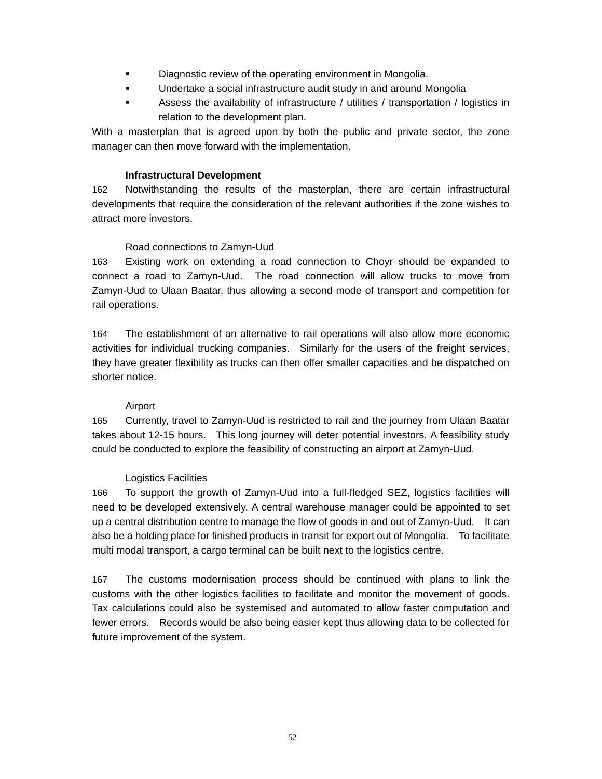- **EXECUTE:** Diagnostic review of the operating environment in Mongolia.
- **EXECT** Undertake a social infrastructure audit study in and around Mongolia
- Assess the availability of infrastructure / utilities / transportation / logistics in relation to the development plan.

With a masterplan that is agreed upon by both the public and private sector, the zone manager can then move forward with the implementation.

#### **Infrastructural Development**

162 Notwithstanding the results of the masterplan, there are certain infrastructural developments that require the consideration of the relevant authorities if the zone wishes to attract more investors.

### Road connections to Zamyn-Uud

163 Existing work on extending a road connection to Choyr should be expanded to connect a road to Zamyn-Uud. The road connection will allow trucks to move from Zamyn-Uud to Ulaan Baatar, thus allowing a second mode of transport and competition for rail operations.

164 The establishment of an alternative to rail operations will also allow more economic activities for individual trucking companies. Similarly for the users of the freight services, they have greater flexibility as trucks can then offer smaller capacities and be dispatched on shorter notice.

#### Airport

165 Currently, travel to Zamyn-Uud is restricted to rail and the journey from Ulaan Baatar takes about 12-15 hours. This long journey will deter potential investors. A feasibility study could be conducted to explore the feasibility of constructing an airport at Zamyn-Uud.

#### Logistics Facilities

166 To support the growth of Zamyn-Uud into a full-fledged SEZ, logistics facilities will need to be developed extensively. A central warehouse manager could be appointed to set up a central distribution centre to manage the flow of goods in and out of Zamyn-Uud. It can also be a holding place for finished products in transit for export out of Mongolia. To facilitate multi modal transport, a cargo terminal can be built next to the logistics centre.

167 The customs modernisation process should be continued with plans to link the customs with the other logistics facilities to facilitate and monitor the movement of goods. Tax calculations could also be systemised and automated to allow faster computation and fewer errors. Records would be also being easier kept thus allowing data to be collected for future improvement of the system.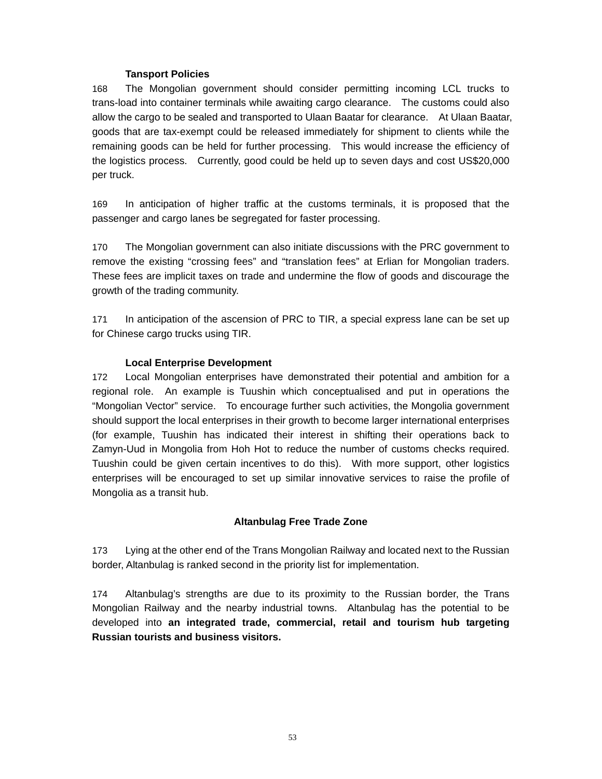#### **Tansport Policies**

168 The Mongolian government should consider permitting incoming LCL trucks to trans-load into container terminals while awaiting cargo clearance. The customs could also allow the cargo to be sealed and transported to Ulaan Baatar for clearance. At Ulaan Baatar, goods that are tax-exempt could be released immediately for shipment to clients while the remaining goods can be held for further processing. This would increase the efficiency of the logistics process. Currently, good could be held up to seven days and cost US\$20,000 per truck.

169 In anticipation of higher traffic at the customs terminals, it is proposed that the passenger and cargo lanes be segregated for faster processing.

170 The Mongolian government can also initiate discussions with the PRC government to remove the existing "crossing fees" and "translation fees" at Erlian for Mongolian traders. These fees are implicit taxes on trade and undermine the flow of goods and discourage the growth of the trading community.

171 In anticipation of the ascension of PRC to TIR, a special express lane can be set up for Chinese cargo trucks using TIR.

### **Local Enterprise Development**

172 Local Mongolian enterprises have demonstrated their potential and ambition for a regional role. An example is Tuushin which conceptualised and put in operations the "Mongolian Vector" service. To encourage further such activities, the Mongolia government should support the local enterprises in their growth to become larger international enterprises (for example, Tuushin has indicated their interest in shifting their operations back to Zamyn-Uud in Mongolia from Hoh Hot to reduce the number of customs checks required. Tuushin could be given certain incentives to do this). With more support, other logistics enterprises will be encouraged to set up similar innovative services to raise the profile of Mongolia as a transit hub.

#### **Altanbulag Free Trade Zone**

173 Lying at the other end of the Trans Mongolian Railway and located next to the Russian border, Altanbulag is ranked second in the priority list for implementation.

174 Altanbulag's strengths are due to its proximity to the Russian border, the Trans Mongolian Railway and the nearby industrial towns. Altanbulag has the potential to be developed into **an integrated trade, commercial, retail and tourism hub targeting Russian tourists and business visitors.**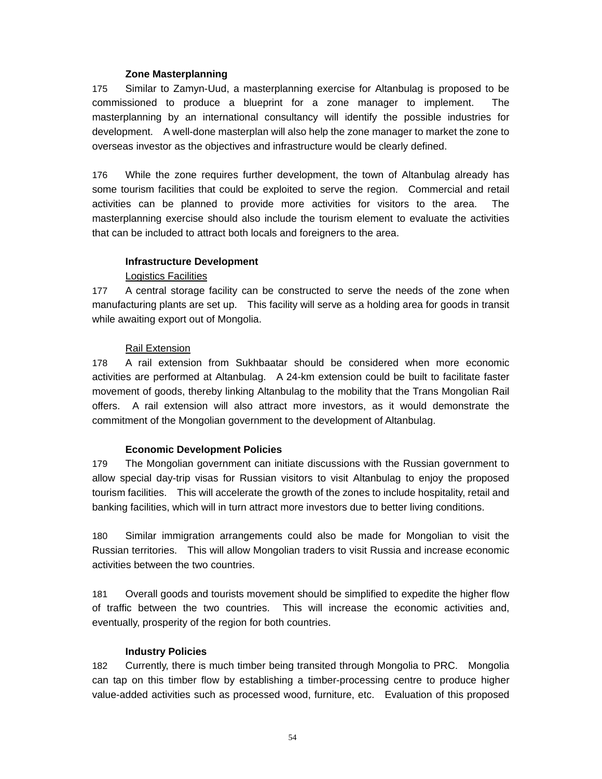#### **Zone Masterplanning**

175 Similar to Zamyn-Uud, a masterplanning exercise for Altanbulag is proposed to be commissioned to produce a blueprint for a zone manager to implement. The masterplanning by an international consultancy will identify the possible industries for development. A well-done masterplan will also help the zone manager to market the zone to overseas investor as the objectives and infrastructure would be clearly defined.

176 While the zone requires further development, the town of Altanbulag already has some tourism facilities that could be exploited to serve the region. Commercial and retail activities can be planned to provide more activities for visitors to the area. The masterplanning exercise should also include the tourism element to evaluate the activities that can be included to attract both locals and foreigners to the area.

### **Infrastructure Development**

### Logistics Facilities

177 A central storage facility can be constructed to serve the needs of the zone when manufacturing plants are set up. This facility will serve as a holding area for goods in transit while awaiting export out of Mongolia.

#### Rail Extension

178 A rail extension from Sukhbaatar should be considered when more economic activities are performed at Altanbulag. A 24-km extension could be built to facilitate faster movement of goods, thereby linking Altanbulag to the mobility that the Trans Mongolian Rail offers. A rail extension will also attract more investors, as it would demonstrate the commitment of the Mongolian government to the development of Altanbulag.

#### **Economic Development Policies**

179 The Mongolian government can initiate discussions with the Russian government to allow special day-trip visas for Russian visitors to visit Altanbulag to enjoy the proposed tourism facilities. This will accelerate the growth of the zones to include hospitality, retail and banking facilities, which will in turn attract more investors due to better living conditions.

180 Similar immigration arrangements could also be made for Mongolian to visit the Russian territories. This will allow Mongolian traders to visit Russia and increase economic activities between the two countries.

181 Overall goods and tourists movement should be simplified to expedite the higher flow of traffic between the two countries. This will increase the economic activities and, eventually, prosperity of the region for both countries.

#### **Industry Policies**

182 Currently, there is much timber being transited through Mongolia to PRC. Mongolia can tap on this timber flow by establishing a timber-processing centre to produce higher value-added activities such as processed wood, furniture, etc. Evaluation of this proposed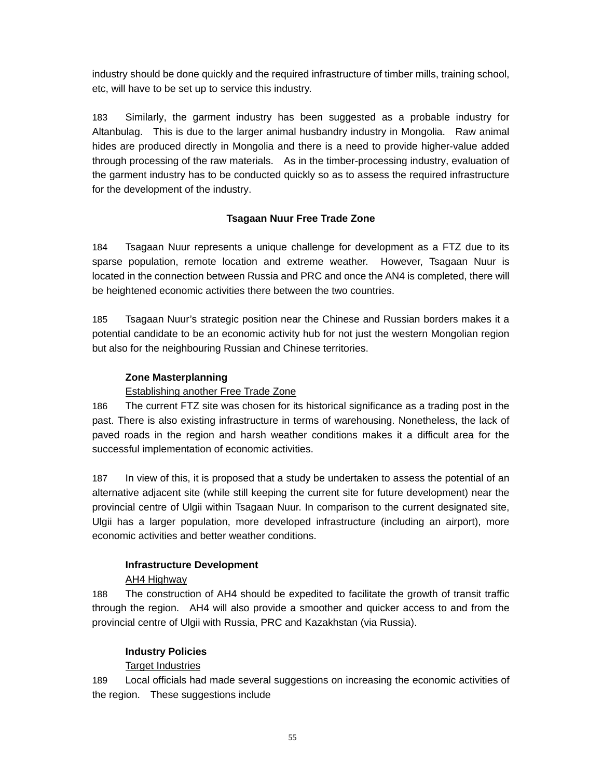industry should be done quickly and the required infrastructure of timber mills, training school, etc, will have to be set up to service this industry.

183 Similarly, the garment industry has been suggested as a probable industry for Altanbulag. This is due to the larger animal husbandry industry in Mongolia. Raw animal hides are produced directly in Mongolia and there is a need to provide higher-value added through processing of the raw materials. As in the timber-processing industry, evaluation of the garment industry has to be conducted quickly so as to assess the required infrastructure for the development of the industry.

### **Tsagaan Nuur Free Trade Zone**

184 Tsagaan Nuur represents a unique challenge for development as a FTZ due to its sparse population, remote location and extreme weather. However, Tsagaan Nuur is located in the connection between Russia and PRC and once the AN4 is completed, there will be heightened economic activities there between the two countries.

185 Tsagaan Nuur's strategic position near the Chinese and Russian borders makes it a potential candidate to be an economic activity hub for not just the western Mongolian region but also for the neighbouring Russian and Chinese territories.

### **Zone Masterplanning**

### Establishing another Free Trade Zone

186 The current FTZ site was chosen for its historical significance as a trading post in the past. There is also existing infrastructure in terms of warehousing. Nonetheless, the lack of paved roads in the region and harsh weather conditions makes it a difficult area for the successful implementation of economic activities.

187 In view of this, it is proposed that a study be undertaken to assess the potential of an alternative adjacent site (while still keeping the current site for future development) near the provincial centre of Ulgii within Tsagaan Nuur. In comparison to the current designated site, Ulgii has a larger population, more developed infrastructure (including an airport), more economic activities and better weather conditions.

# **Infrastructure Development**

#### AH4 Highway

188 The construction of AH4 should be expedited to facilitate the growth of transit traffic through the region. AH4 will also provide a smoother and quicker access to and from the provincial centre of Ulgii with Russia, PRC and Kazakhstan (via Russia).

#### **Industry Policies**

# Target Industries

189 Local officials had made several suggestions on increasing the economic activities of the region. These suggestions include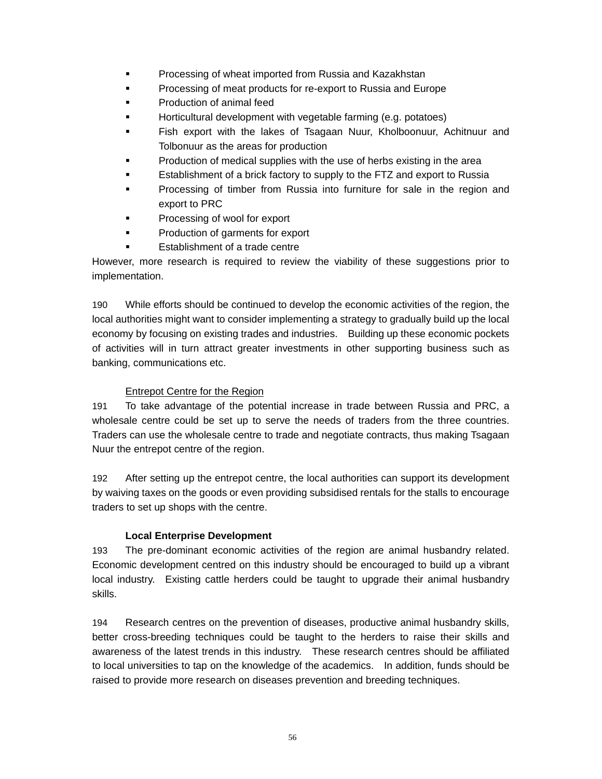- **Processing of wheat imported from Russia and Kazakhstan**
- Processing of meat products for re-export to Russia and Europe
- Production of animal feed
- Horticultural development with vegetable farming (e.g. potatoes)
- Fish export with the lakes of Tsagaan Nuur, Kholboonuur, Achitnuur and Tolbonuur as the areas for production
- Production of medical supplies with the use of herbs existing in the area
- Establishment of a brick factory to supply to the FTZ and export to Russia
- Processing of timber from Russia into furniture for sale in the region and export to PRC
- Processing of wool for export
- **Production of garments for export**
- Establishment of a trade centre

However, more research is required to review the viability of these suggestions prior to implementation.

190 While efforts should be continued to develop the economic activities of the region, the local authorities might want to consider implementing a strategy to gradually build up the local economy by focusing on existing trades and industries. Building up these economic pockets of activities will in turn attract greater investments in other supporting business such as banking, communications etc.

#### Entrepot Centre for the Region

191 To take advantage of the potential increase in trade between Russia and PRC, a wholesale centre could be set up to serve the needs of traders from the three countries. Traders can use the wholesale centre to trade and negotiate contracts, thus making Tsagaan Nuur the entrepot centre of the region.

192 After setting up the entrepot centre, the local authorities can support its development by waiving taxes on the goods or even providing subsidised rentals for the stalls to encourage traders to set up shops with the centre.

#### **Local Enterprise Development**

193 The pre-dominant economic activities of the region are animal husbandry related. Economic development centred on this industry should be encouraged to build up a vibrant local industry. Existing cattle herders could be taught to upgrade their animal husbandry skills.

194 Research centres on the prevention of diseases, productive animal husbandry skills, better cross-breeding techniques could be taught to the herders to raise their skills and awareness of the latest trends in this industry. These research centres should be affiliated to local universities to tap on the knowledge of the academics. In addition, funds should be raised to provide more research on diseases prevention and breeding techniques.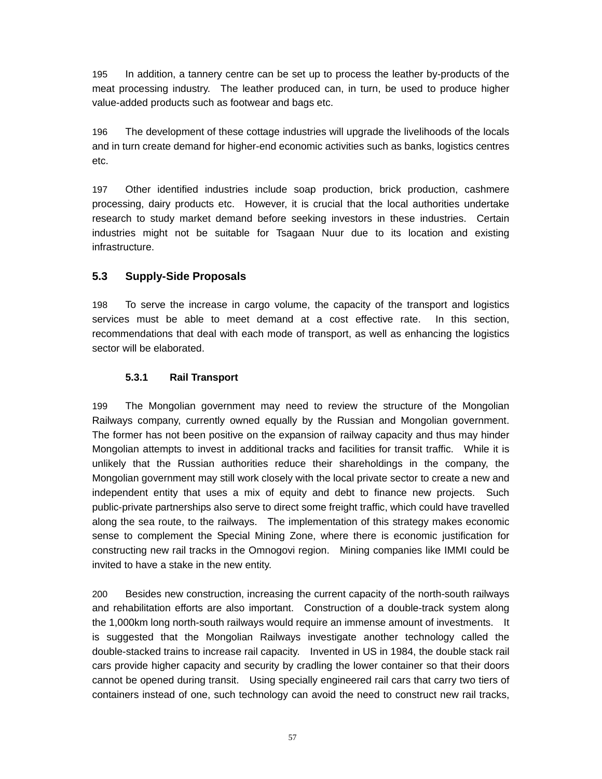195 In addition, a tannery centre can be set up to process the leather by-products of the meat processing industry. The leather produced can, in turn, be used to produce higher value-added products such as footwear and bags etc.

196 The development of these cottage industries will upgrade the livelihoods of the locals and in turn create demand for higher-end economic activities such as banks, logistics centres etc.

197 Other identified industries include soap production, brick production, cashmere processing, dairy products etc. However, it is crucial that the local authorities undertake research to study market demand before seeking investors in these industries. Certain industries might not be suitable for Tsagaan Nuur due to its location and existing infrastructure.

# **5.3 Supply-Side Proposals**

198 To serve the increase in cargo volume, the capacity of the transport and logistics services must be able to meet demand at a cost effective rate. In this section, recommendations that deal with each mode of transport, as well as enhancing the logistics sector will be elaborated.

# **5.3.1 Rail Transport**

199 The Mongolian government may need to review the structure of the Mongolian Railways company, currently owned equally by the Russian and Mongolian government. The former has not been positive on the expansion of railway capacity and thus may hinder Mongolian attempts to invest in additional tracks and facilities for transit traffic. While it is unlikely that the Russian authorities reduce their shareholdings in the company, the Mongolian government may still work closely with the local private sector to create a new and independent entity that uses a mix of equity and debt to finance new projects. Such public-private partnerships also serve to direct some freight traffic, which could have travelled along the sea route, to the railways. The implementation of this strategy makes economic sense to complement the Special Mining Zone, where there is economic justification for constructing new rail tracks in the Omnogovi region. Mining companies like IMMI could be invited to have a stake in the new entity.

200 Besides new construction, increasing the current capacity of the north-south railways and rehabilitation efforts are also important. Construction of a double-track system along the 1,000km long north-south railways would require an immense amount of investments. It is suggested that the Mongolian Railways investigate another technology called the double-stacked trains to increase rail capacity. Invented in US in 1984, the double stack rail cars provide higher capacity and security by cradling the lower container so that their doors cannot be opened during transit. Using specially engineered rail cars that carry two tiers of containers instead of one, such technology can avoid the need to construct new rail tracks,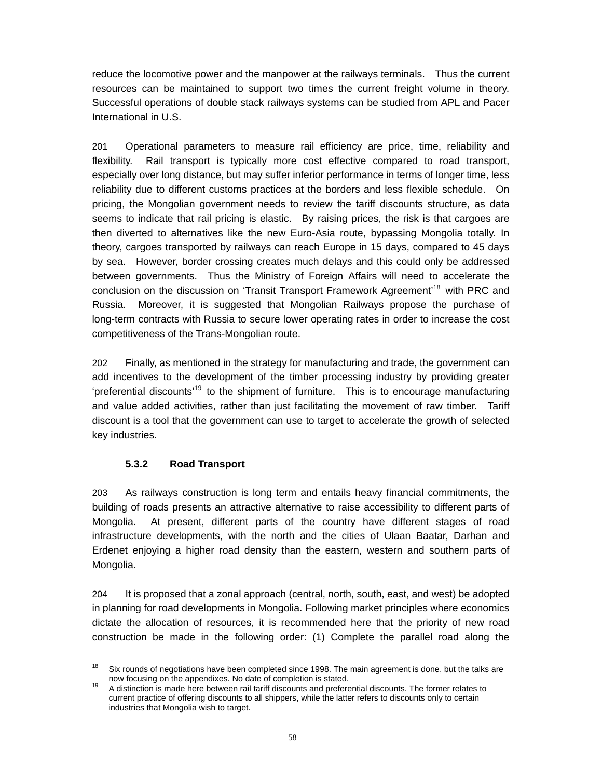reduce the locomotive power and the manpower at the railways terminals. Thus the current resources can be maintained to support two times the current freight volume in theory. Successful operations of double stack railways systems can be studied from APL and Pacer International in U.S.

201 Operational parameters to measure rail efficiency are price, time, reliability and flexibility. Rail transport is typically more cost effective compared to road transport, especially over long distance, but may suffer inferior performance in terms of longer time, less reliability due to different customs practices at the borders and less flexible schedule. On pricing, the Mongolian government needs to review the tariff discounts structure, as data seems to indicate that rail pricing is elastic. By raising prices, the risk is that cargoes are then diverted to alternatives like the new Euro-Asia route, bypassing Mongolia totally. In theory, cargoes transported by railways can reach Europe in 15 days, compared to 45 days by sea. However, border crossing creates much delays and this could only be addressed between governments. Thus the Ministry of Foreign Affairs will need to accelerate the conclusion on the discussion on 'Transit Transport Framework Agreement'<sup>18</sup> with PRC and Russia. Moreover, it is suggested that Mongolian Railways propose the purchase of long-term contracts with Russia to secure lower operating rates in order to increase the cost competitiveness of the Trans-Mongolian route.

202 Finally, as mentioned in the strategy for manufacturing and trade, the government can add incentives to the development of the timber processing industry by providing greater 'preferential discounts'19 to the shipment of furniture. This is to encourage manufacturing and value added activities, rather than just facilitating the movement of raw timber. Tariff discount is a tool that the government can use to target to accelerate the growth of selected key industries.

# **5.3.2 Road Transport**

203 As railways construction is long term and entails heavy financial commitments, the building of roads presents an attractive alternative to raise accessibility to different parts of Mongolia. At present, different parts of the country have different stages of road infrastructure developments, with the north and the cities of Ulaan Baatar, Darhan and Erdenet enjoying a higher road density than the eastern, western and southern parts of Mongolia.

204 It is proposed that a zonal approach (central, north, south, east, and west) be adopted in planning for road developments in Mongolia. Following market principles where economics dictate the allocation of resources, it is recommended here that the priority of new road construction be made in the following order: (1) Complete the parallel road along the

<sup>18</sup> Six rounds of negotiations have been completed since 1998. The main agreement is done, but the talks are now focusing on the appendixes. No date of completion is stated.

now focusing on the appendixes. No date of completion is stated.<br><sup>19</sup> A distinction is made here between rail tariff discounts and preferential discounts. The former relates to current practice of offering discounts to all shippers, while the latter refers to discounts only to certain industries that Mongolia wish to target.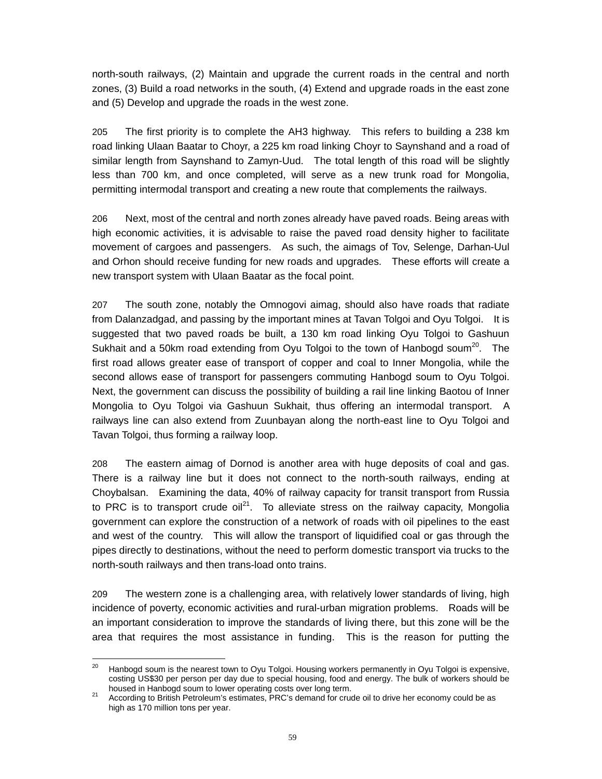north-south railways, (2) Maintain and upgrade the current roads in the central and north zones, (3) Build a road networks in the south, (4) Extend and upgrade roads in the east zone and (5) Develop and upgrade the roads in the west zone.

205 The first priority is to complete the AH3 highway. This refers to building a 238 km road linking Ulaan Baatar to Choyr, a 225 km road linking Choyr to Saynshand and a road of similar length from Saynshand to Zamyn-Uud. The total length of this road will be slightly less than 700 km, and once completed, will serve as a new trunk road for Mongolia, permitting intermodal transport and creating a new route that complements the railways.

206 Next, most of the central and north zones already have paved roads. Being areas with high economic activities, it is advisable to raise the paved road density higher to facilitate movement of cargoes and passengers. As such, the aimags of Tov, Selenge, Darhan-Uul and Orhon should receive funding for new roads and upgrades. These efforts will create a new transport system with Ulaan Baatar as the focal point.

207 The south zone, notably the Omnogovi aimag, should also have roads that radiate from Dalanzadgad, and passing by the important mines at Tavan Tolgoi and Oyu Tolgoi. It is suggested that two paved roads be built, a 130 km road linking Oyu Tolgoi to Gashuun Sukhait and a 50km road extending from Oyu Tolgoi to the town of Hanbogd soum<sup>20</sup>. The first road allows greater ease of transport of copper and coal to Inner Mongolia, while the second allows ease of transport for passengers commuting Hanbogd soum to Oyu Tolgoi. Next, the government can discuss the possibility of building a rail line linking Baotou of Inner Mongolia to Oyu Tolgoi via Gashuun Sukhait, thus offering an intermodal transport. A railways line can also extend from Zuunbayan along the north-east line to Oyu Tolgoi and Tavan Tolgoi, thus forming a railway loop.

208 The eastern aimag of Dornod is another area with huge deposits of coal and gas. There is a railway line but it does not connect to the north-south railways, ending at Choybalsan. Examining the data, 40% of railway capacity for transit transport from Russia to PRC is to transport crude  $\delta u^{21}$ . To alleviate stress on the railway capacity, Mongolia government can explore the construction of a network of roads with oil pipelines to the east and west of the country. This will allow the transport of liquidified coal or gas through the pipes directly to destinations, without the need to perform domestic transport via trucks to the north-south railways and then trans-load onto trains.

209 The western zone is a challenging area, with relatively lower standards of living, high incidence of poverty, economic activities and rural-urban migration problems. Roads will be an important consideration to improve the standards of living there, but this zone will be the area that requires the most assistance in funding. This is the reason for putting the

<sup>20</sup> Hanbogd soum is the nearest town to Oyu Tolgoi. Housing workers permanently in Oyu Tolgoi is expensive, costing US\$30 per person per day due to special housing, food and energy. The bulk of workers should be housed in Hanbogd soum to lower operating costs over long term.

<sup>&</sup>lt;sup>21</sup> According to British Petroleum's estimates, PRC's demand for crude oil to drive her economy could be as high as 170 million tons per year.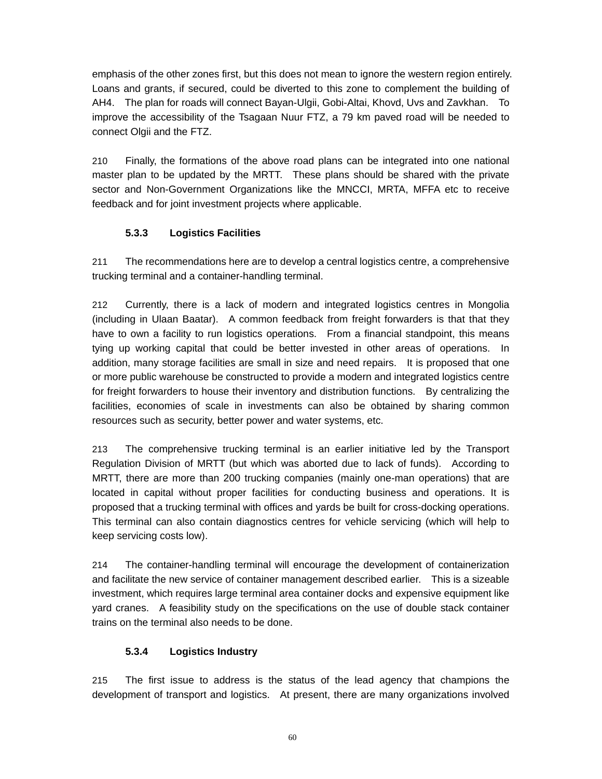emphasis of the other zones first, but this does not mean to ignore the western region entirely. Loans and grants, if secured, could be diverted to this zone to complement the building of AH4. The plan for roads will connect Bayan-Ulgii, Gobi-Altai, Khovd, Uvs and Zavkhan. To improve the accessibility of the Tsagaan Nuur FTZ, a 79 km paved road will be needed to connect Olgii and the FTZ.

210 Finally, the formations of the above road plans can be integrated into one national master plan to be updated by the MRTT. These plans should be shared with the private sector and Non-Government Organizations like the MNCCI, MRTA, MFFA etc to receive feedback and for joint investment projects where applicable.

# **5.3.3 Logistics Facilities**

211 The recommendations here are to develop a central logistics centre, a comprehensive trucking terminal and a container-handling terminal.

212 Currently, there is a lack of modern and integrated logistics centres in Mongolia (including in Ulaan Baatar). A common feedback from freight forwarders is that that they have to own a facility to run logistics operations. From a financial standpoint, this means tying up working capital that could be better invested in other areas of operations. In addition, many storage facilities are small in size and need repairs. It is proposed that one or more public warehouse be constructed to provide a modern and integrated logistics centre for freight forwarders to house their inventory and distribution functions. By centralizing the facilities, economies of scale in investments can also be obtained by sharing common resources such as security, better power and water systems, etc.

213 The comprehensive trucking terminal is an earlier initiative led by the Transport Regulation Division of MRTT (but which was aborted due to lack of funds). According to MRTT, there are more than 200 trucking companies (mainly one-man operations) that are located in capital without proper facilities for conducting business and operations. It is proposed that a trucking terminal with offices and yards be built for cross-docking operations. This terminal can also contain diagnostics centres for vehicle servicing (which will help to keep servicing costs low).

214 The container-handling terminal will encourage the development of containerization and facilitate the new service of container management described earlier. This is a sizeable investment, which requires large terminal area container docks and expensive equipment like yard cranes. A feasibility study on the specifications on the use of double stack container trains on the terminal also needs to be done.

# **5.3.4 Logistics Industry**

215 The first issue to address is the status of the lead agency that champions the development of transport and logistics. At present, there are many organizations involved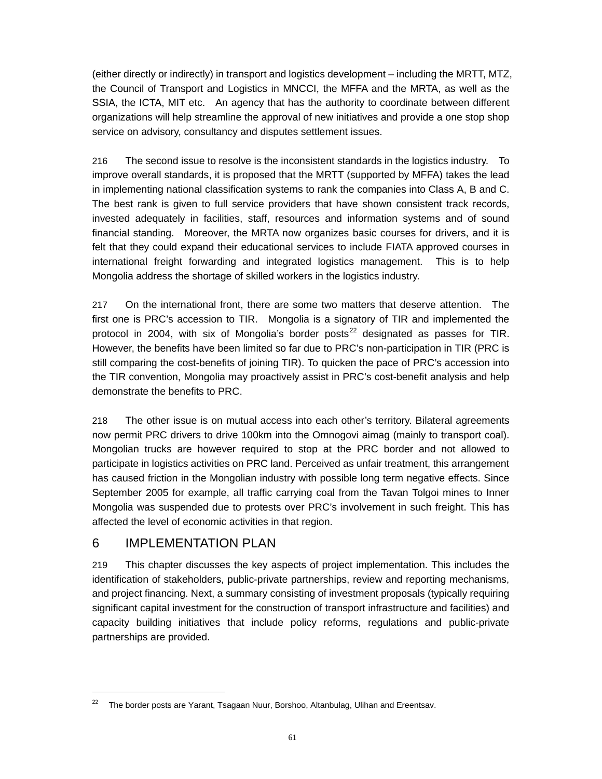(either directly or indirectly) in transport and logistics development – including the MRTT, MTZ, the Council of Transport and Logistics in MNCCI, the MFFA and the MRTA, as well as the SSIA, the ICTA, MIT etc. An agency that has the authority to coordinate between different organizations will help streamline the approval of new initiatives and provide a one stop shop service on advisory, consultancy and disputes settlement issues.

216 The second issue to resolve is the inconsistent standards in the logistics industry. To improve overall standards, it is proposed that the MRTT (supported by MFFA) takes the lead in implementing national classification systems to rank the companies into Class A, B and C. The best rank is given to full service providers that have shown consistent track records, invested adequately in facilities, staff, resources and information systems and of sound financial standing. Moreover, the MRTA now organizes basic courses for drivers, and it is felt that they could expand their educational services to include FIATA approved courses in international freight forwarding and integrated logistics management. This is to help Mongolia address the shortage of skilled workers in the logistics industry.

217 On the international front, there are some two matters that deserve attention. The first one is PRC's accession to TIR. Mongolia is a signatory of TIR and implemented the protocol in 2004, with six of Mongolia's border posts<sup>22</sup> designated as passes for TIR. However, the benefits have been limited so far due to PRC's non-participation in TIR (PRC is still comparing the cost-benefits of joining TIR). To quicken the pace of PRC's accession into the TIR convention, Mongolia may proactively assist in PRC's cost-benefit analysis and help demonstrate the benefits to PRC.

218 The other issue is on mutual access into each other's territory. Bilateral agreements now permit PRC drivers to drive 100km into the Omnogovi aimag (mainly to transport coal). Mongolian trucks are however required to stop at the PRC border and not allowed to participate in logistics activities on PRC land. Perceived as unfair treatment, this arrangement has caused friction in the Mongolian industry with possible long term negative effects. Since September 2005 for example, all traffic carrying coal from the Tavan Tolgoi mines to Inner Mongolia was suspended due to protests over PRC's involvement in such freight. This has affected the level of economic activities in that region.

# 6 IMPI EMENTATION PI AN

 $\overline{a}$ 

219 This chapter discusses the key aspects of project implementation. This includes the identification of stakeholders, public-private partnerships, review and reporting mechanisms, and project financing. Next, a summary consisting of investment proposals (typically requiring significant capital investment for the construction of transport infrastructure and facilities) and capacity building initiatives that include policy reforms, regulations and public-private partnerships are provided.

 $22$  The border posts are Yarant, Tsagaan Nuur, Borshoo, Altanbulag, Ulihan and Ereentsav.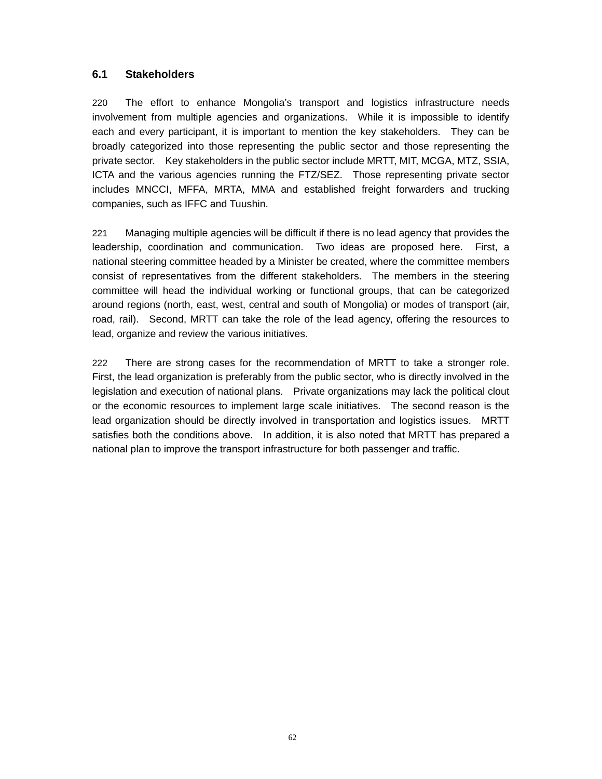# **6.1 Stakeholders**

220 The effort to enhance Mongolia's transport and logistics infrastructure needs involvement from multiple agencies and organizations. While it is impossible to identify each and every participant, it is important to mention the key stakeholders. They can be broadly categorized into those representing the public sector and those representing the private sector. Key stakeholders in the public sector include MRTT, MIT, MCGA, MTZ, SSIA, ICTA and the various agencies running the FTZ/SEZ. Those representing private sector includes MNCCI, MFFA, MRTA, MMA and established freight forwarders and trucking companies, such as IFFC and Tuushin.

221 Managing multiple agencies will be difficult if there is no lead agency that provides the leadership, coordination and communication. Two ideas are proposed here. First, a national steering committee headed by a Minister be created, where the committee members consist of representatives from the different stakeholders. The members in the steering committee will head the individual working or functional groups, that can be categorized around regions (north, east, west, central and south of Mongolia) or modes of transport (air, road, rail). Second, MRTT can take the role of the lead agency, offering the resources to lead, organize and review the various initiatives.

222 There are strong cases for the recommendation of MRTT to take a stronger role. First, the lead organization is preferably from the public sector, who is directly involved in the legislation and execution of national plans. Private organizations may lack the political clout or the economic resources to implement large scale initiatives. The second reason is the lead organization should be directly involved in transportation and logistics issues. MRTT satisfies both the conditions above. In addition, it is also noted that MRTT has prepared a national plan to improve the transport infrastructure for both passenger and traffic.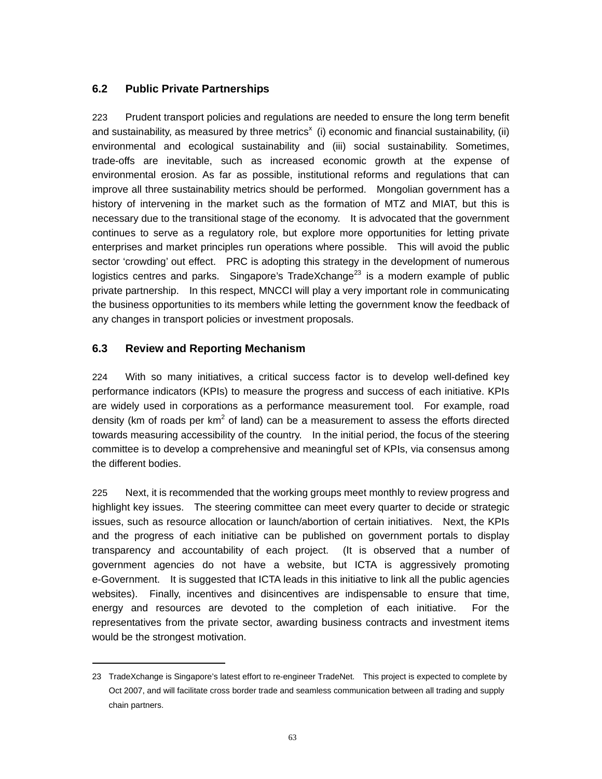# **6.2 Public Private Partnerships**

223 Prudent transport policies and regulations are needed to ensure the long term benefit and sustainability, as measured by three metrics<sup>x</sup> (i) economic and financial sustainability, (ii) environmental and ecological sustainability and (iii) social sustainability. Sometimes, trade-offs are inevitable, such as increased economic growth at the expense of environmental erosion. As far as possible, institutional reforms and regulations that can improve all three sustainability metrics should be performed. Mongolian government has a history of intervening in the market such as the formation of MTZ and MIAT, but this is necessary due to the transitional stage of the economy. It is advocated that the government continues to serve as a regulatory role, but explore more opportunities for letting private enterprises and market principles run operations where possible. This will avoid the public sector 'crowding' out effect. PRC is adopting this strategy in the development of numerous logistics centres and parks. Singapore's TradeXchange<sup>23</sup> is a modern example of public private partnership. In this respect, MNCCI will play a very important role in communicating the business opportunities to its members while letting the government know the feedback of any changes in transport policies or investment proposals.

# **6.3 Review and Reporting Mechanism**

 $\overline{a}$ 

224 With so many initiatives, a critical success factor is to develop well-defined key performance indicators (KPIs) to measure the progress and success of each initiative. KPIs are widely used in corporations as a performance measurement tool. For example, road density (km of roads per  $km^2$  of land) can be a measurement to assess the efforts directed towards measuring accessibility of the country. In the initial period, the focus of the steering committee is to develop a comprehensive and meaningful set of KPIs, via consensus among the different bodies.

225 Next, it is recommended that the working groups meet monthly to review progress and highlight key issues. The steering committee can meet every quarter to decide or strategic issues, such as resource allocation or launch/abortion of certain initiatives. Next, the KPIs and the progress of each initiative can be published on government portals to display transparency and accountability of each project. (It is observed that a number of government agencies do not have a website, but ICTA is aggressively promoting e-Government. It is suggested that ICTA leads in this initiative to link all the public agencies websites). Finally, incentives and disincentives are indispensable to ensure that time, energy and resources are devoted to the completion of each initiative. For the representatives from the private sector, awarding business contracts and investment items would be the strongest motivation.

<sup>23</sup> TradeXchange is Singapore's latest effort to re-engineer TradeNet. This project is expected to complete by Oct 2007, and will facilitate cross border trade and seamless communication between all trading and supply chain partners.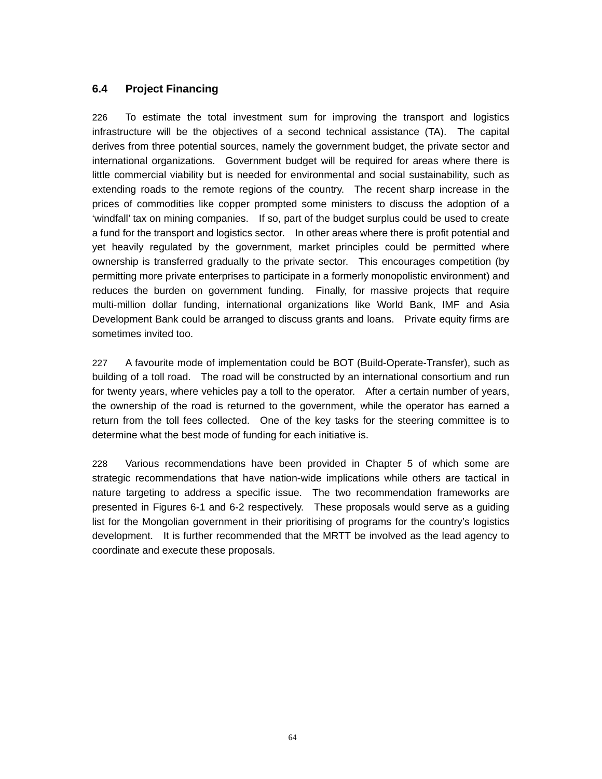# **6.4 Project Financing**

226 To estimate the total investment sum for improving the transport and logistics infrastructure will be the objectives of a second technical assistance (TA). The capital derives from three potential sources, namely the government budget, the private sector and international organizations. Government budget will be required for areas where there is little commercial viability but is needed for environmental and social sustainability, such as extending roads to the remote regions of the country. The recent sharp increase in the prices of commodities like copper prompted some ministers to discuss the adoption of a 'windfall' tax on mining companies. If so, part of the budget surplus could be used to create a fund for the transport and logistics sector. In other areas where there is profit potential and yet heavily regulated by the government, market principles could be permitted where ownership is transferred gradually to the private sector. This encourages competition (by permitting more private enterprises to participate in a formerly monopolistic environment) and reduces the burden on government funding. Finally, for massive projects that require multi-million dollar funding, international organizations like World Bank, IMF and Asia Development Bank could be arranged to discuss grants and loans. Private equity firms are sometimes invited too.

227 A favourite mode of implementation could be BOT (Build-Operate-Transfer), such as building of a toll road. The road will be constructed by an international consortium and run for twenty years, where vehicles pay a toll to the operator. After a certain number of years, the ownership of the road is returned to the government, while the operator has earned a return from the toll fees collected. One of the key tasks for the steering committee is to determine what the best mode of funding for each initiative is.

228 Various recommendations have been provided in Chapter 5 of which some are strategic recommendations that have nation-wide implications while others are tactical in nature targeting to address a specific issue. The two recommendation frameworks are presented in Figures 6-1 and 6-2 respectively. These proposals would serve as a guiding list for the Mongolian government in their prioritising of programs for the country's logistics development. It is further recommended that the MRTT be involved as the lead agency to coordinate and execute these proposals.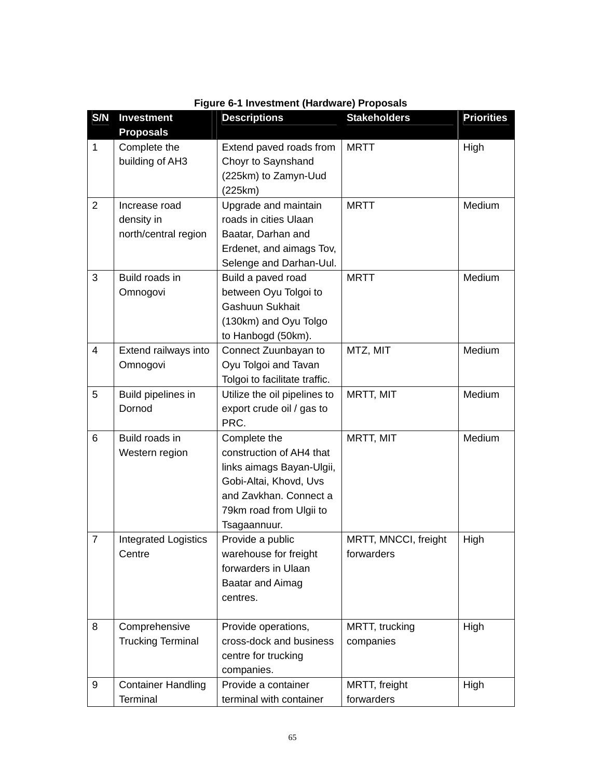| S/N            | <b>Investment</b><br><b>Proposals</b> | <b>Descriptions</b>                                                   | <b>Stakeholders</b>  | <b>Priorities</b> |
|----------------|---------------------------------------|-----------------------------------------------------------------------|----------------------|-------------------|
| $\mathbf{1}$   | Complete the<br>building of AH3       | Extend paved roads from<br>Choyr to Saynshand<br>(225km) to Zamyn-Uud | <b>MRTT</b>          | High              |
|                |                                       | (225km)                                                               |                      |                   |
| 2              | Increase road<br>density in           | Upgrade and maintain<br>roads in cities Ulaan                         | <b>MRTT</b>          | Medium            |
|                | north/central region                  | Baatar, Darhan and                                                    |                      |                   |
|                |                                       | Erdenet, and aimags Tov,                                              |                      |                   |
|                |                                       | Selenge and Darhan-Uul.                                               |                      |                   |
| 3              | Build roads in                        | Build a paved road                                                    | <b>MRTT</b>          | Medium            |
|                | Omnogovi                              | between Oyu Tolgoi to                                                 |                      |                   |
|                |                                       | Gashuun Sukhait                                                       |                      |                   |
|                |                                       | (130km) and Oyu Tolgo                                                 |                      |                   |
|                |                                       | to Hanbogd (50km).                                                    |                      |                   |
| $\overline{4}$ | Extend railways into                  | Connect Zuunbayan to                                                  | MTZ, MIT             | Medium            |
|                | Omnogovi                              | Oyu Tolgoi and Tavan                                                  |                      |                   |
|                |                                       | Tolgoi to facilitate traffic.                                         |                      |                   |
| 5              | Build pipelines in                    | Utilize the oil pipelines to                                          | MRTT, MIT            | Medium            |
|                | Dornod                                | export crude oil / gas to<br>PRC.                                     |                      |                   |
| 6              | Build roads in                        |                                                                       | MRTT, MIT            | Medium            |
|                | Western region                        | Complete the<br>construction of AH4 that                              |                      |                   |
|                |                                       | links aimags Bayan-Ulgii,                                             |                      |                   |
|                |                                       | Gobi-Altai, Khovd, Uvs                                                |                      |                   |
|                |                                       | and Zavkhan. Connect a                                                |                      |                   |
|                |                                       | 79km road from Ulgii to                                               |                      |                   |
|                |                                       | Tsagaannuur.                                                          |                      |                   |
| $\overline{7}$ | <b>Integrated Logistics</b>           | Provide a public                                                      | MRTT, MNCCI, freight | High              |
|                | Centre                                | warehouse for freight                                                 | forwarders           |                   |
|                |                                       | forwarders in Ulaan                                                   |                      |                   |
|                |                                       | <b>Baatar and Aimag</b>                                               |                      |                   |
|                |                                       | centres.                                                              |                      |                   |
| 8              | Comprehensive                         | Provide operations,                                                   | MRTT, trucking       | High              |
|                | <b>Trucking Terminal</b>              | cross-dock and business                                               | companies            |                   |
|                |                                       | centre for trucking                                                   |                      |                   |
|                |                                       | companies.                                                            |                      |                   |
| 9              | <b>Container Handling</b>             | Provide a container                                                   | MRTT, freight        | High              |
|                | Terminal                              | terminal with container                                               | forwarders           |                   |

|  | Figure 6-1 Investment (Hardware) Proposals |  |  |
|--|--------------------------------------------|--|--|
|  |                                            |  |  |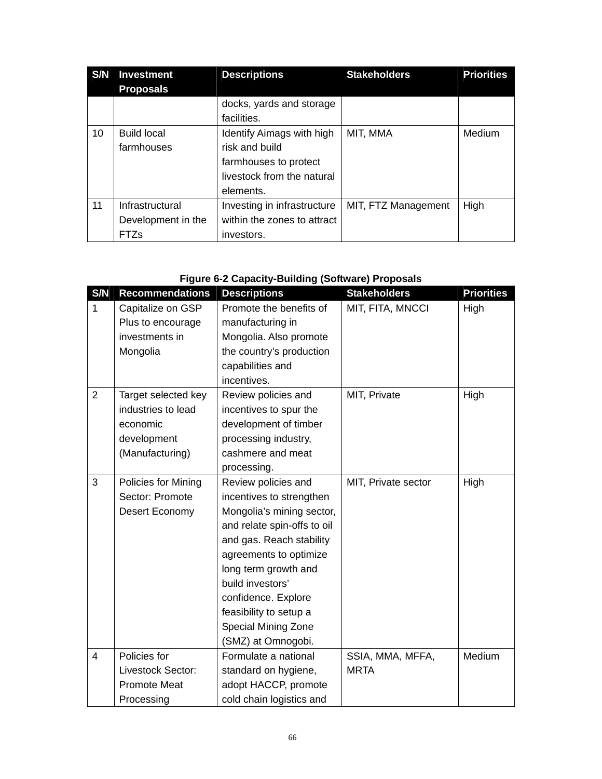| S/N | <b>Investment</b>  | <b>Descriptions</b>              | <b>Stakeholders</b> | <b>Priorities</b> |
|-----|--------------------|----------------------------------|---------------------|-------------------|
|     | <b>Proposals</b>   |                                  |                     |                   |
|     |                    | docks, yards and storage         |                     |                   |
|     |                    | facilities.                      |                     |                   |
| 10  | <b>Build local</b> | <b>Identify Aimags with high</b> | MIT, MMA            | Medium            |
|     | farmhouses         | risk and build                   |                     |                   |
|     |                    | farmhouses to protect            |                     |                   |
|     |                    | livestock from the natural       |                     |                   |
|     |                    | elements.                        |                     |                   |
| 11  | Infrastructural    | Investing in infrastructure      | MIT, FTZ Management | High              |
|     | Development in the | within the zones to attract      |                     |                   |
|     | <b>FTZs</b>        | investors.                       |                     |                   |

# **Figure 6-2 Capacity-Building (Software) Proposals**

| S/N                     | <b>Recommendations</b> | <b>Descriptions</b>         | <b>Stakeholders</b> | <b>Priorities</b> |
|-------------------------|------------------------|-----------------------------|---------------------|-------------------|
| $\mathbf{1}$            | Capitalize on GSP      | Promote the benefits of     | MIT, FITA, MNCCI    | High              |
|                         | Plus to encourage      | manufacturing in            |                     |                   |
|                         | investments in         | Mongolia. Also promote      |                     |                   |
|                         | Mongolia               | the country's production    |                     |                   |
|                         |                        | capabilities and            |                     |                   |
|                         |                        | incentives.                 |                     |                   |
| $\overline{2}$          | Target selected key    | Review policies and         | MIT, Private        | High              |
|                         | industries to lead     | incentives to spur the      |                     |                   |
|                         | economic               | development of timber       |                     |                   |
|                         | development            | processing industry,        |                     |                   |
|                         | (Manufacturing)        | cashmere and meat           |                     |                   |
|                         |                        | processing.                 |                     |                   |
| 3                       | Policies for Mining    | Review policies and         | MIT, Private sector | High              |
|                         | Sector: Promote        | incentives to strengthen    |                     |                   |
|                         | Desert Economy         | Mongolia's mining sector,   |                     |                   |
|                         |                        | and relate spin-offs to oil |                     |                   |
|                         |                        | and gas. Reach stability    |                     |                   |
|                         |                        | agreements to optimize      |                     |                   |
|                         |                        | long term growth and        |                     |                   |
|                         |                        | build investors'            |                     |                   |
|                         |                        | confidence. Explore         |                     |                   |
|                         |                        | feasibility to setup a      |                     |                   |
|                         |                        | Special Mining Zone         |                     |                   |
|                         |                        | (SMZ) at Omnogobi.          |                     |                   |
| $\overline{\mathbf{4}}$ | Policies for           | Formulate a national        | SSIA, MMA, MFFA,    | Medium            |
|                         | Livestock Sector:      | standard on hygiene,        | <b>MRTA</b>         |                   |
|                         | <b>Promote Meat</b>    | adopt HACCP, promote        |                     |                   |
|                         | Processing             | cold chain logistics and    |                     |                   |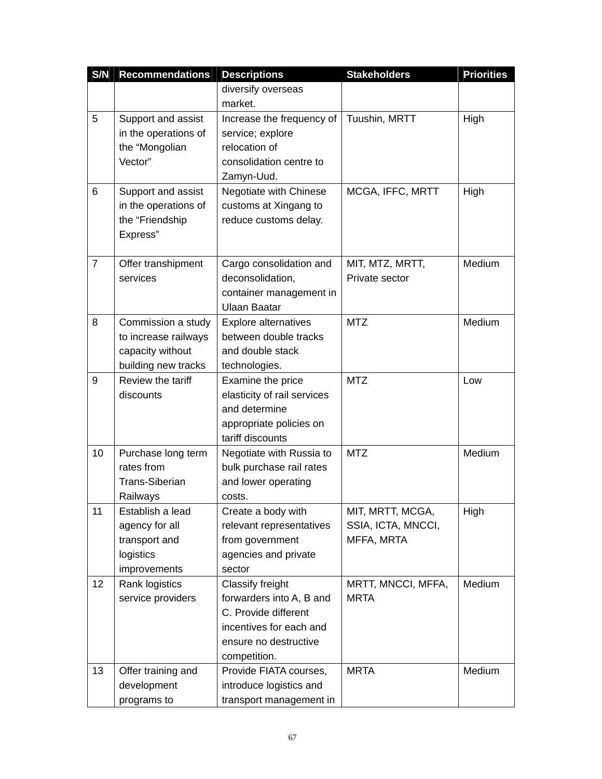| S/N | <b>Recommendations</b> | <b>Descriptions</b>         | <b>Stakeholders</b> | <b>Priorities</b> |
|-----|------------------------|-----------------------------|---------------------|-------------------|
|     |                        | diversify overseas          |                     |                   |
|     |                        | market.                     |                     |                   |
| 5   | Support and assist     | Increase the frequency of   | Tuushin, MRTT       | High              |
|     | in the operations of   | service; explore            |                     |                   |
|     | the "Mongolian         | relocation of               |                     |                   |
|     | Vector"                | consolidation centre to     |                     |                   |
|     |                        | Zamyn-Uud.                  |                     |                   |
| 6   | Support and assist     | Negotiate with Chinese      | MCGA, IFFC, MRTT    | High              |
|     | in the operations of   | customs at Xingang to       |                     |                   |
|     | the "Friendship        | reduce customs delay.       |                     |                   |
|     | Express"               |                             |                     |                   |
|     |                        |                             |                     |                   |
| 7   | Offer transhipment     | Cargo consolidation and     | MIT, MTZ, MRTT,     | Medium            |
|     | services               | deconsolidation,            | Private sector      |                   |
|     |                        | container management in     |                     |                   |
|     |                        | <b>Ulaan Baatar</b>         |                     |                   |
| 8   | Commission a study     | Explore alternatives        | <b>MTZ</b>          | Medium            |
|     | to increase railways   | between double tracks       |                     |                   |
|     | capacity without       | and double stack            |                     |                   |
|     | building new tracks    | technologies.               |                     |                   |
| 9   | Review the tariff      | Examine the price           | <b>MTZ</b>          | Low               |
|     | discounts              | elasticity of rail services |                     |                   |
|     |                        | and determine               |                     |                   |
|     |                        | appropriate policies on     |                     |                   |
|     |                        | tariff discounts            |                     |                   |
| 10  | Purchase long term     | Negotiate with Russia to    | <b>MTZ</b>          | Medium            |
|     | rates from             | bulk purchase rail rates    |                     |                   |
|     | <b>Trans-Siberian</b>  | and lower operating         |                     |                   |
|     | Railways               | costs.                      |                     |                   |
| 11  | Establish a lead       | Create a body with          | MIT, MRTT, MCGA,    | High              |
|     | agency for all         | relevant representatives    | SSIA, ICTA, MNCCI,  |                   |
|     | transport and          | from government             | MFFA, MRTA          |                   |
|     | logistics              | agencies and private        |                     |                   |
|     | improvements           | sector                      |                     |                   |
| 12  | Rank logistics         | Classify freight            | MRTT, MNCCI, MFFA,  | Medium            |
|     | service providers      | forwarders into A, B and    | <b>MRTA</b>         |                   |
|     |                        | C. Provide different        |                     |                   |
|     |                        | incentives for each and     |                     |                   |
|     |                        | ensure no destructive       |                     |                   |
|     |                        | competition.                |                     |                   |
| 13  | Offer training and     | Provide FIATA courses,      | <b>MRTA</b>         | Medium            |
|     | development            | introduce logistics and     |                     |                   |
|     | programs to            | transport management in     |                     |                   |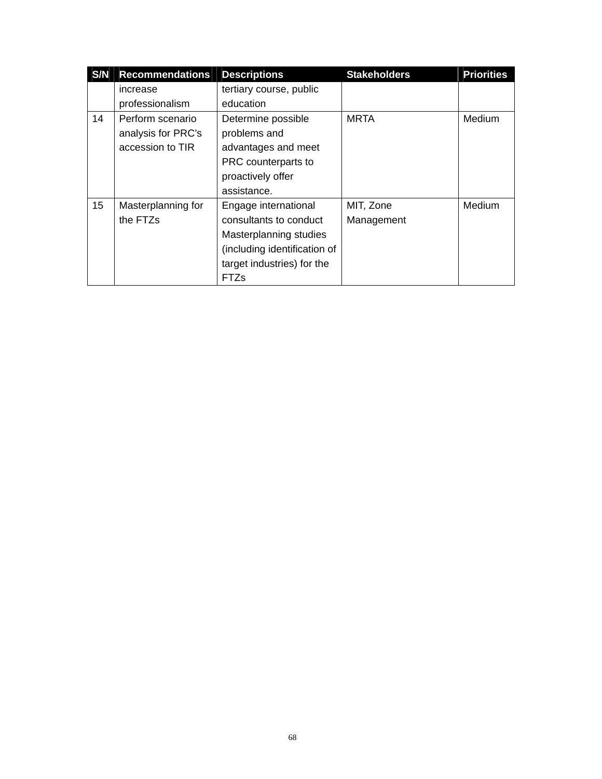| S/N | <b>Recommendations</b> | <b>Descriptions</b>          | <b>Stakeholders</b> | <b>Priorities</b> |
|-----|------------------------|------------------------------|---------------------|-------------------|
|     | increase               | tertiary course, public      |                     |                   |
|     | professionalism        | education                    |                     |                   |
| 14  | Perform scenario       | Determine possible           | <b>MRTA</b>         | Medium            |
|     | analysis for PRC's     | problems and                 |                     |                   |
|     | accession to TIR       | advantages and meet          |                     |                   |
|     |                        | PRC counterparts to          |                     |                   |
|     |                        | proactively offer            |                     |                   |
|     |                        | assistance.                  |                     |                   |
| 15  | Masterplanning for     | Engage international         | MIT, Zone           | Medium            |
|     | the FTZs               | consultants to conduct       | Management          |                   |
|     |                        | Masterplanning studies       |                     |                   |
|     |                        | (including identification of |                     |                   |
|     |                        | target industries) for the   |                     |                   |
|     |                        | FTZs                         |                     |                   |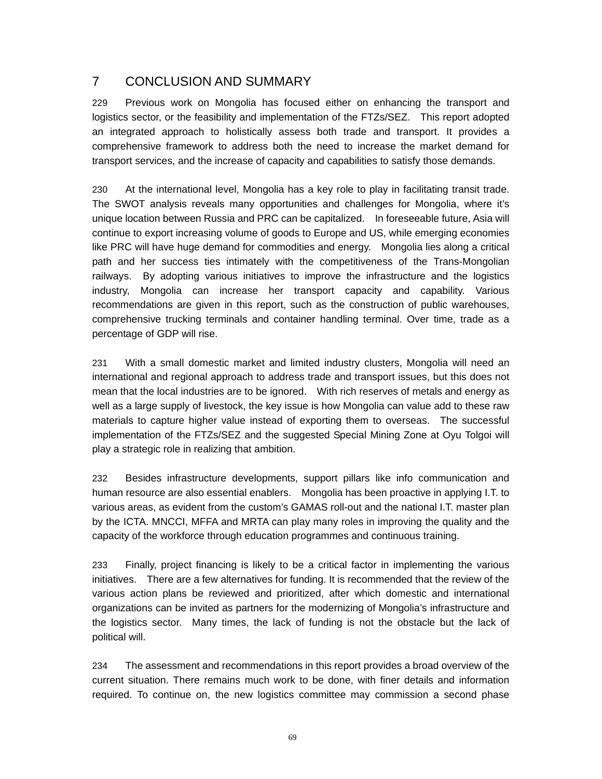# 7 CONCLUSION AND SUMMARY

229 Previous work on Mongolia has focused either on enhancing the transport and logistics sector, or the feasibility and implementation of the FTZs/SEZ. This report adopted an integrated approach to holistically assess both trade and transport. It provides a comprehensive framework to address both the need to increase the market demand for transport services, and the increase of capacity and capabilities to satisfy those demands.

230 At the international level, Mongolia has a key role to play in facilitating transit trade. The SWOT analysis reveals many opportunities and challenges for Mongolia, where it's unique location between Russia and PRC can be capitalized. In foreseeable future, Asia will continue to export increasing volume of goods to Europe and US, while emerging economies like PRC will have huge demand for commodities and energy. Mongolia lies along a critical path and her success ties intimately with the competitiveness of the Trans-Mongolian railways. By adopting various initiatives to improve the infrastructure and the logistics industry, Mongolia can increase her transport capacity and capability. Various recommendations are given in this report, such as the construction of public warehouses, comprehensive trucking terminals and container handling terminal. Over time, trade as a percentage of GDP will rise.

231 With a small domestic market and limited industry clusters, Mongolia will need an international and regional approach to address trade and transport issues, but this does not mean that the local industries are to be ignored. With rich reserves of metals and energy as well as a large supply of livestock, the key issue is how Mongolia can value add to these raw materials to capture higher value instead of exporting them to overseas. The successful implementation of the FTZs/SEZ and the suggested Special Mining Zone at Oyu Tolgoi will play a strategic role in realizing that ambition.

232 Besides infrastructure developments, support pillars like info communication and human resource are also essential enablers. Mongolia has been proactive in applying I.T. to various areas, as evident from the custom's GAMAS roll-out and the national I.T. master plan by the ICTA. MNCCI, MFFA and MRTA can play many roles in improving the quality and the capacity of the workforce through education programmes and continuous training.

233 Finally, project financing is likely to be a critical factor in implementing the various initiatives. There are a few alternatives for funding. It is recommended that the review of the various action plans be reviewed and prioritized, after which domestic and international organizations can be invited as partners for the modernizing of Mongolia's infrastructure and the logistics sector. Many times, the lack of funding is not the obstacle but the lack of political will.

234 The assessment and recommendations in this report provides a broad overview of the current situation. There remains much work to be done, with finer details and information required. To continue on, the new logistics committee may commission a second phase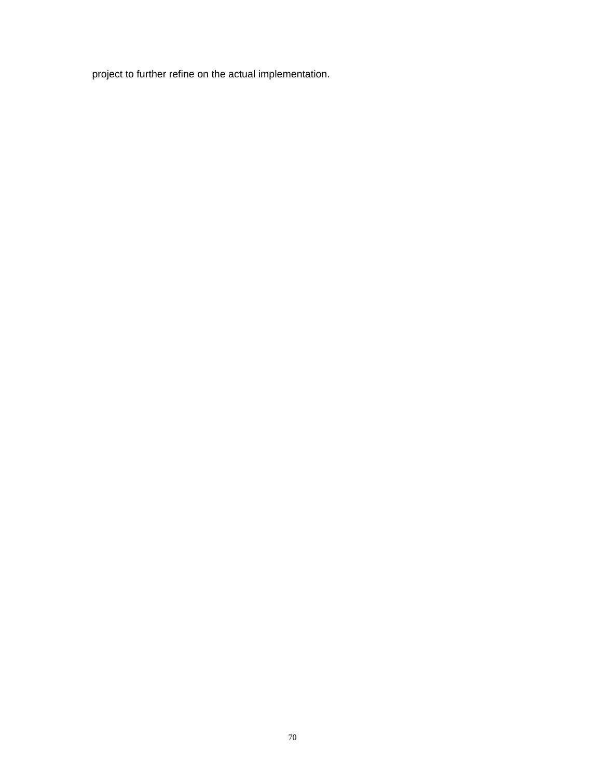project to further refine on the actual implementation.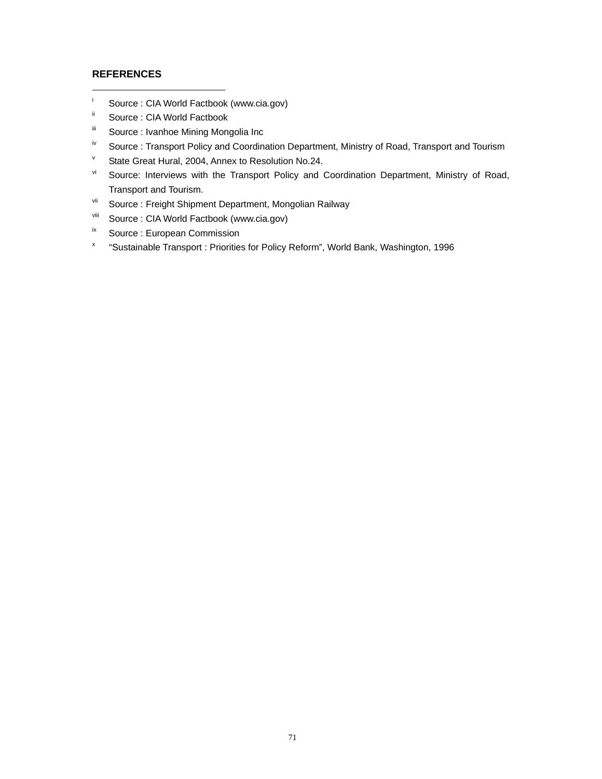### **REFERENCES**

-

- i Source : CIA World Factbook (www.cia.gov)
- **ii** Source : CIA World Factbook
- Source : Ivanhoe Mining Mongolia Inc
- <sup>iv</sup> Source : Transport Policy and Coordination Department, Ministry of Road, Transport and Tourism
- v State Great Hural, 2004, Annex to Resolution No.24.
- vi Source: Interviews with the Transport Policy and Coordination Department, Ministry of Road, Transport and Tourism.
- vii Source : Freight Shipment Department, Mongolian Railway
- viii Source : CIA World Factbook (www.cia.gov)
- ix Source : European Commission
- x "Sustainable Transport : Priorities for Policy Reform", World Bank, Washington, 1996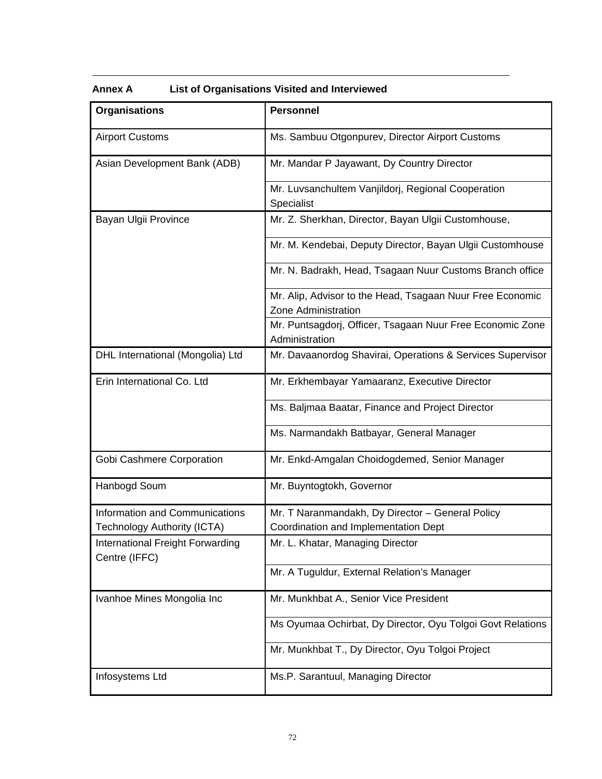| <b>Organisations</b>                              | <b>Personnel</b>                                                                 |
|---------------------------------------------------|----------------------------------------------------------------------------------|
| <b>Airport Customs</b>                            | Ms. Sambuu Otgonpurev, Director Airport Customs                                  |
| Asian Development Bank (ADB)                      | Mr. Mandar P Jayawant, Dy Country Director                                       |
|                                                   | Mr. Luvsanchultem Vanjildorj, Regional Cooperation<br>Specialist                 |
| Bayan Ulgii Province                              | Mr. Z. Sherkhan, Director, Bayan Ulgii Customhouse,                              |
|                                                   | Mr. M. Kendebai, Deputy Director, Bayan Ulgii Customhouse                        |
|                                                   | Mr. N. Badrakh, Head, Tsagaan Nuur Customs Branch office                         |
|                                                   | Mr. Alip, Advisor to the Head, Tsagaan Nuur Free Economic<br>Zone Administration |
|                                                   | Mr. Puntsagdorj, Officer, Tsagaan Nuur Free Economic Zone<br>Administration      |
| DHL International (Mongolia) Ltd                  | Mr. Davaanordog Shavirai, Operations & Services Supervisor                       |
| Erin International Co. Ltd                        | Mr. Erkhembayar Yamaaranz, Executive Director                                    |
|                                                   | Ms. Baljmaa Baatar, Finance and Project Director                                 |
|                                                   | Ms. Narmandakh Batbayar, General Manager                                         |
| Gobi Cashmere Corporation                         | Mr. Enkd-Amgalan Choidogdemed, Senior Manager                                    |
| Hanbogd Soum                                      | Mr. Buyntogtokh, Governor                                                        |
| Information and Communications                    | Mr. T Naranmandakh, Dy Director - General Policy                                 |
| Technology Authority (ICTA)                       | Coordination and Implementation Dept                                             |
| International Freight Forwarding<br>Centre (IFFC) | Mr. L. Khatar, Managing Director                                                 |
|                                                   | Mr. A Tuguldur, External Relation's Manager                                      |
| Ivanhoe Mines Mongolia Inc                        | Mr. Munkhbat A., Senior Vice President                                           |
|                                                   | Ms Oyumaa Ochirbat, Dy Director, Oyu Tolgoi Govt Relations                       |
|                                                   | Mr. Munkhbat T., Dy Director, Oyu Tolgoi Project                                 |
| Infosystems Ltd                                   | Ms.P. Sarantuul, Managing Director                                               |

# **Annex A List of Organisations Visited and Interviewed**

 $\overline{a}$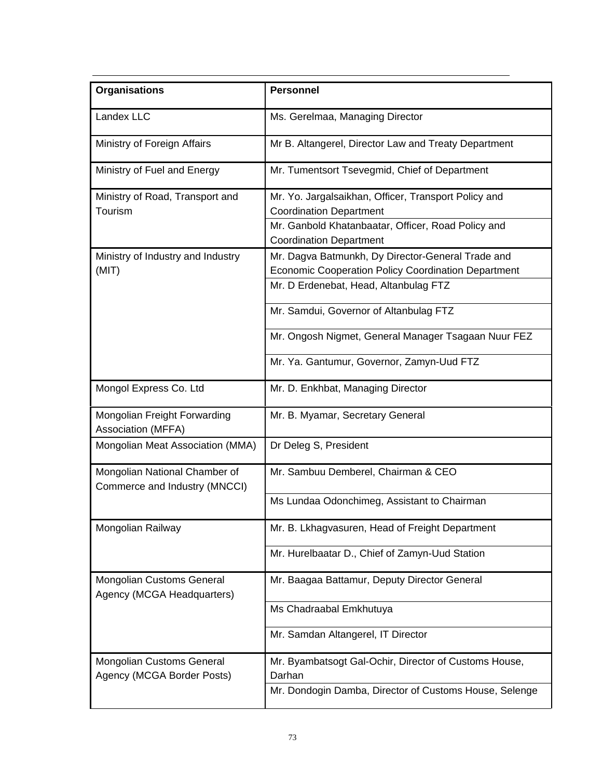| <b>Organisations</b>                                           | <b>Personnel</b>                                                                                                                                                                           |
|----------------------------------------------------------------|--------------------------------------------------------------------------------------------------------------------------------------------------------------------------------------------|
| Landex LLC                                                     | Ms. Gerelmaa, Managing Director                                                                                                                                                            |
| Ministry of Foreign Affairs                                    | Mr B. Altangerel, Director Law and Treaty Department                                                                                                                                       |
| Ministry of Fuel and Energy                                    | Mr. Tumentsort Tsevegmid, Chief of Department                                                                                                                                              |
| Ministry of Road, Transport and<br>Tourism                     | Mr. Yo. Jargalsaikhan, Officer, Transport Policy and<br><b>Coordination Department</b><br>Mr. Ganbold Khatanbaatar, Officer, Road Policy and                                               |
| Ministry of Industry and Industry<br>(MIT)                     | <b>Coordination Department</b><br>Mr. Dagva Batmunkh, Dy Director-General Trade and<br><b>Economic Cooperation Policy Coordination Department</b><br>Mr. D Erdenebat, Head, Altanbulag FTZ |
|                                                                | Mr. Samdui, Governor of Altanbulag FTZ                                                                                                                                                     |
|                                                                | Mr. Ongosh Nigmet, General Manager Tsagaan Nuur FEZ                                                                                                                                        |
|                                                                | Mr. Ya. Gantumur, Governor, Zamyn-Uud FTZ                                                                                                                                                  |
| Mongol Express Co. Ltd                                         | Mr. D. Enkhbat, Managing Director                                                                                                                                                          |
| Mongolian Freight Forwarding<br>Association (MFFA)             | Mr. B. Myamar, Secretary General                                                                                                                                                           |
| Mongolian Meat Association (MMA)                               | Dr Deleg S, President                                                                                                                                                                      |
| Mongolian National Chamber of<br>Commerce and Industry (MNCCI) | Mr. Sambuu Demberel, Chairman & CEO                                                                                                                                                        |
|                                                                | Ms Lundaa Odonchimeg, Assistant to Chairman                                                                                                                                                |
| Mongolian Railway                                              | Mr. B. Lkhagvasuren, Head of Freight Department                                                                                                                                            |
|                                                                | Mr. Hurelbaatar D., Chief of Zamyn-Uud Station                                                                                                                                             |
| <b>Mongolian Customs General</b><br>Agency (MCGA Headquarters) | Mr. Baagaa Battamur, Deputy Director General                                                                                                                                               |
|                                                                | Ms Chadraabal Emkhutuya                                                                                                                                                                    |
|                                                                | Mr. Samdan Altangerel, IT Director                                                                                                                                                         |
| <b>Mongolian Customs General</b><br>Agency (MCGA Border Posts) | Mr. Byambatsogt Gal-Ochir, Director of Customs House,<br>Darhan                                                                                                                            |
|                                                                | Mr. Dondogin Damba, Director of Customs House, Selenge                                                                                                                                     |